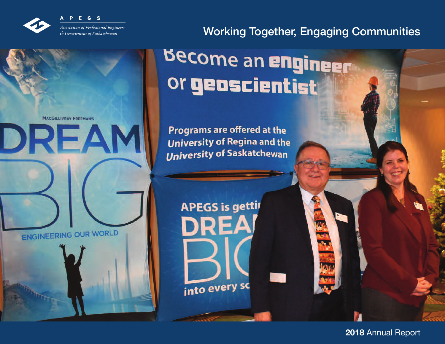

**MACGILLIVRAY FREEMAN'S** 

DREA

# Working Together, Engaging Communities

**REIL** 

# **Become an engineer** or geoscientist

Programs are offered at the **University of Regina and the University of Saskatchewan** 

**APEGS is gettir** 

**DREA** 

into every so

ENGINEERING OUR WORLD

**2018** Annual Report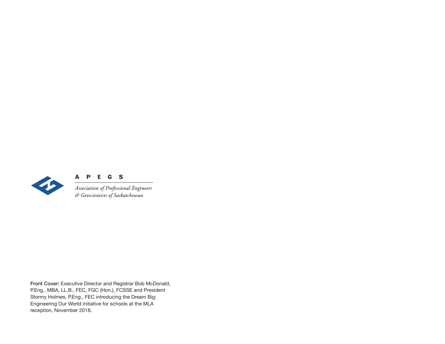

## A P E G S

Association of Professional Engineers & Geoscientists of Saskatchewan

**Front Cover:** Executive Director and Registrar Bob McDonald, P.Eng., MBA, LL.B., FEC, FGC (Hon.), FCSSE and President Stormy Holmes, P.Eng., FEC introducing the Dream Big: Engineering Our World initiative for schools at the MLA reception, November 2018.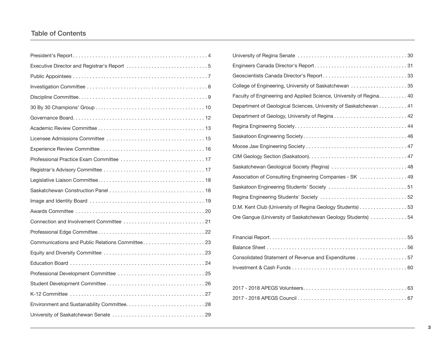## Table of Contents

| College of Engineering, University of Saskatchewan 35                |
|----------------------------------------------------------------------|
| Faculty of Engineering and Applied Science, University of Regina. 40 |
| Department of Geological Sciences, University of Saskatchewan 41     |
|                                                                      |
|                                                                      |
|                                                                      |
|                                                                      |
|                                                                      |
| Saskatchewan Geological Society (Regina)  48                         |
| Association of Consulting Engineering Companies - SK  49             |
| Saskatoon Engineering Students' Society  51                          |
|                                                                      |
| D.M. Kent Club (University of Regina Geology Students) 53            |
| Ore Gangue (University of Saskatchewan Geology Students) 54          |

| Consolidated Statement of Revenue and Expenditures 57 |  |
|-------------------------------------------------------|--|
|                                                       |  |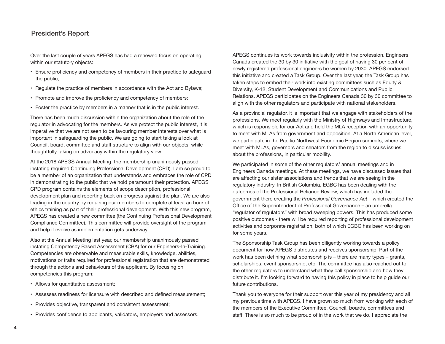Over the last couple of years APEGS has had a renewed focus on operating within our statutory objects:

- Ensure proficiency and competency of members in their practice to safeguard the public;
- Regulate the practice of members in accordance with the Act and Bylaws;
- Promote and improve the proficiency and competency of members;
- Foster the practice by members in a manner that is in the public interest.

There has been much discussion within the organization about the role of the regulator in advocating for the members. As we protect the public interest, it is imperative that we are not seen to be favouring member interests over what is important in safeguarding the public. We are going to start taking a look at Council, board, committee and staff structure to align with our objects, while thoughtfully taking on advocacy within the regulatory view.

At the 2018 APEGS Annual Meeting, the membership unanimously passed instating required Continuing Professional Development (CPD). I am so proud to be a member of an organization that understands and embraces the role of CPD in demonstrating to the public that we hold paramount their protection. APEGS CPD program contains the elements of scope description, professional development plan and reporting back on progress against the plan. We are also leading in the country by requiring our members to complete at least an hour of ethics training as part of their professional development. With this new program, APEGS has created a new committee (the Continuing Professional Development Compliance Committee). This committee will provide oversight of the program and help it evolve as implementation gets underway.

Also at the Annual Meeting last year, our membership unanimously passed instating Competency Based Assessment (CBA) for our Engineers-In-Training. Competencies are observable and measurable skills, knowledge, abilities, motivations or traits required for professional registration that are demonstrated through the actions and behaviours of the applicant. By focusing on competencies this program:

- Allows for quantitative assessment;
- Assesses readiness for licensure with described and defined measurement;
- Provides objective, transparent and consistent assessment;
- Provides confidence to applicants, validators, employers and assessors.

APEGS continues its work towards inclusivity within the profession. Engineers Canada created the 30 by 30 initiative with the goal of having 30 per cent of newly registered professional engineers be women by 2030. APEGS endorsed this initiative and created a Task Group. Over the last year, the Task Group has taken steps to embed their work into existing committees such as Equity & Diversity, K-12, Student Development and Communications and Public Relations. APEGS participates on the Engineers Canada 30 by 30 committee to align with the other regulators and participate with national stakeholders.

As a provincial regulator, it is important that we engage with stakeholders of the professions. We meet regularly with the Ministry of Highways and Infrastructure, which is responsible for our Act and held the MLA reception with an opportunity to meet with MLAs from government and opposition. At a North American level, we participate in the Pacific Northwest Economic Region summits, where we meet with MLAs, governors and senators from the region to discuss issues about the professions, in particular mobility.

We participated in some of the other regulators' annual meetings and in Engineers Canada meetings. At these meetings, we have discussed issues that are affecting our sister associations and trends that we are seeing in the regulatory industry. In British Columbia, EGBC has been dealing with the outcomes of the Professional Reliance Review, which has included the government there creating the *Professional Governance Act* – which created the Office of the Superintendent of Professional Governance – an umbrella "regulator of regulators" with broad sweeping powers. This has produced some positive outcomes - there will be required reporting of professional development activities and corporate registration, both of which EGBC has been working on for some years.

The Sponsorship Task Group has been diligently working towards a policy document for how APEGS distributes and receives sponsorship. Part of the work has been defining what sponsorship is – there are many types – grants, scholarships, event sponsorship, etc. The committee has also reached out to the other regulators to understand what they call sponsorship and how they distribute it. I'm looking forward to having this policy in place to help guide our future contributions.

Thank you to everyone for their support over this year of my presidency and all my previous time with APEGS. I have grown so much from working with each of the members of the Executive Committee, Council, boards, committees and staff. There is so much to be proud of in the work that we do. I appreciate the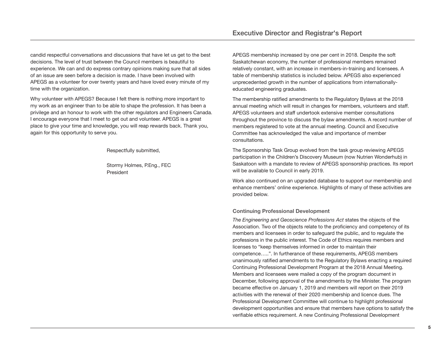candid respectful conversations and discussions that have let us get to the best decisions. The level of trust between the Council members is beautiful to experience. We can and do express contrary opinions making sure that all sides of an issue are seen before a decision is made. I have been involved with APEGS as a volunteer for over twenty years and have loved every minute of my time with the organization.

Why volunteer with APEGS? Because I felt there is nothing more important to my work as an engineer than to be able to shape the profession. It has been a privilege and an honour to work with the other regulators and Engineers Canada. I encourage everyone that I meet to get out and volunteer. APEGS is a great place to give your time and knowledge, you will reap rewards back. Thank you, again for this opportunity to serve you.

Respectfully submitted,

Stormy Holmes, P.Eng., FEC President

APEGS membership increased by one per cent in 2018. Despite the soft Saskatchewan economy, the number of professional members remained relatively constant, with an increase in members-in-training and licensees. A table of membership statistics is included below. APEGS also experienced unprecedented growth in the number of applications from internationallyeducated engineering graduates.

The membership ratified amendments to the Regulatory Bylaws at the 2018 annual meeting which will result in changes for members, volunteers and staff. APEGS volunteers and staff undertook extensive member consultations throughout the province to discuss the bylaw amendments. A record number of members registered to vote at the annual meeting. Council and Executive Committee has acknowledged the value and importance of member consultations.

The Sponsorship Task Group evolved from the task group reviewing APEGS participation in the Children's Discovery Museum (now Nutrien Wonderhub) in Saskatoon with a mandate to review of APEGS sponsorship practices. Its report will be available to Council in early 2019.

Work also continued on an upgraded database to support our membership and enhance members' online experience. Highlights of many of these activities are provided below.

#### **Continuing Professional Development**

*The Engineering and Geoscience Professions Act* states the objects of the Association. Two of the objects relate to the proficiency and competency of its members and licensees in order to safeguard the public, and to regulate the professions in the public interest. The Code of Ethics requires members and licenses to "keep themselves informed in order to maintain their competence…..". In furtherance of these requirements, APEGS members unanimously ratified amendments to the Regulatory Bylaws enacting a required Continuing Professional Development Program at the 2018 Annual Meeting. Members and licensees were mailed a copy of the program document in December, following approval of the amendments by the Minister. The program became effective on January 1, 2019 and members will report on their 2019 activities with the renewal of their 2020 membership and licence dues. The Professional Development Committee will continue to highlight professional development opportunities and ensure that members have options to satisfy the verifiable ethics requirement. A new Continuing Professional Development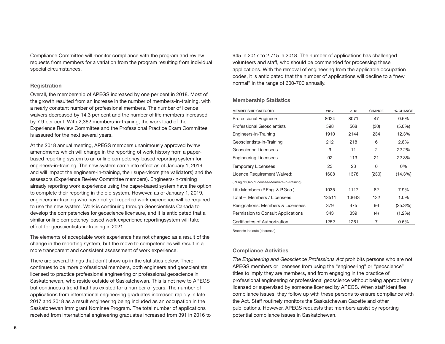Compliance Committee will monitor compliance with the program and review requests from members for a variation from the program resulting from individual special circumstances.

#### **Registration**

Overall, the membership of APEGS increased by one per cent in 2018. Most of the growth resulted from an increase in the number of members-in-training, with a nearly constant number of professional members. The number of licence waivers decreased by 14.3 per cent and the number of life members increased by 7.9 per cent. With 2,362 members-in-training, the work load of the Experience Review Committee and the Professional Practice Exam Committee is assured for the next several years.

At the 2018 annual meeting, APEGS members unanimously approved bylaw amendments which will change in the reporting of work history from a paperbased reporting system to an online competency-based reporting system for engineers-in-training. The new system came into effect as of January 1, 2019, and will impact the engineers-in-training, their supervisors (the validators) and the assessors (Experience Review Committee members). Engineers-in-training already reporting work experience using the paper-based system have the option to complete their reporting in the old system. However, as of January 1, 2019, engineers-in-training who have not yet reported work experience will be required to use the new system. Work is continuing through Geoscientists Canada to develop the competencies for geoscience licensure, and it is anticipated that a similar online competency-based work experience reportingsystem will take effect for geoscientists-in-training in 2021.

The elements of acceptable work experience has not changed as a result of the change in the reporting system, but the move to competencies will result in a more transparent and consistent assessment of work experience.

There are several things that don't show up in the statistics below. There continues to be more professional members, both engineers and geoscientists, licensed to practice professional engineering or professional geoscience in Saskatchewan, who reside outside of Saskatchewan. This is not new to APEGS but continues a trend that has existed for a number of years. The number of applications from international engineering graduates increased rapidly in late 2017 and 2018 as a result engineering being included as an occupation in the Saskatchewan Immigrant Nominee Program. The total number of applications received from international engineering graduates increased from 391 in 2016 to

945 in 2017 to 2,715 in 2018. The number of applications has challenged volunteers and staff, who should be commended for processing these applications. With the removal of engineering from the applicable occupation codes, it is anticipated that the number of applications will decline to a "new normal" in the range of 600-700 annually.

**Membership Statistics**

| <b>MEMBERSHIP CATEGORY</b>                   | 2017  | 2018  | <b>CHANGE</b>  | % CHANGE  |
|----------------------------------------------|-------|-------|----------------|-----------|
| <b>Professional Engineers</b>                | 8024  | 8071  | 47             | $0.6\%$   |
| <b>Professional Geoscientists</b>            | 598   | 568   | (30)           | $(5.0\%)$ |
| Engineers-in-Training                        | 1910  | 2144  | 234            | 12.3%     |
| Geoscientists-in-Training                    | 212   | 218   | 6              | 2.8%      |
| Geoscience Licensees                         | 9     | 11    | $\overline{2}$ | 22.2%     |
| <b>Engineering Licensees</b>                 | 92    | 113   | 21             | 22.3%     |
| <b>Temporary Licensees</b>                   | 23    | 23    | 0              | 0%        |
| Licence Requirement Waived:                  | 1608  | 1378  | (230)          | (14.3%)   |
| (P.Eng./P.Geo./Licensee/Members-in-Training) |       |       |                |           |
| Life Members (P. Eng. & P. Geo.)             | 1035  | 1117  | 82             | 7.9%      |
| Total - Members / Licensees                  | 13511 | 13643 | 132            | 1.0%      |
| Resignations: Members & Licensees            | 379   | 475   | 96             | (25.3%)   |
| Permission to Consult Applications           | 343   | 339   | (4)            | $(1.2\%)$ |
| Certificates of Authorization                | 1252  | 1261  | 7              | $0.6\%$   |

Brackets indicate (decrease)

#### **Compliance Activities**

*The Engineering and Geoscience Professions Act* prohibits persons who are not APEGS members or licensees from using the "engineering" or "geoscience" titles to imply they are members, and from engaging in the practice of professional engineering or professional geoscience without being appropriately licensed or supervised by someone licensed by APEGS. When staff identifies compliance issues, they follow up with these persons to ensure compliance with the Act. Staff routinely monitors the Saskatchewan Gazette and other publications. However, APEGS requests that members assist by reporting potential compliance issues in Saskatchewan.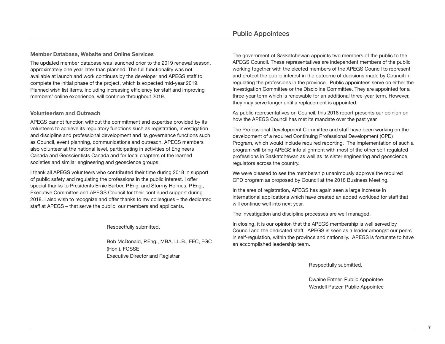## **Public Appointees**

#### **Member Database, Website and Online Services**

The updated member database was launched prior to the 2019 renewal season, approximately one year later than planned. The full functionality was not available at launch and work continues by the developer and APEGS staff to complete the initial phase of the project, which is expected mid-year 2019. Planned wish list items, including increasing efficiency for staff and improving members' online experience, will continue throughout 2019.

#### **Volunteerism and Outreach**

APEGS cannot function without the commitment and expertise provided by its volunteers to achieve its regulatory functions such as registration, investigation and discipline and professional development and its governance functions such as Council, event planning, communications and outreach. APEGS members also volunteer at the national level, participating in activities of Engineers Canada and Geoscientists Canada and for local chapters of the learned societies and similar engineering and geoscience groups.

I thank all APEGS volunteers who contributed their time during 2018 in support of public safety and regulating the professions in the public interest. I offer special thanks to Presidents Ernie Barber, P.Eng. and Stormy Holmes, P.Eng., Executive Committee and APEGS Council for their continued support during 2018. I also wish to recognize and offer thanks to my colleagues – the dedicated staff at APEGS – that serve the public, our members and applicants.

#### Respectfully submitted,

Bob McDonald, P.Eng., MBA, LL.B., FEC, FGC (Hon.), FCSSE Executive Director and Registrar

The government of Saskatchewan appoints two members of the public to the APEGS Council. These representatives are independent members of the public working together with the elected members of the APEGS Council to represent and protect the public interest in the outcome of decisions made by Council in regulating the professions in the province. Public appointees serve on either the Investigation Committee or the Discipline Committee. They are appointed for a three-year term which is renewable for an additional three-year term. However, they may serve longer until a replacement is appointed.

As public representatives on Council, this 2018 report presents our opinion on how the APEGS Council has met its mandate over the past year.

The Professional Development Committee and staff have been working on the development of a required Continuing Professional Development (CPD) Program, which would include required reporting. The implementation of such a program will bring APEGS into alignment with most of the other self-regulated professions in Saskatchewan as well as its sister engineering and geoscience regulators across the country.

We were pleased to see the membership unanimously approve the required CPD program as proposed by Council at the 2018 Business Meeting.

In the area of registration, APEGS has again seen a large increase in international applications which have created an added workload for staff that will continue well into next year.

The investigation and discipline processes are well managed.

In closing, it is our opinion that the APEGS membership is well served by Council and the dedicated staff. APEGS is seen as a leader amongst our peers in self-regulation, within the province and nationally. APEGS is fortunate to have an accomplished leadership team.

Respectfully submitted,

Dwaine Entner, Public Appointee Wendell Patzer, Public Appointee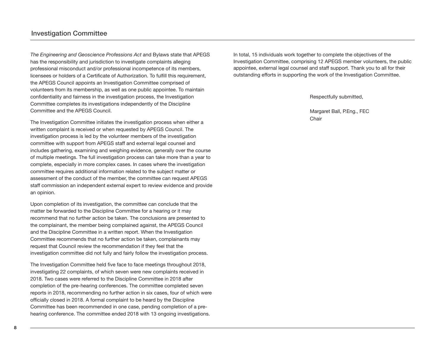*The Engineering and Geoscience Professions Act* and Bylaws state that APEGS has the responsibility and jurisdiction to investigate complaints alleging professional misconduct and/or professional incompetence of its members, licensees or holders of a Certificate of Authorization. To fulfill this requirement, the APEGS Council appoints an Investigation Committee comprised of volunteers from its membership, as well as one public appointee. To maintain confidentiality and fairness in the investigation process, the Investigation Committee completes its investigations independently of the Discipline Committee and the APEGS Council.

The Investigation Committee initiates the investigation process when either a written complaint is received or when requested by APEGS Council. The investigation process is led by the volunteer members of the investigation committee with support from APEGS staff and external legal counsel and includes gathering, examining and weighing evidence, generally over the course of multiple meetings. The full investigation process can take more than a year to complete, especially in more complex cases. In cases where the investigation committee requires additional information related to the subject matter or assessment of the conduct of the member, the committee can request APEGS staff commission an independent external expert to review evidence and provide an opinion.

Upon completion of its investigation, the committee can conclude that the matter be forwarded to the Discipline Committee for a hearing or it may recommend that no further action be taken. The conclusions are presented to the complainant, the member being complained against, the APEGS Council and the Discipline Committee in a written report. When the Investigation Committee recommends that no further action be taken, complainants may request that Council review the recommendation if they feel that the investigation committee did not fully and fairly follow the investigation process.

The Investigation Committee held five face to face meetings throughout 2018, investigating 22 complaints, of which seven were new complaints received in 2018. Two cases were referred to the Discipline Committee in 2018 after completion of the pre-hearing conferences. The committee completed seven reports in 2018, recommending no further action in six cases, four of which were officially closed in 2018. A formal complaint to be heard by the Discipline Committee has been recommended in one case, pending completion of a prehearing conference. The committee ended 2018 with 13 ongoing investigations.

In total, 15 individuals work together to complete the objectives of the Investigation Committee, comprising 12 APEGS member volunteers, the public appointee, external legal counsel and staff support. Thank you to all for their outstanding efforts in supporting the work of the Investigation Committee.

Respectfully submitted,

Margaret Ball, P.Eng., FEC Chair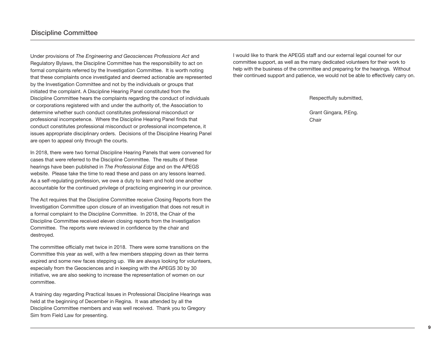Under provisions of *The Engineering and Geosciences Professions Act* and Regulatory Bylaws, the Discipline Committee has the responsibility to act on formal complaints referred by the Investigation Committee. It is worth noting that these complaints once investigated and deemed actionable are represented by the Investigation Committee and not by the individuals or groups that initiated the complaint. A Discipline Hearing Panel constituted from the Discipline Committee hears the complaints regarding the conduct of individuals or corporations registered with and under the authority of, the Association to determine whether such conduct constitutes professional misconduct or professional incompetence. Where the Discipline Hearing Panel finds that conduct constitutes professional misconduct or professional incompetence, it issues appropriate disciplinary orders. Decisions of the Discipline Hearing Panel are open to appeal only through the courts.

In 2018, there were two formal Discipline Hearing Panels that were convened for cases that were referred to the Discipline Committee. The results of these hearings have been published in *The Professional Edge* and on the APEGS website. Please take the time to read these and pass on any lessons learned. As a self-regulating profession, we owe a duty to learn and hold one another accountable for the continued privilege of practicing engineering in our province.

The Act requires that the Discipline Committee receive Closing Reports from the Investigation Committee upon closure of an investigation that does not result in a formal complaint to the Discipline Committee. In 2018, the Chair of the Discipline Committee received eleven closing reports from the Investigation Committee. The reports were reviewed in confidence by the chair and destroyed.

The committee officially met twice in 2018. There were some transitions on the Committee this year as well, with a few members stepping down as their terms expired and some new faces stepping up. We are always looking for volunteers, especially from the Geosciences and in keeping with the APEGS 30 by 30 initiative, we are also seeking to increase the representation of women on our committee.

A training day regarding Practical Issues in Professional Discipline Hearings was held at the beginning of December in Regina. It was attended by all the Discipline Committee members and was well received. Thank you to Gregory Sim from Field Law for presenting.

I would like to thank the APEGS staff and our external legal counsel for our committee support, as well as the many dedicated volunteers for their work to help with the business of the committee and preparing for the hearings. Without their continued support and patience, we would not be able to effectively carry on.

Respectfully submitted,

Grant Gingara, P.Eng. **Chair**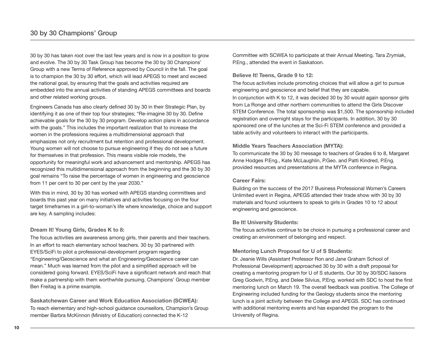30 by 30 has taken root over the last few years and is now in a position to grow and evolve. The 30 by 30 Task Group has become the 30 by 30 Champions' Group with a new Terms of Reference approved by Council in the fall. The goal is to champion the 30 by 30 effort, which will lead APEGS to meet and exceed the national goal, by ensuring that the goals and activities required are embedded into the annual activities of standing APEGS committees and boards and other related working groups.

Engineers Canada has also clearly defined 30 by 30 in their Strategic Plan, by identifying it as one of their top four strategies; "Re-imagine 30 by 30. Define achievable goals for the 30 by 30 program. Develop action plans in accordance with the goals." This includes the important realization that to increase the women in the professions requires a multidimensional approach that emphasizes not only recruitment but retention and professional development. Young women will not choose to pursue engineering if they do not see a future for themselves in that profession. This means visible role models, the opportunity for meaningful work and advancement and mentorship. APEGS has recognized this multidimensional approach from the beginning and the 30 by 30 goal remains "To raise the percentage of women in engineering and geoscience from 11 per cent to 30 per cent by the year 2030."

With this in mind, 30 by 30 has worked with APEGS standing committees and boards this past year on many initiatives and activities focusing on the four target timeframes in a girl-to-woman's life where knowledge, choice and support are key. A sampling includes:

#### **Dream It! Young Girls, Grades K to 8:**

The focus activities are awareness among girls, their parents and their teachers. In an effort to reach elementary school teachers. 30 by 30 partnered with EYES/SciFi to pilot a professional-development program regarding "Engineering/Geoscience and what an Engineering/Geoscience career can mean." Much was learned from the pilot and a simplified approach will be considered going forward. EYES/SciFi have a significant network and reach that make a partnership with them worthwhile pursuing. Champions' Group member Ben Freitag is a prime example.

**Saskatchewan Career and Work Education Association (SCWEA):**  To reach elementary and high-school guidance counsellors, Champion's Group member Barbra McKinnon (Ministry of Education) connected the K-12

Committee with SCWEA to participate at their Annual Meeting. Tara Zrymiak, P.Eng., attended the event in Saskatoon.

#### **Believe It! Teens, Grade 9 to 12:**

The focus activities include promoting choices that will allow a girl to pursue engineering and geoscience and belief that they are capable. In conjunction with K to 12, it was decided 30 by 30 would again sponsor girls from La Ronge and other northern communities to attend the Girls Discover STEM Conference. The total sponsorship was \$1,500. The sponsorship included registration and overnight stays for the participants. In addition, 30 by 30 sponsored one of the lunches at the Sci-Fi STEM conference and provided a table activity and volunteers to interact with the participants.

#### **Middle Years Teachers Association (MYTA):**

To communicate the 30 by 30 message to teachers of Grades 6 to 8, Margaret Anne Hodges P.Eng., Kate McLaughlin, P.Geo. and Patti Kindred, P.Eng. provided resources and presentations at the MYTA conference in Regina.

#### **Career Fairs:**

Building on the success of the 2017 Business Professional Women's Careers Unlimited event in Regina, APEGS attended their trade show with 30 by 30 materials and found volunteers to speak to girls in Grades 10 to 12 about engineering and geoscience.

#### **Be It! University Students:**

The focus activities continue to be choice in pursuing a professional career and creating an environment of belonging and respect.

#### **Mentoring Lunch Proposal for U of S Students:**

Dr. Jeanie Wills (Assistant Professor Ron and Jane Graham School of Professional Development) approached 30 by 30 with a draft proposal for creating a mentoring program for U of S students. Our 30 by 30/SDC liaisons Greg Godwin, P.Eng. and Delee Silvius, P.Eng. worked with SDC to host the first mentoring lunch on March 19. The overall feedback was positive. The College of Engineering included funding for the Geology students since the mentoring lunch is a joint activity between the College and APEGS. SDC has continued with additional mentoring events and has expanded the program to the University of Regina.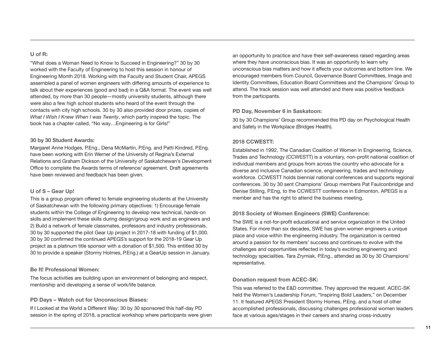#### **U of R:**

"What does a Woman Need to Know to Succeed in Engineering?" 30 by 30 worked with the Faculty of Engineering to host this session in honour of Engineering Month 2018. Working with the Faculty and Student Chair, APEGS assembled a panel of women engineers with differing amounts of experience to talk about their experiences (good and bad) in a Q&A format. The event was well attended, by more than 30 people—mostly university students, although there were also a few high school students who heard of the event through the contacts with city high schools. 30 by 30 also provided door prizes, copies of *What I Wish I Knew When I was Twenty*, which partly inspired the topic. The book has a chapter called, "No way…Engineering is for Girls!"

#### **30 by 30 Student Awards:**

Margaret Anne Hodges, P.Eng., Dena McMartin, P.Eng. and Patti Kindred, P.Eng. have been working with Erin Werner of the University of Regina's External Relations and Graham Dickson of the University of Saskatchewan's Development Office to complete the Awards terms of reference/ agreement. Draft agreements have been reviewed and feedback has been given.

#### **U of S – Gear Up!**

This is a group program offered to female engineering students at the University of Saskatchewan with the following primary objectives: 1) Encourage female students within the College of Engineering to develop new technical, hands-on skills and implement these skills during design/group work and as engineers and 2) Build a network of female classmates, professors and industry professionals. 30 by 30 supported the pilot Gear Up project in 2017-18 with funding of \$1,000. 30 by 30 confirmed the continued APEGS's support for the 2018-19 Gear Up project as a platinum title sponsor with a donation of \$1,500. This entitled 30 by 30 to provide a speaker (Stormy Holmes, P.Eng.) at a GearUp session in January.

#### **Be It! Professional Women:**

The focus activities are building upon an environment of belonging and respect, mentorship and developing a sense of work/life balance.

#### **PD Days – Watch out for Unconscious Biases:**

If I Looked at the World a Different Way: 30 by 30 sponsored this half-day PD session in the spring of 2018, a practical workshop where participants were given

an opportunity to practice and have their self-awareness raised regarding areas where they have unconscious bias. It was an opportunity to learn why unconscious bias matters and how it affects your outcomes and bottom line. We encouraged members from Council, Governance Board Committees, Image and Identity Committees, Education Board Committees and the Champions' Group to attend. The track session was well attended and there was positive feedback from the participants.

#### **PD Day, November 6 in Saskatoon:**

30 by 30 Champions' Group recommended this PD day on Psychological Health and Safety in the Workplace (Bridges Health).

#### **2018 CCWESTT:**

Established in 1992, The Canadian Coalition of Women in Engineering, Science, Trades and Technology (CCWESTT) is a voluntary, non-profit national coalition of individual members and groups from across the country who advocate for a diverse and inclusive Canadian science, engineering, trades and technology workforce. CCWESTT holds biennial national conferences and supports regional conferences. 30 by 30 sent Champions' Group members Pat Faulconbridge and Denise Stilling, P.Eng, to the CCWESTT conference in Edmonton. APEGS is a member and has the right to attend the business meeting.

#### **2018 Society of Women Engineers (SWE) Conference:**

The SWE is a not-for-profit educational and service organization in the United States. For more than six decades, SWE has given women engineers a unique place and voice within the engineering industry. The organization is centred around a passion for its members' success and continues to evolve with the challenges and opportunities reflected in today's exciting engineering and technology specialities. Tara Zrymiak, P.Eng., attended as 30 by 30 Champions' representative.

#### **Donation request from ACEC-SK:**

This was referred to the E&D committee. They approved the request. ACEC-SK held the Women's Leadership Forum, "Inspiring Bold Leaders," on December 11. It featured APEGS President Stormy Homes, P.Eng. and a host of other accomplished professionals, discussing challenges professional women leaders face at various ages/stages in their careers and sharing cross-industry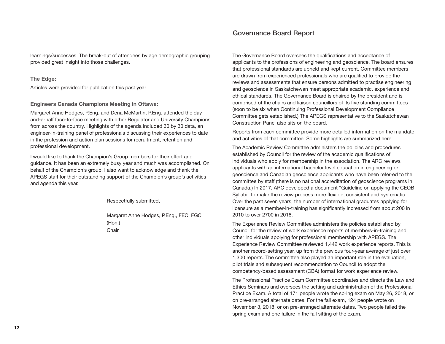learnings/successes. The break-out of attendees by age demographic grouping provided great insight into those challenges.

#### **The Edge:**

Articles were provided for publication this past year.

#### **Engineers Canada Champions Meeting in Ottawa:**

Margaret Anne Hodges, P.Eng. and Dena McMartin, P.Eng. attended the dayand-a-half face-to-face meeting with other Regulator and University Champions from across the country. Highlights of the agenda included 30 by 30 data, an engineer-in-training panel of professionals discussing their experiences to date in the profession and action plan sessions for recruitment, retention and professional development.

I would like to thank the Champion's Group members for their effort and guidance. It has been an extremely busy year and much was accomplished. On behalf of the Champion's group, I also want to acknowledge and thank the APEGS staff for their outstanding support of the Champion's group's activities and agenda this year.

Respectfully submitted,

Margaret Anne Hodges, P.Eng., FEC, FGC (Hon.) Chair

The Governance Board oversees the qualifications and acceptance of applicants to the professions of engineering and geoscience. The board ensures that professional standards are upheld and kept current. Committee members are drawn from experienced professionals who are qualified to provide the reviews and assessments that ensure persons admitted to practise engineering and geoscience in Saskatchewan meet appropriate academic, experience and ethical standards. The Governance Board is chaired by the president and is comprised of the chairs and liaison councillors of its five standing committees (soon to be six when Continuing Professional Development Compliance Committee gets established.) The APEGS representative to the Saskatchewan Construction Panel also sits on the board.

Reports from each committee provide more detailed information on the mandate and activities of that committee. Some highlights are summarized here:

The Academic Review Committee administers the policies and procedures established by Council for the review of the academic qualifications of individuals who apply for membership in the association. The ARC reviews applicants with an international bachelor level education in engineering or geoscience and Canadian geoscience applicants who have been referred to the committee by staff (there is no national accreditation of geoscience programs in Canada.) In 2017, ARC developed a document "Guideline on applying the CEQB Syllabi" to make the review process more flexible, consistent and systematic. Over the past seven years, the number of international graduates applying for licensure as a member-in-training has significantly increased from about 200 in 2010 to over 2700 in 2018.

The Experience Review Committee administers the policies established by Council for the review of work experience reports of members-in-training and other individuals applying for professional membership with APEGS. The Experience Review Committee reviewed 1,442 work experience reports. This is another record-setting year, up from the previous four-year average of just over 1,300 reports. The committee also played an important role in the evaluation, pilot trials and subsequent recommendation to Council to adopt the competency-based assessment (CBA) format for work experience review.

The Professional Practice Exam Committee coordinates and directs the Law and Ethics Seminars and oversees the setting and administration of the Professional Practice Exam. A total of 171 people wrote the spring exam on May 26, 2018, or on pre-arranged alternate dates. For the fall exam, 124 people wrote on November 3, 2018, or on pre-arranged alternate dates. Two people failed the spring exam and one failure in the fall sitting of the exam.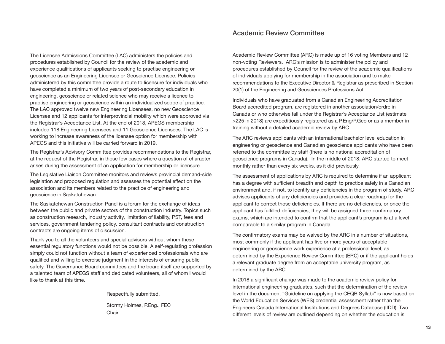The Licensee Admissions Committee (LAC) administers the policies and procedures established by Council for the review of the academic and experience qualifications of applicants seeking to practise engineering or geoscience as an Engineering Licensee or Geoscience Licensee. Policies administered by this committee provide a route to licensure for individuals who have completed a minimum of two years of post-secondary education in engineering, geoscience or related science who may receive a licence to practise engineering or geoscience within an individualized scope of practice. The LAC approved twelve new Engineering Licensees, no new Geoscience Licensee and 12 applicants for interprovincial mobility which were approved via the Registrar's Acceptance List. At the end of 2018, APEGS membership included 118 Engineering Licensees and 11 Geoscience Licensees. The LAC is working to increase awareness of the licensee option for membership with APEGS and this initiative will be carried forward in 2019.

The Registrar's Advisory Committee provides recommendations to the Registrar, at the request of the Registrar, in those few cases where a question of character arises during the assessment of an application for membership or licensure.

The Legislative Liaison Committee monitors and reviews provincial demand-side legislation and proposed regulation and assesses the potential effect on the association and its members related to the practice of engineering and geoscience in Saskatchewan.

The Saskatchewan Construction Panel is a forum for the exchange of ideas between the public and private sectors of the construction industry. Topics such as construction research, industry activity, limitation of liability, PST, fees and services, government tendering policy, consultant contracts and construction contracts are ongoing items of discussion.

Thank you to all the volunteers and special advisors without whom these essential regulatory functions would not be possible. A self-regulating profession simply could not function without a team of experienced professionals who are qualified and willing to exercise judgment in the interests of ensuring public safety. The Governance Board committees and the board itself are supported by a talented team of APEGS staff and dedicated volunteers, all of whom I would like to thank at this time.

> Respectfully submitted, Stormy Holmes, P.Eng., FEC

**Chair** 

Academic Review Committee (ARC) is made up of 16 voting Members and 12 non-voting Reviewers. ARC's mission is to administer the policy and procedures established by Council for the review of the academic qualifications of individuals applying for membership in the association and to make recommendations to the Executive Director & Registrar as prescribed in Section 20(1) of the Engineering and Geosciences Professions Act.

Individuals who have graduated from a Canadian Engineering Accreditation Board accredited program, are registered in another association/ordre in Canada or who otherwise fall under the Registrar's Acceptance List (estimate >225 in 2018) are expeditiously registered as a P.Eng/P.Geo or as a member-intraining without a detailed academic review by ARC.

The ARC reviews applicants with an international bachelor level education in engineering or geoscience and Canadian geoscience applicants who have been referred to the committee by staff (there is no national accreditation of geoscience programs in Canada). In the middle of 2018, ARC started to meet monthly rather than every six weeks, as it did previously.

The assessment of applications by ARC is required to determine if an applicant has a degree with sufficient breadth and depth to practice safely in a Canadian environment and, if not, to identify any deficiencies in the program of study. ARC advises applicants of any deficiencies and provides a clear roadmap for the applicant to correct those deficiencies. If there are no deficiencies, or once the applicant has fulfilled deficiencies, they will be assigned three confirmatory exams, which are intended to confirm that the applicant's program is at a level comparable to a similar program in Canada.

The confirmatory exams may be waived by the ARC in a number of situations, most commonly if the applicant has five or more years of acceptable engineering or geoscience work experience at a professional level, as determined by the Experience Review Committee (ERC) or if the applicant holds a relevant graduate degree from an acceptable university program, as determined by the ARC.

In 2018 a significant change was made to the academic review policy for international engineering graduates, such that the determination of the review level in the document "Guideline on applying the CEQB Syllabi" is now based on the World Education Services (WES) credential assessment rather than the Engineers Canada International Institutions and Degrees Database (IIDD). Two different levels of review are outlined depending on whether the education is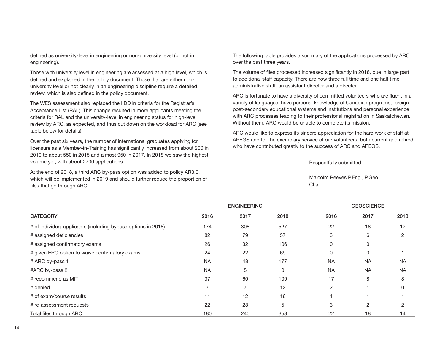defined as university-level in engineering or non-university level (or not in engineering).

Those with university level in engineering are assessed at a high level, which is defined and explained in the policy document. Those that are either nonuniversity level or not clearly in an engineering discipline require a detailed review, which is also defined in the policy document.

The WES assessment also replaced the IIDD in criteria for the Registrar's Acceptance List (RAL). This change resulted in more applicants meeting the criteria for RAL and the university-level in engineering status for high-level review by ARC, as expected, and thus cut down on the workload for ARC (see table below for details).

Over the past six years, the number of international graduates applying for licensure as a Member-in-Training has significantly increased from about 200 in 2010 to about 550 in 2015 and almost 950 in 2017. In 2018 we saw the highest volume yet, with about 2700 applications.

At the end of 2018, a third ARC by-pass option was added to policy AR3.0, which will be implemented in 2019 and should further reduce the proportion of files that go through ARC.

The following table provides a summary of the applications processed by ARC over the past three years.

The volume of files processed increased significantly in 2018, due in large part to additional staff capacity. There are now three full time and one half time administrative staff, an assistant director and a director

ARC is fortunate to have a diversity of committed volunteers who are fluent in a variety of languages, have personal knowledge of Canadian programs, foreign post-secondary educational systems and institutions and personal experience with ARC processes leading to their professional registration in Saskatchewan. Without them, ARC would be unable to complete its mission.

ARC would like to express its sincere appreciation for the hard work of staff at APEGS and for the exemplary service of our volunteers, both current and retired, who have contributed greatly to the success of ARC and APEGS.

Respectfully submitted,

Malcolm Reeves P.Eng., P.Geo. **Chair** 

|                                                               | <b>ENGINEERING</b> |      |      |                | <b>GEOSCIENCE</b> |                |  |
|---------------------------------------------------------------|--------------------|------|------|----------------|-------------------|----------------|--|
| <b>CATEGORY</b>                                               | 2016               | 2017 | 2018 | 2016           | 2017              | 2018           |  |
| # of individual applicants (including bypass options in 2018) | 174                | 308  | 527  | 22             | 18                | 12             |  |
| # assigned deficiencies                                       | 82                 | 79   | 57   | 3              | 6                 | $\overline{2}$ |  |
| # assigned confirmatory exams                                 | 26                 | 32   | 106  | 0              | 0                 |                |  |
| # given ERC option to waive confirmatory exams                | 24                 | 22   | 69   | 0              | 0                 |                |  |
| # ARC by-pass 1                                               | <b>NA</b>          | 48   | 177  | <b>NA</b>      | <b>NA</b>         | <b>NA</b>      |  |
| #ARC by-pass 2                                                | <b>NA</b>          | 5    | 0    | <b>NA</b>      | <b>NA</b>         | <b>NA</b>      |  |
| # recommend as MIT                                            | 37                 | 60   | 109  | 17             | 8                 | 8              |  |
| # denied                                                      | 7                  | ⇁    | 12   | $\overline{c}$ |                   | O              |  |
| # of exam/course results                                      | 11                 | 12   | 16   |                |                   |                |  |
| # re-assessment requests                                      | 22                 | 28   | 5    | 3              | 2                 | 2              |  |
| Total files through ARC                                       | 180                | 240  | 353  | 22             | 18                | 14             |  |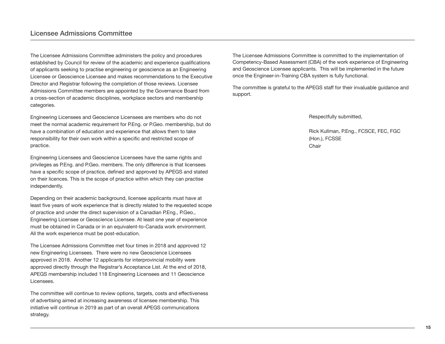The Licensee Admissions Committee administers the policy and procedures established by Council for review of the academic and experience qualifications of applicants seeking to practise engineering or geoscience as an Engineering Licensee or Geoscience Licensee and makes recommendations to the Executive Director and Registrar following the completion of those reviews. Licensee Admissions Committee members are appointed by the Governance Board from a cross-section of academic disciplines, workplace sectors and membership categories.

Engineering Licensees and Geoscience Licensees are members who do not meet the normal academic requirement for P.Eng. or P.Geo. membership, but do have a combination of education and experience that allows them to take responsibility for their own work within a specific and restricted scope of practice.

Engineering Licensees and Geoscience Licensees have the same rights and privileges as P.Eng. and P.Geo. members. The only difference is that licensees have a specific scope of practice, defined and approved by APEGS and stated on their licences. This is the scope of practice within which they can practise independently.

Depending on their academic background, licensee applicants must have at least five years of work experience that is directly related to the requested scope of practice and under the direct supervision of a Canadian P.Eng., P.Geo., Engineering Licensee or Geoscience Licensee. At least one year of experience must be obtained in Canada or in an equivalent-to-Canada work environment. All the work experience must be post-education.

The Licensee Admissions Committee met four times in 2018 and approved 12 new Engineering Licensees. There were no new Geoscience Licensees approved in 2018. Another 12 applicants for interprovincial mobility were approved directly through the Registrar's Acceptance List. At the end of 2018, APEGS membership included 118 Engineering Licensees and 11 Geoscience Licensees.

The committee will continue to review options, targets, costs and effectiveness of advertising aimed at increasing awareness of licensee membership. This initiative will continue in 2019 as part of an overall APEGS communications strategy.

The Licensee Admissions Committee is committed to the implementation of Competency-Based Assessment (CBA) of the work experience of Engineering and Geoscience Licensee applicants. This will be implemented in the future once the Engineer-in-Training CBA system is fully functional.

The committee is grateful to the APEGS staff for their invaluable guidance and support.

Respectfully submitted,

Rick Kullman, P.Eng., FCSCE, FEC, FGC (Hon.), FCSSE Chair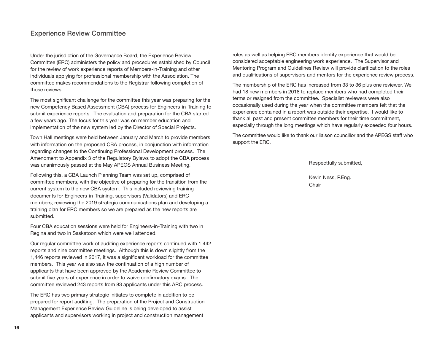Under the jurisdiction of the Governance Board, the Experience Review Committee (ERC) administers the policy and procedures established by Council for the review of work experience reports of Members-in-Training and other individuals applying for professional membership with the Association. The committee makes recommendations to the Registrar following completion of those reviews

The most significant challenge for the committee this year was preparing for the new Competency Based Assessment (CBA) process for Engineers-in-Training to submit experience reports. The evaluation and preparation for the CBA started a few years ago. The focus for this year was on member education and implementation of the new system led by the Director of Special Projects.

Town Hall meetings were held between January and March to provide members with information on the proposed CBA process, in conjunction with information regarding changes to the Continuing Professional Development process. The Amendment to Appendix 3 of the Regulatory Bylaws to adopt the CBA process was unanimously passed at the May APEGS Annual Business Meeting.

Following this, a CBA Launch Planning Team was set up, comprised of committee members, with the objective of preparing for the transition from the current system to the new CBA system. This included reviewing training documents for Engineers-in-Training, supervisors (Validators) and ERC members; reviewing the 2019 strategic communications plan and developing a training plan for ERC members so we are prepared as the new reports are submitted.

Four CBA education sessions were held for Engineers-in-Training with two in Regina and two in Saskatoon which were well attended.

Our regular committee work of auditing experience reports continued with 1,442 reports and nine committee meetings. Although this is down slightly from the 1,446 reports reviewed in 2017, it was a significant workload for the committee members. This year we also saw the continuation of a high number of applicants that have been approved by the Academic Review Committee to submit five years of experience in order to waive confirmatory exams. The committee reviewed 243 reports from 83 applicants under this ARC process.

The ERC has two primary strategic initiates to complete in addition to be prepared for report auditing. The preparation of the Project and Construction Management Experience Review Guideline is being developed to assist applicants and supervisors working in project and construction management

roles as well as helping ERC members identify experience that would be considered acceptable engineering work experience. The Supervisor and Mentoring Program and Guidelines Review will provide clarification to the roles and qualifications of supervisors and mentors for the experience review process.

The membership of the ERC has increased from 33 to 36 plus one reviewer. We had 18 new members in 2018 to replace members who had completed their terms or resigned from the committee. Specialist reviewers were also occasionally used during the year when the committee members felt that the experience contained in a report was outside their expertise. I would like to thank all past and present committee members for their time commitment, especially through the long meetings which have regularly exceeded four hours.

The committee would like to thank our liaison councillor and the APEGS staff who support the ERC.

Respectfully submitted,

Kevin Ness, P.Eng. Chair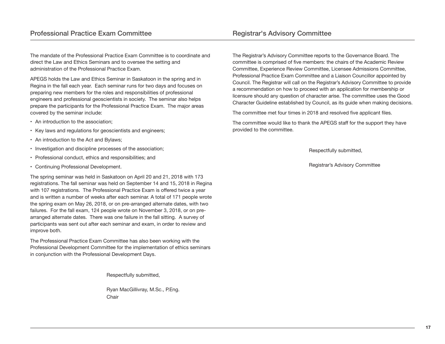The mandate of the Professional Practice Exam Committee is to coordinate and direct the Law and Ethics Seminars and to oversee the setting and administration of the Professional Practice Exam.

APEGS holds the Law and Ethics Seminar in Saskatoon in the spring and in Regina in the fall each year. Each seminar runs for two days and focuses on preparing new members for the roles and responsibilities of professional engineers and professional geoscientists in society. The seminar also helps prepare the participants for the Professional Practice Exam. The major areas covered by the seminar include:

- An introduction to the association;
- Key laws and regulations for geoscientists and engineers;
- An introduction to the Act and Bylaws;
- Investigation and discipline processes of the association;
- Professional conduct, ethics and responsibilities; and
- Continuing Professional Development.

The spring seminar was held in Saskatoon on April 20 and 21, 2018 with 173 registrations. The fall seminar was held on September 14 and 15, 2018 in Regina with 107 registrations. The Professional Practice Exam is offered twice a year and is written a number of weeks after each seminar. A total of 171 people wrote the spring exam on May 26, 2018, or on pre-arranged alternate dates, with two failures. For the fall exam, 124 people wrote on November 3, 2018, or on prearranged alternate dates. There was one failure in the fall sitting. A survey of participants was sent out after each seminar and exam, in order to review and improve both.

The Professional Practice Exam Committee has also been working with the Professional Development Committee for the implementation of ethics seminars in conjunction with the Professional Development Days.

Respectfully submitted,

Ryan MacGillivray, M.Sc., P.Eng. **Chair** 

The Registrar's Advisory Committee reports to the Governance Board. The committee is comprised of five members: the chairs of the Academic Review Committee, Experience Review Committee, Licensee Admissions Committee, Professional Practice Exam Committee and a Liaison Councillor appointed by Council. The Registrar will call on the Registrar's Advisory Committee to provide a recommendation on how to proceed with an application for membership or licensure should any question of character arise. The committee uses the Good Character Guideline established by Council, as its guide when making decisions.

The committee met four times in 2018 and resolved five applicant files.

The committee would like to thank the APEGS staff for the support they have provided to the committee.

Respectfully submitted,

Registrar's Advisory Committee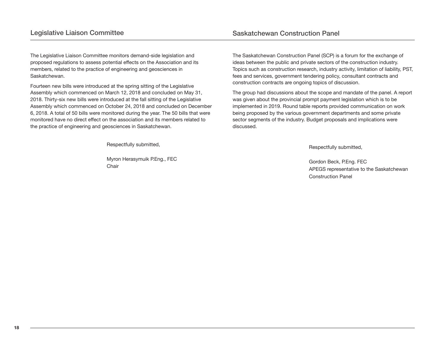The Legislative Liaison Committee monitors demand-side legislation and proposed regulations to assess potential effects on the Association and its members, related to the practice of engineering and geosciences in Saskatchewan.

Fourteen new bills were introduced at the spring sitting of the Legislative Assembly which commenced on March 12, 2018 and concluded on May 31, 2018. Thirty-six new bills were introduced at the fall sitting of the Legislative Assembly which commenced on October 24, 2018 and concluded on December 6, 2018. A total of 50 bills were monitored during the year. The 50 bills that were monitored have no direct effect on the association and its members related to the practice of engineering and geosciences in Saskatchewan.

Respectfully submitted,

Myron Herasymuik P.Eng., FEC Chair

The Saskatchewan Construction Panel (SCP) is a forum for the exchange of ideas between the public and private sectors of the construction industry. Topics such as construction research, industry activity, limitation of liability, PST, fees and services, government tendering policy, consultant contracts and construction contracts are ongoing topics of discussion.

The group had discussions about the scope and mandate of the panel. A report was given about the provincial prompt payment legislation which is to be implemented in 2019. Round table reports provided communication on work being proposed by the various government departments and some private sector segments of the industry. Budget proposals and implications were discussed.

Respectfully submitted,

Gordon Beck, P.Eng. FEC APEGS representative to the Saskatchewan Construction Panel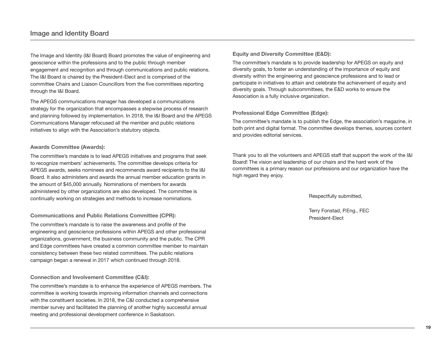The Image and Identity (I&I Board) Board promotes the value of engineering and geoscience within the professions and to the public through member engagement and recognition and through communications and public relations. The I&I Board is chaired by the President-Elect and is comprised of the committee Chairs and Liaison Councillors from the five committees reporting through the I&I Board.

The APEGS communications manager has developed a communications strategy for the organization that encompasses a stepwise process of research and planning followed by implementation. In 2018, the I&I Board and the APEGS Communications Manager refocused all the member and public relations initiatives to align with the Association's statutory objects.

#### **Awards Committee (Awards):**

The committee's mandate is to lead APEGS initiatives and programs that seek to recognize members' achievements. The committee develops criteria for APEGS awards, seeks nominees and recommends award recipients to the I&I Board. It also administers and awards the annual member education grants in the amount of \$45,000 annually. Nominations of members for awards administered by other organizations are also developed. The committee is continually working on strategies and methods to increase nominations.

#### **Communications and Public Relations Committee (CPR):**

The committee's mandate is to raise the awareness and profile of the engineering and geoscience professions within APEGS and other professional organizations, government, the business community and the public. The CPR and Edge committees have created a common committee member to maintain consistency between these two related committees. The public relations campaign began a renewal in 2017 which continued through 2018.

#### **Connection and Involvement Committee (C&I):**

The committee's mandate is to enhance the experience of APEGS members. The committee is working towards improving information channels and connections with the constituent societies. In 2018, the C&I conducted a comprehensive member survey and facilitated the planning of another highly successful annual meeting and professional development conference in Saskatoon.

**Equity and Diversity Committee (E&D):** 

The committee's mandate is to provide leadership for APEGS on equity and diversity goals, to foster an understanding of the importance of equity and diversity within the engineering and geoscience professions and to lead or participate in initiatives to attain and celebrate the achievement of equity and diversity goals. Through subcommittees, the E&D works to ensure the Association is a fully inclusive organization.

#### **Professional Edge Committee (Edge):**

The committee's mandate is to publish the Edge, the association's magazine, in both print and digital format. The committee develops themes, sources content and provides editorial services.

Thank you to all the volunteers and APEGS staff that support the work of the I&I Board! The vision and leadership of our chairs and the hard work of the committees is a primary reason our professions and our organization have the high regard they enjoy.

Respectfully submitted,

Terry Fonstad, P.Eng., FEC President-Elect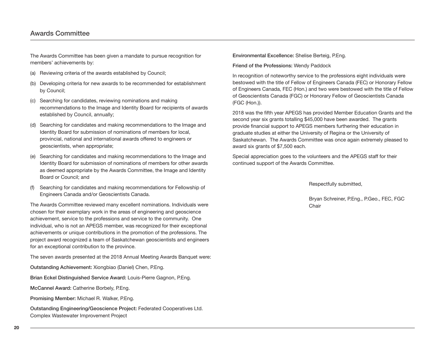## awards Committee

The Awards Committee has been given a mandate to pursue recognition for members' achievements by:

- (a) Reviewing criteria of the awards established by Council;
- (b) Developing criteria for new awards to be recommended for establishment by Council;
- (c) Searching for candidates, reviewing nominations and making recommendations to the Image and Identity Board for recipients of awards established by Council, annually;
- (d) Searching for candidates and making recommendations to the Image and Identity Board for submission of nominations of members for local, provincial, national and international awards offered to engineers or geoscientists, when appropriate;
- (e) Searching for candidates and making recommendations to the Image and Identity Board for submission of nominations of members for other awards as deemed appropriate by the Awards Committee, the Image and Identity Board or Council; and
- Searching for candidates and making recommendations for Fellowship of Engineers Canada and/or Geoscientists Canada.

The Awards Committee reviewed many excellent nominations. Individuals were chosen for their exemplary work in the areas of engineering and geoscience achievement, service to the professions and service to the community. One individual, who is not an APEGS member, was recognized for their exceptional achievements or unique contributions in the promotion of the professions. The project award recognized a team of Saskatchewan geoscientists and engineers for an exceptional contribution to the province.

The seven awards presented at the 2018 Annual Meeting Awards Banquet were:

**Outstanding Achievement:** Xiongbiao (Daniel) Chen, P.Eng.

**Brian Eckel Distinguished Service Award:** Louis-Pierre Gagnon, P.Eng.

**McCannel Award:** Catherine Borbely, P.Eng.

**Promising Member:** Michael R. Walker, P.Eng.

**Outstanding Engineering/Geoscience Project:** Federated Cooperatives Ltd. Complex Wastewater Improvement Project

**Environmental Excellence:** Shelise Berteig, P.Eng.

**Friend of the Professions:** Wendy Paddock

In recognition of noteworthy service to the professions eight individuals were bestowed with the title of Fellow of Engineers Canada (FEC) or Honorary Fellow of Engineers Canada, FEC (Hon.) and two were bestowed with the title of Fellow of Geoscientists Canada (FGC) or Honorary Fellow of Geoscientists Canada (FGC (Hon.)).

2018 was the fifth year APEGS has provided Member Education Grants and the second year six grants totalling \$45,000 have been awarded. The grants provide financial support to APEGS members furthering their education in graduate studies at either the University of Regina or the University of Saskatchewan. The Awards Committee was once again extremely pleased to award six grants of \$7,500 each.

Special appreciation goes to the volunteers and the APEGS staff for their continued support of the Awards Committee.

Respectfully submitted,

Bryan Schreiner, P.Eng., P.Geo., FEC, FGC **Chair**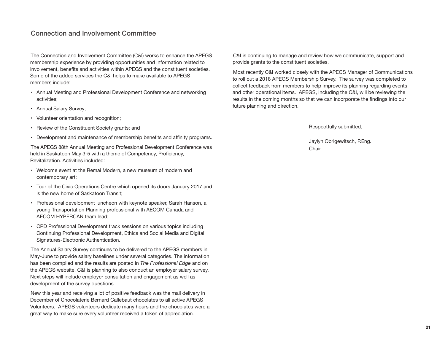## Connection and involvement Committee

The Connection and Involvement Committee (C&I) works to enhance the APEGS membership experience by providing opportunities and information related to involvement, benefits and activities within APEGS and the constituent societies. Some of the added services the C&I helps to make available to APEGS members include:

- Annual Meeting and Professional Development Conference and networking activities;
- Annual Salary Survey;
- Volunteer orientation and recognition;
- Review of the Constituent Society grants; and
- Development and maintenance of membership benefits and affinity programs.

The APEGS 88th Annual Meeting and Professional Development Conference was held in Saskatoon May 3-5 with a theme of Competency, Proficiency, Revitalization. Activities included:

- Welcome event at the Remai Modern, a new museum of modern and contemporary art;
- Tour of the Civic Operations Centre which opened its doors January 2017 and is the new home of Saskatoon Transit;
- Professional development luncheon with keynote speaker, Sarah Hanson, a young Transportation Planning professional with AECOM Canada and AECOM HYPERCAN team lead;
- CPD Professional Development track sessions on various topics including Continuing Professional Development, Ethics and Social Media and Digital Signatures-Electronic Authentication.

The Annual Salary Survey continues to be delivered to the APEGS members in May-June to provide salary baselines under several categories. The information has been compiled and the results are posted in *The Professional Edge* and on the APEGS website. C&I is planning to also conduct an employer salary survey. Next steps will include employer consultation and engagement as well as development of the survey questions.

New this year and receiving a lot of positive feedback was the mail delivery in December of Chocolaterie Bernard Callebaut chocolates to all active APEGS Volunteers. APEGS volunteers dedicate many hours and the chocolates were a great way to make sure every volunteer received a token of appreciation.

C&I is continuing to manage and review how we communicate, support and provide grants to the constituent societies.

Most recently C&I worked closely with the APEGS Manager of Communications to roll out a 2018 APEGS Membership Survey. The survey was completed to collect feedback from members to help improve its planning regarding events and other operational items. APEGS, including the C&I, will be reviewing the results in the coming months so that we can incorporate the findings into our future planning and direction.

Respectfully submitted,

Jaylyn Obrigewitsch, P.Eng. **Chair**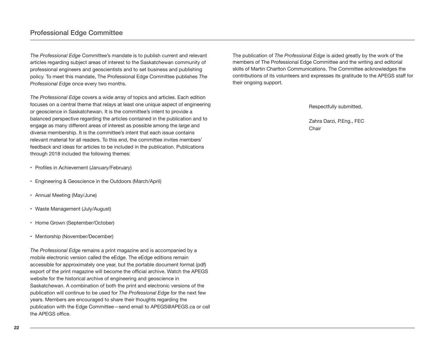*The Professional Edge* Committee's mandate is to publish current and relevant articles regarding subject areas of interest to the Saskatchewan community of professional engineers and geoscientists and to set business and publishing policy. To meet this mandate, The Professional Edge Committee publishes *The Professional Edge* once every two months.

*The Professional Edge* covers a wide array of topics and articles. Each edition focuses on a central theme that relays at least one unique aspect of engineering or geoscience in Saskatchewan. It is the committee's intent to provide a balanced perspective regarding the articles contained in the publication and to engage as many different areas of interest as possible among the large and diverse membership. It is the committee's intent that each issue contains relevant material for all readers. To this end, the committee invites members' feedback and ideas for articles to be included in the publication. Publications through 2018 included the following themes:

- Profiles in Achievement (January/February)
- Engineering & Geoscience in the Outdoors (March/April)
- Annual Meeting (May/June)
- Waste Management (July/August)
- Home Grown (September/October)
- Mentorship (November/December)

*The Professional Edge* remains a print magazine and is accompanied by a mobile electronic version called the eEdge. The eEdge editions remain accessible for approximately one year, but the portable document format (pdf) export of the print magazine will become the official archive. Watch the APEGS website for the historical archive of engineering and geoscience in Saskatchewan. A combination of both the print and electronic versions of the publication will continue to be used for *The Professional Edge* for the next few years. Members are encouraged to share their thoughts regarding the publication with the Edge Committee—send email to APEGS@APEGS.ca or call the APEGS office.

The publication of *The Professional Edge* is aided greatly by the work of the members of The Professional Edge Committee and the writing and editorial skills of Martin Charlton Communications. The Committee acknowledges the contributions of its volunteers and expresses its gratitude to the APEGS staff for their ongoing support.

Respectfully submitted,

Zahra Darzi, P.Eng., FEC Chair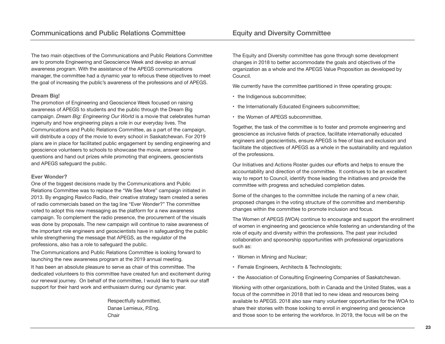The two main objectives of the Communications and Public Relations Committee are to promote Engineering and Geoscience Week and develop an annual awareness program. With the assistance of the APEGS communications manager, the committee had a dynamic year to refocus these objectives to meet the goal of increasing the public's awareness of the professions and of APEGS.

#### **Dream Big!**

The promotion of Engineering and Geoscience Week focused on raising awareness of APEGS to students and the public through the Dream Big campaign. *Dream Big: Engineering Our World* is a movie that celebrates human ingenuity and how engineering plays a role in our everyday lives. The Communications and Public Relations Committee, as a part of the campaign, will distribute a copy of the movie to every school in Saskatchewan. For 2019 plans are in place for facilitated public engagement by sending engineering and geoscience volunteers to schools to showcase the movie, answer some questions and hand out prizes while promoting that engineers, geoscientists and APEGS safeguard the public.

#### **Ever Wonder?**

One of the biggest decisions made by the Communications and Public Relations Committee was to replace the "We See More" campaign initiated in 2013. By engaging Rawlco Radio, their creative strategy team created a series of radio commercials based on the tag line "Ever Wonder?" The committee voted to adopt this new messaging as the platform for a new awareness campaign. To complement the radio presence, the procurement of the visuals was done by proposals. The new campaign will continue to raise awareness of the important role engineers and geoscientists have in safeguarding the public while strengthening the message that APEGS, as the regulator of the professions, also has a role to safeguard the public.

The Communications and Public Relations Committee is looking forward to launching the new awareness program at the 2019 annual meeting.

It has been an absolute pleasure to serve as chair of this committee. The dedicated volunteers to this committee have created fun and excitement during our renewal journey. On behalf of the committee, I would like to thank our staff support for their hard work and enthusiasm during our dynamic year.

> Respectfully submitted, Danae Lemieux, P.Eng. Chair

The Equity and Diversity committee has gone through some development changes in 2018 to better accommodate the goals and objectives of the organization as a whole and the APEGS Value Proposition as developed by Council.

We currently have the committee partitioned in three operating groups:

- the Indigenous subcommittee:
- the Internationally Educated Engineers subcommittee;
- the Women of APEGS subcommittee.

Together, the task of the committee is to foster and promote engineering and geoscience as inclusive fields of practice, facilitate internationally educated engineers and geoscientists, ensure APEGS is free of bias and exclusion and facilitate the objectives of APEGS as a whole in the sustainability and regulation of the professions.

Our Initiatives and Actions Roster guides our efforts and helps to ensure the accountability and direction of the committee. It continues to be an excellent way to report to Council, identify those leading the initiatives and provide the committee with progress and scheduled completion dates.

Some of the changes to the committee include the naming of a new chair, proposed changes in the voting structure of the committee and membership changes within the committee to promote inclusion and focus.

The Women of APEGS (WOA) continue to encourage and support the enrollment of women in engineering and geoscience while fostering an understanding of the role of equity and diversity within the professions. The past year included collaboration and sponsorship opportunities with professional organizations such as:

- Women in Mining and Nuclear;
- Female Engineers, Architects & Technologists;
- the Association of Consulting Engineering Companies of Saskatchewan.

Working with other organizations, both in Canada and the United States, was a focus of the committee in 2018 that led to new ideas and resources being available to APEGS. 2018 also saw many volunteer opportunities for the WOA to share their stories with those looking to enroll in engineering and geoscience and those soon to be entering the workforce. In 2019, the focus will be on the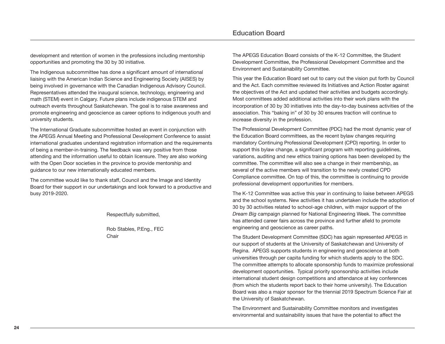development and retention of women in the professions including mentorship opportunities and promoting the 30 by 30 initiative.

The Indigenous subcommittee has done a significant amount of international liaising with the American Indian Science and Engineering Society (AISES) by being involved in governance with the Canadian Indigenous Advisory Council. Representatives attended the inaugural science, technology, engineering and math (STEM) event in Calgary. Future plans include indigenous STEM and outreach events throughout Saskatchewan. The goal is to raise awareness and promote engineering and geoscience as career options to indigenous youth and university students.

The International Graduate subcommittee hosted an event in conjunction with the APEGS Annual Meeting and Professional Development Conference to assist international graduates understand registration information and the requirements of being a member-in-training. The feedback was very positive from those attending and the information useful to obtain licensure. They are also working with the Open Door societies in the province to provide mentorship and guidance to our new internationally educated members.

The committee would like to thank staff, Council and the Image and Identity Board for their support in our undertakings and look forward to a productive and busy 2019-2020.

Respectfully submitted,

Rob Stables, P.Eng., FEC **Chair** 

The APEGS Education Board consists of the K-12 Committee, the Student Development Committee, the Professional Development Committee and the Environment and Sustainability Committee.

This year the Education Board set out to carry out the vision put forth by Council and the Act. Each committee reviewed its Initiatives and Action Roster against the objectives of the Act and updated their activities and budgets accordingly. Most committees added additional activities into their work plans with the incorporation of 30 by 30 initiatives into the day-to-day business activities of the association. This "baking in" of 30 by 30 ensures traction will continue to increase diversity in the profession.

The Professional Development Committee (PDC) had the most dynamic year of the Education Board committees, as the recent bylaw changes requiring mandatory Continuing Professional Development (CPD) reporting. In order to support this bylaw change, a significant program with reporting guidelines, variations, auditing and new ethics training options has been developed by the committee. The committee will also see a change in their membership, as several of the active members will transition to the newly created CPD Compliance committee. On top of this, the committee is continuing to provide professional development opportunities for members.

The K-12 Committee was active this year in continuing to liaise between APEGS and the school systems. New activities it has undertaken include the adoption of 30 by 30 activities related to school-age children, with major support of the *Dream Big* campaign planned for National Engineering Week. The committee has attended career fairs across the province and further afield to promote engineering and geoscience as career paths.

The Student Development Committee (SDC) has again represented APEGS in our support of students at the University of Saskatchewan and University of Regina. APEGS supports students in engineering and geoscience at both universities through per capita funding for which students apply to the SDC. The committee attempts to allocate sponsorship funds to maximize professional development opportunities. Typical priority sponsorship activities include international student design competitions and attendance at key conferences (from which the students report back to their home university). The Education Board was also a major sponsor for the triennial 2019 Spectrum Science Fair at the University of Saskatchewan.

The Environment and Sustainability Committee monitors and investigates environmental and sustainability issues that have the potential to affect the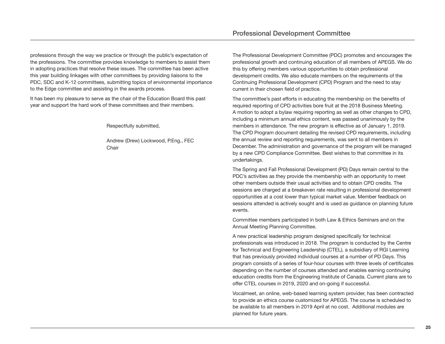professions through the way we practice or through the public's expectation of the professions. The committee provides knowledge to members to assist them in adopting practices that resolve these issues. The committee has been active this year building linkages with other committees by providing liaisons to the PDC, SDC and K-12 committees, submitting topics of environmental importance to the Edge committee and assisting in the awards process.

It has been my pleasure to serve as the chair of the Education Board this past year and support the hard work of these committees and their members.

Respectfully submitted,

Andrew (Drew) Lockwood, P.Eng., FEC Chair

The Professional Development Committee (PDC) promotes and encourages the professional growth and continuing education of all members of APEGS. We do this by offering members various opportunities to obtain professional development credits. We also educate members on the requirements of the Continuing Professional Development (CPD) Program and the need to stay current in their chosen field of practice.

The committee's past efforts in educating the membership on the benefits of required reporting of CPD activities bore fruit at the 2018 Business Meeting. A motion to adopt a bylaw requiring reporting as well as other changes to CPD, including a minimum annual ethics content, was passed unanimously by the members in attendance. The new program is effective as of January 1, 2019. The CPD Program document detailing the revised CPD requirements, including the annual review and reporting requirements, was sent to all members in December. The administration and governance of the program will be managed by a new CPD Compliance Committee. Best wishes to that committee in its undertakings.

The Spring and Fall Professional Development (PD) Days remain central to the PDC's activities as they provide the membership with an opportunity to meet other members outside their usual activities and to obtain CPD credits. The sessions are charged at a breakeven rate resulting in professional development opportunities at a cost lower than typical market value. Member feedback on sessions attended is actively sought and is used as guidance on planning future events.

Committee members participated in both Law & Ethics Seminars and on the Annual Meeting Planning Committee.

A new practical leadership program designed specifically for technical professionals was introduced in 2018. The program is conducted by the Centre for Technical and Engineering Leadership (CTEL), a subsidiary of RGI Learning that has previously provided individual courses at a number of PD Days. This program consists of a series of four-hour courses with three levels of certificates depending on the number of courses attended and enables earning continuing education credits from the Engineering Institute of Canada. Current plans are to offer CTEL courses in 2019, 2020 and on-going if successful.

Vocalmeet, an online, web-based learning system provider, has been contracted to provide an ethics course customized for APEGS. The course is scheduled to be available to all members in 2019 April at no cost. Additional modules are planned for future years.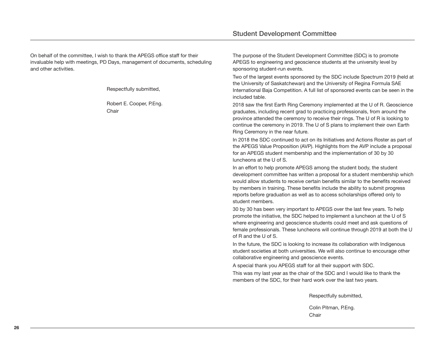On behalf of the committee, I wish to thank the APEGS office staff for their invaluable help with meetings, PD Days, management of documents, scheduling and other activities.

Respectfully submitted,

Robert E. Cooper, P.Eng. **Chair** 

The purpose of the Student Development Committee (SDC) is to promote APEGS to engineering and geoscience students at the university level by sponsoring student-run events.

Two of the largest events sponsored by the SDC include Spectrum 2019 (held at the University of Saskatchewan) and the University of Regina Formula SAE International Baja Competition. A full list of sponsored events can be seen in the included table.

2018 saw the first Earth Ring Ceremony implemented at the U of R. Geoscience graduates, including recent grad to practicing professionals, from around the province attended the ceremony to receive their rings. The U of R is looking to continue the ceremony in 2019. The U of S plans to implement their own Earth Ring Ceremony in the near future.

In 2018 the SDC continued to act on its Initiatives and Actions Roster as part of the APEGS Value Proposition (AVP). Highlights from the AVP include a proposal for an APEGS student membership and the implementation of 30 by 30 luncheons at the U of S.

In an effort to help promote APEGS among the student body, the student development committee has written a proposal for a student membership which would allow students to receive certain benefits similar to the benefits received by members in training. These benefits include the ability to submit progress reports before graduation as well as to access scholarships offered only to student members.

30 by 30 has been very important to APEGS over the last few years. To help promote the initiative, the SDC helped to implement a luncheon at the U of S where engineering and geoscience students could meet and ask questions of female professionals. These luncheons will continue through 2019 at both the U of R and the U of S.

In the future, the SDC is looking to increase its collaboration with Indigenous student societies at both universities. We will also continue to encourage other collaborative engineering and geoscience events.

A special thank you APEGS staff for all their support with SDC.

This was my last year as the chair of the SDC and I would like to thank the members of the SDC, for their hard work over the last two years.

Respectfully submitted,

Colin Pitman, P.Eng. **Chair**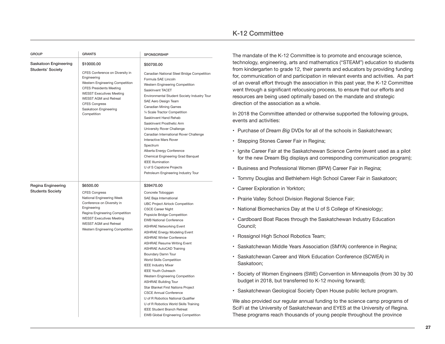| <b>GROUP</b>             | <b>GRANTS</b>                                                                                                                                                                                                                                          | <b>SPONSORSHIP</b>                                                                                                                                                                                                                                                                                                                                                                                                                                                                                                                                                                                           | The mandate of the K-12 C                                                                                                                                                                                                                                                                                                                                                                        |
|--------------------------|--------------------------------------------------------------------------------------------------------------------------------------------------------------------------------------------------------------------------------------------------------|--------------------------------------------------------------------------------------------------------------------------------------------------------------------------------------------------------------------------------------------------------------------------------------------------------------------------------------------------------------------------------------------------------------------------------------------------------------------------------------------------------------------------------------------------------------------------------------------------------------|--------------------------------------------------------------------------------------------------------------------------------------------------------------------------------------------------------------------------------------------------------------------------------------------------------------------------------------------------------------------------------------------------|
| Saskatoon Engineering    | \$10000.00                                                                                                                                                                                                                                             | \$50700.00                                                                                                                                                                                                                                                                                                                                                                                                                                                                                                                                                                                                   | technology, engineering, ar                                                                                                                                                                                                                                                                                                                                                                      |
| <b>Students' Society</b> | CFES Conference on Diversity in<br>Engineering<br>Western Engineering Competition<br><b>CFES Presidents Meeting</b><br><b>WESST Executives Meeting</b><br><b>WESST AGM and Retreat</b><br><b>CFES Congress</b><br>Saskatoon Engineering<br>Competition | Canadian National Steel Bridge Competition<br>Formula SAE Lincoln<br>Western Engineering Competition<br>SaskInvent TACET<br>Environmental Student Society Industry Tour<br>SAE Aero Design Team<br><b>Canadian Mining Games</b><br>1/4 Scale Tractor Competition<br>SaskInvent Hand Rehab<br>SaskInvent Prosthetic Arm<br>University Rover Challenge<br>Canadian International Rover Challenge<br><b>Interactive Mars Rover</b><br>Spectrum<br>Alberta Energy Conference<br>Chemical Engineering Grad Banquet<br><b>IEEE Illumination</b><br>U of S Capstone Projects<br>Petroleum Engineering Industry Tour | from kindergarten to grade<br>for, communication of and<br>of an overall effort through<br>went through a significant r<br>resources are being used o<br>direction of the association<br>In 2018 the Committee atte<br>events and activities:<br>• Purchase of Dream Big D<br>• Stepping Stones Career<br>• Ignite Career Fair at the S<br>for the new Dream Big di<br>• Business and Profession |
| Regina Engineering       | \$6500.00                                                                                                                                                                                                                                              | \$39470.00                                                                                                                                                                                                                                                                                                                                                                                                                                                                                                                                                                                                   | • Tommy Douglas and Bet                                                                                                                                                                                                                                                                                                                                                                          |
| <b>Students Society</b>  | <b>CFES Congress</b><br>National Engineering Week                                                                                                                                                                                                      | Concrete Toboggan<br>SAE Baja International                                                                                                                                                                                                                                                                                                                                                                                                                                                                                                                                                                  | • Career Exploration in Yor<br>• Prairie Valley School Divi                                                                                                                                                                                                                                                                                                                                      |
|                          | Conference on Diversity in<br>Engineering                                                                                                                                                                                                              | <b>UBC Project Airlock Competition</b><br><b>CSCE Career Night</b>                                                                                                                                                                                                                                                                                                                                                                                                                                                                                                                                           | • National Biomechanics D                                                                                                                                                                                                                                                                                                                                                                        |
|                          | Regina Engineering Competition<br><b>WESST Executives Meeting</b><br><b>WESST AGM and Retreat</b><br>Western Engineering Competition                                                                                                                   | Popsicle Bridge Competition<br><b>EWB National Conference</b><br><b>ASHRAE Networking Event</b>                                                                                                                                                                                                                                                                                                                                                                                                                                                                                                              | • Cardboard Boat Races tl<br>Council;                                                                                                                                                                                                                                                                                                                                                            |
|                          |                                                                                                                                                                                                                                                        | <b>ASHRAE Energy Modeling Event</b><br><b>ASHRAE Winter Conference</b>                                                                                                                                                                                                                                                                                                                                                                                                                                                                                                                                       | • Rossignol High School R                                                                                                                                                                                                                                                                                                                                                                        |
|                          |                                                                                                                                                                                                                                                        | <b>ASHRAE Resume Writing Event</b><br><b>ASHRAE AutoCAD Training</b>                                                                                                                                                                                                                                                                                                                                                                                                                                                                                                                                         | • Saskatchewan Middle Ye                                                                                                                                                                                                                                                                                                                                                                         |
|                          |                                                                                                                                                                                                                                                        | Boundary Damn Tour<br>World Skills Competition<br><b>IEEE Industry Mixer</b>                                                                                                                                                                                                                                                                                                                                                                                                                                                                                                                                 | • Saskatchewan Career an<br>Saskatoon;                                                                                                                                                                                                                                                                                                                                                           |
|                          |                                                                                                                                                                                                                                                        | <b>IEEE Youth Outreach</b><br>Western Engineering Competition<br><b>ASHRAE Building Tour</b>                                                                                                                                                                                                                                                                                                                                                                                                                                                                                                                 | • Society of Women Engin<br>budget in 2018, but trans                                                                                                                                                                                                                                                                                                                                            |
|                          |                                                                                                                                                                                                                                                        | Star Blanket First Nations Project<br><b>CSCE Annual Conference</b>                                                                                                                                                                                                                                                                                                                                                                                                                                                                                                                                          | · Saskatchewan Geologica                                                                                                                                                                                                                                                                                                                                                                         |
|                          |                                                                                                                                                                                                                                                        | U of R Robotics National Qualifier<br>U of R Robotics World Skills Training<br><b>IEEE Student Branch Retreat</b><br><b>EWB Global Engineering Competition</b>                                                                                                                                                                                                                                                                                                                                                                                                                                               | We also provided our regul<br>SciFi at the University of Sa<br>These programs reach thou                                                                                                                                                                                                                                                                                                         |

## K-12 Committee

fommittee is to promote and encourage science, ts and mathematics ("STEAM") education to students 12, their parents and educators by providing funding participation in relevant events and activities. As part the association in this past year, the K-12 Committee refocusing process, to ensure that our efforts and ptimally based on the mandate and strategic as a whole.

ended or otherwise supported the following groups,

- <sup>2</sup> Purpose of the schools in Saskatchewan;
- Fair in Regina;
- Saskatchewan Science Centre (event used as a pilot isplays and corresponding communication program);
- al Women (BPW) Career Fair in Regina;
- hlehem High School Career Fair in Saskatoon;
- kton:
- sion Regional Science Fair;
- lay at the U of S College of Kinesiology;
- hrough the Saskatchewan Industry Education
- obotics Team;
- ears Association (SMYA) conference in Regina;
- d Work Education Conference (SCWEA) in
- eers (SWE) Convention in Minneapolis (from 30 by 30 sferred to K-12 moving forward);
- al Society Open House public lecture program.

ar annual funding to the science camp programs of askatchewan and EYES at the University of Regina. Isands of young people throughout the province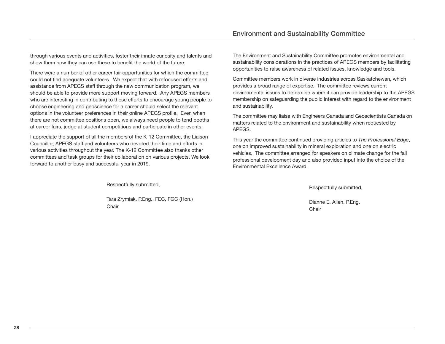through various events and activities, foster their innate curiosity and talents and show them how they can use these to benefit the world of the future.

There were a number of other career fair opportunities for which the committee could not find adequate volunteers. We expect that with refocused efforts and assistance from APEGS staff through the new communication program, we should be able to provide more support moving forward. Any APEGS members who are interesting in contributing to these efforts to encourage young people to choose engineering and geoscience for a career should select the relevant options in the volunteer preferences in their online APEGS profile. Even when there are not committee positions open, we always need people to tend booths at career fairs, judge at student competitions and participate in other events.

I appreciate the support of all the members of the K-12 Committee, the Liaison Councillor, APEGS staff and volunteers who devoted their time and efforts in various activities throughout the year. The K-12 Committee also thanks other committees and task groups for their collaboration on various projects. We look forward to another busy and successful year in 2019.

Respectfully submitted,

Tara Zrymiak, P.Eng., FEC, FGC (Hon.) Chair

The Environment and Sustainability Committee promotes environmental and sustainability considerations in the practices of APEGS members by facilitating opportunities to raise awareness of related issues, knowledge and tools.

Committee members work in diverse industries across Saskatchewan, which provides a broad range of expertise. The committee reviews current environmental issues to determine where it can provide leadership to the APEGS membership on safeguarding the public interest with regard to the environment and sustainability.

The committee may liaise with Engineers Canada and Geoscientists Canada on matters related to the environment and sustainability when requested by APEGS.

This year the committee continued providing articles to *The Professional Edge*, one on improved sustainability in mineral exploration and one on electric vehicles. The committee arranged for speakers on climate change for the fall professional development day and also provided input into the choice of the Environmental Excellence Award.

Respectfully submitted,

Dianne E. Allen, P.Eng. **Chair**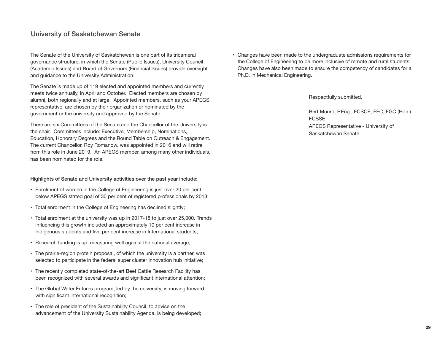The Senate of the University of Saskatchewan is one part of its tricameral governance structure, in which the Senate (Public Issues), University Council (Academic Issues) and Board of Governors (Financial Issues) provide oversight and guidance to the University Administration.

The Senate is made up of 119 elected and appointed members and currently meets twice annually, in April and October. Elected members are chosen by alumni, both regionally and at large. Appointed members, such as your APEGS representative, are chosen by their organization or nominated by the government or the university and approved by the Senate.

There are six Committees of the Senate and the Chancellor of the University is the chair. Committees include: Executive, Membership, Nominations, Education, Honorary Degrees and the Round Table on Outreach & Engagement. The current Chancellor, Roy Romanow, was appointed in 2016 and will retire from this role in June 2019. An APEGS member, among many other individuals, has been nominated for the role.

#### **Highlights of Senate and University activities over the past year include:**

- Enrolment of women in the College of Engineering is just over 20 per cent, below APEGS stated goal of 30 per cent of registered professionals by 2013;
- Total enrolment in the College of Engineering has declined slightly;
- Total enrolment at the university was up in 2017-18 to just over 25,000. Trends influencing this growth included an approximately 10 per cent increase in Indigenous students and five per cent increase in International students;
- Research funding is up, measuring well against the national average;
- The prairie-region protein proposal, of which the university is a partner, was selected to participate in the federal super cluster innovation hub initiative;
- The recently completed state-of-the-art Beef Cattle Research Facility has been recognized with several awards and significant international attention;
- The Global Water Futures program, led by the university, is moving forward with significant international recognition;
- The role of president of the Sustainability Council, to advise on the advancement of the University Sustainability Agenda, is being developed;

• Changes have been made to the undergraduate admissions requirements for the College of Engineering to be more inclusive of remote and rural students. Changes have also been made to ensure the competency of candidates for a Ph.D. in Mechanical Engineering.

Respectfully submitted,

Bert Munro, P.Eng., FCSCE, FEC, FGC (Hon.) FCSSE APEGS Representative - University of Saskatchewan Senate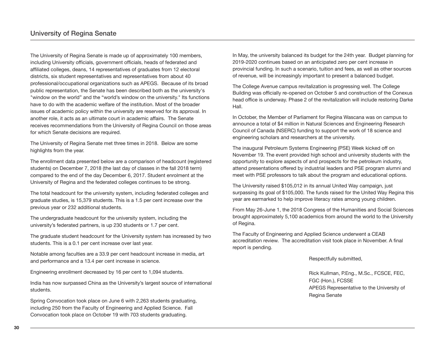The University of Regina Senate is made up of approximately 100 members, including University officials, government officials, heads of federated and affiliated colleges, deans, 14 representatives of graduates from 12 electoral districts, six student representatives and representatives from about 40 professional/occupational organizations such as APEGS. Because of its broad public representation, the Senate has been described both as the university's "window on the world" and the "world's window on the university." Its functions have to do with the academic welfare of the institution. Most of the broader issues of academic policy within the university are reserved for its approval. In another role, it acts as an ultimate court in academic affairs. The Senate receives recommendations from the University of Regina Council on those areas for which Senate decisions are required.

The University of Regina Senate met three times in 2018. Below are some highlights from the year.

The enrollment data presented below are a comparison of headcount (registered students) on December 7, 2018 (the last day of classes in the fall 2018 term) compared to the end of the day December 6, 2017. Student enrolment at the University of Regina and the federated colleges continues to be strong.

The total headcount for the university system, including federated colleges and graduate studies, is 15,379 students. This is a 1.5 per cent increase over the previous year or 232 additional students.

The undergraduate headcount for the university system, including the university's federated partners, is up 230 students or 1.7 per cent.

The graduate student headcount for the University system has increased by two students. This is a 0.1 per cent increase over last year.

Notable among faculties are a 33.9 per cent headcount increase in media, art and performance and a 13.4 per cent increase in science.

Engineering enrollment decreased by 16 per cent to 1,094 students.

India has now surpassed China as the University's largest source of international students.

Spring Convocation took place on June 6 with 2,263 students graduating, including 250 from the Faculty of Engineering and Applied Science. Fall Convocation took place on October 19 with 703 students graduating.

In May, the university balanced its budget for the 24th year. Budget planning for 2019-2020 continues based on an anticipated zero per cent increase in provincial funding. In such a scenario, tuition and fees, as well as other sources of revenue, will be increasingly important to present a balanced budget.

The College Avenue campus revitalization is progressing well. The College Building was officially re-opened on October 5 and construction of the Conexus head office is underway. Phase 2 of the revitalization will include restoring Darke Hall.

In October, the Member of Parliament for Regina Wascana was on campus to announce a total of \$4 million in Natural Sciences and Engineering Research Council of Canada (NSERC) funding to support the work of 18 science and engineering scholars and researchers at the university.

The inaugural Petroleum Systems Engineering (PSE) Week kicked off on November 19. The event provided high school and university students with the opportunity to explore aspects of and prospects for the petroleum industry, attend presentations offered by industrial leaders and PSE program alumni and meet with PSE professors to talk about the program and educational options.

The University raised \$105,012 in its annual United Way campaign, just surpassing its goal of \$105,000. The funds raised for the United Way Regina this year are earmarked to help improve literacy rates among young children.

From May 26-June 1, the 2018 Congress of the Humanities and Social Sciences brought approximately 5,100 academics from around the world to the University of Regina.

The Faculty of Engineering and Applied Science underwent a CEAB accreditation review. The accreditation visit took place in November. A final report is pending.

Respectfully submitted,

Rick Kullman, P.Eng., M.Sc., FCSCE, FEC, FGC (Hon.), FCSSE APEGS Representative to the University of Regina Senate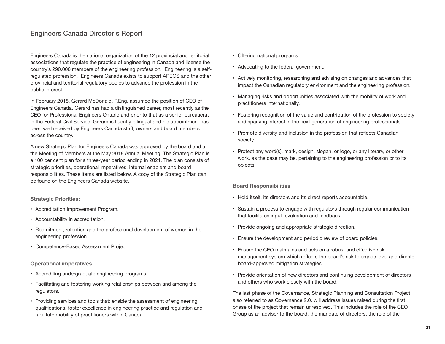Engineers Canada is the national organization of the 12 provincial and territorial associations that regulate the practice of engineering in Canada and license the country's 290,000 members of the engineering profession. Engineering is a selfregulated profession. Engineers Canada exists to support APEGS and the other provincial and territorial regulatory bodies to advance the profession in the public interest.

In February 2018, Gerard McDonald, P.Eng. assumed the position of CEO of Engineers Canada. Gerard has had a distinguished career, most recently as the CEO for Professional Engineers Ontario and prior to that as a senior bureaucrat in the Federal Civil Service. Gerard is fluently bilingual and his appointment has been well received by Engineers Canada staff, owners and board members across the country.

A new Strategic Plan for Engineers Canada was approved by the board and at the Meeting of Members at the May 2018 Annual Meeting. The Strategic Plan is a 100 per cent plan for a three-year period ending in 2021. The plan consists of strategic priorities, operational imperatives, internal enablers and board responsibilities. These items are listed below. A copy of the Strategic Plan can be found on the Engineers Canada website.

#### **Strategic Priorities:**

- Accreditation Improvement Program.
- Accountability in accreditation.
- Recruitment, retention and the professional development of women in the engineering profession.
- Competency-Based Assessment Project.

#### **Operational imperatives**

- Accrediting undergraduate engineering programs.
- Facilitating and fostering working relationships between and among the regulators.
- Providing services and tools that: enable the assessment of engineering qualifications, foster excellence in engineering practice and regulation and facilitate mobility of practitioners within Canada.
- Offering national programs.
- Advocating to the federal government.
- Actively monitoring, researching and advising on changes and advances that impact the Canadian regulatory environment and the engineering profession.
- Managing risks and opportunities associated with the mobility of work and practitioners internationally.
- Fostering recognition of the value and contribution of the profession to society and sparking interest in the next generation of engineering professionals.
- Promote diversity and inclusion in the profession that reflects Canadian society.
- Protect any word(s), mark, design, slogan, or logo, or any literary, or other work, as the case may be, pertaining to the engineering profession or to its objects.

#### **Board Responsibilities**

- Hold itself, its directors and its direct reports accountable.
- Sustain a process to engage with regulators through regular communication that facilitates input, evaluation and feedback.
- Provide ongoing and appropriate strategic direction.
- Ensure the development and periodic review of board policies.
- Ensure the CEO maintains and acts on a robust and effective risk management system which reflects the board's risk tolerance level and directs board-approved mitigation strategies.
- Provide orientation of new directors and continuing development of directors and others who work closely with the board.

The last phase of the Governance, Strategic Planning and Consultation Project, also referred to as Governance 2.0, will address issues raised during the first phase of the project that remain unresolved. This includes the role of the CEO Group as an advisor to the board, the mandate of directors, the role of the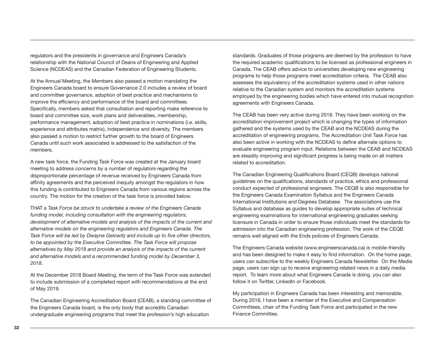regulators and the presidents in governance and Engineers Canada's relationship with the National Council of Deans of Engineering and Applied Science (NCDEAS) and the Canadian Federation of Engineering Students.

At the Annual Meeting, the Members also passed a motion mandating the Engineers Canada board to ensure Governance 2.0 includes a review of board and committee governance, adoption of best practice and mechanisms to improve the efficiency and performance of the board and committees. Specifically, members asked that consultation and reporting make reference to board and committee size, work plans and deliverables, membership, performance management, adoption of best practice in nominations (i.e. skills, experience and attributes matrix), independence and diversity. The members also passed a motion to restrict further growth to the board of Engineers Canada until such work associated is addressed to the satisfaction of the members.

A new task force, the Funding Task Force was created at the January board meeting to address concerns by a number of regulators regarding the disproportionate percentage of revenue received by Engineers Canada from affinity agreements and the perceived inequity amongst the regulators in how this funding is contributed to Engineers Canada from various regions across the country. The motion for the creation of the task force is provided below.

THAT *a Task Force be struck to undertake a review of the Engineers Canada funding model, including consultation with the engineering regulators, development of alternative models and analysis of the impacts of the current and alternative models on the engineering regulators and Engineers Canada. The Task Force will be led by Dwayne Gelowitz and include up to five other directors, to be appointed by the Executive Committee. The Task Force will propose alternatives by May 2018 and provide an analysis of the impacts of the current and alternative models and a recommended funding model by December 3, 2018*.

At the December 2018 Board Meeting, the term of the Task Force was extended to include submission of a completed report with recommendations at the end of May 2019.

The Canadian Engineering Accreditation Board (CEAB), a standing committee of the Engineers Canada board, is the only body that accredits Canadian undergraduate engineering programs that meet the profession's high education

standards. Graduates of those programs are deemed by the profession to have the required academic qualifications to be licensed as professional engineers in Canada. The CEAB offers advice to universities developing new engineering programs to help those programs meet accreditation criteria. The CEAB also assesses the equivalency of the accreditation systems used in other nations relative to the Canadian system and monitors the accreditation systems employed by the engineering bodies which have entered into mutual recognition agreements with Engineers Canada.

The CEAB has been very active during 2018. They have been working on the accreditation improvement project which is changing the types of information gathered and the systems used by the CEAB and the NCDEAS during the accreditation of engineering programs. The Accreditation Unit Task Force has also been active in working with the NCDEAS to define alternate options to evaluate engineering program input. Relations between the CEAB and NCDEAS are steadily improving and significant progress is being made on all matters related to accreditation.

The Canadian Engineering Qualifications Board (CEQB) develops national guidelines on the qualifications, standards of practice, ethics and professional conduct expected of professional engineers. The CEQB is also responsible for the Engineers Canada Examination Syllabus and the Engineers Canada International Institutions and Degrees Database. The associations use the Syllabus and database as guides to develop appropriate suites of technical engineering examinations for international engineering graduates seeking licensure in Canada in order to ensure those individuals meet the standards for admission into the Canadian engineering profession. The work of the CEQB remains well aligned with the Ends policies of Engineers Canada.

The Engineers Canada website (www.engineerscanada.ca) is mobile-friendly and has been designed to make it easy to find information. On the home page, users can subscribe to the weekly Engineers Canada Newsletter. On the Media page, users can sign up to receive engineering-related news in a daily media report. To learn more about what Engineers Canada is doing, you can also follow it on Twitter, LinkedIn or Facebook.

My participation in Engineers Canada has been interesting and memorable. During 2018, I have been a member of the Executive and Compensation Committees, chair of the Funding Task Force and participated in the new Finance Committee.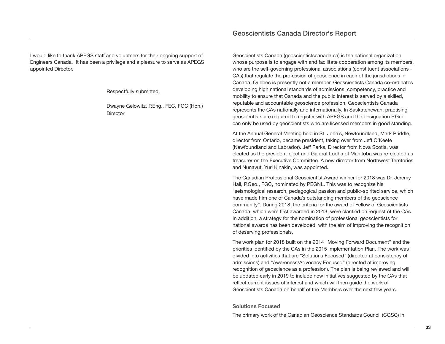I would like to thank APEGS staff and volunteers for their ongoing support of Engineers Canada. It has been a privilege and a pleasure to serve as APEGS appointed Director.

Respectfully submitted,

Dwayne Gelowitz, P.Eng., FEC, FGC (Hon.) **Director** 

Geoscientists Canada (geoscientistscanada.ca) is the national organization whose purpose is to engage with and facilitate cooperation among its members, who are the self-governing professional associations (constituent associations -CAs) that regulate the profession of geoscience in each of the jurisdictions in Canada. Quebec is presently not a member. Geoscientists Canada co-ordinates developing high national standards of admissions, competency, practice and mobility to ensure that Canada and the public interest is served by a skilled, reputable and accountable geoscience profession. Geoscientists Canada represents the CAs nationally and internationally. In Saskatchewan, practising geoscientists are required to register with APEGS and the designation P.Geo. can only be used by geoscientists who are licensed members in good standing.

At the Annual General Meeting held in St. John's, Newfoundland, Mark Priddle, director from Ontario, became president, taking over from Jeff O'Keefe (Newfoundland and Labrador). Jeff Parks, Director from Nova Scotia, was elected as the president-elect and Ganpat Lodha of Manitoba was re-elected as treasurer on the Executive Committee. A new director from Northwest Territories and Nunavut, Yuri Kinakin, was appointed.

The Canadian Professional Geoscientist Award winner for 2018 was Dr. Jeremy Hall, P.Geo., FGC, nominated by PEGNL. This was to recognize his "seismological research, pedagogical passion and public-spirited service, which have made him one of Canada's outstanding members of the geoscience community". During 2018, the criteria for the award of Fellow of Geoscientists Canada, which were first awarded in 2013, were clarified on request of the CAs. In addition, a strategy for the nomination of professional geoscientists for national awards has been developed, with the aim of improving the recognition of deserving professionals.

The work plan for 2018 built on the 2014 "Moving Forward Document" and the priorities identified by the CAs in the 2015 Implementation Plan. The work was divided into activities that are "Solutions Focused" (directed at consistency of admissions) and "Awareness/Advocacy Focused" (directed at improving recognition of geoscience as a profession). The plan is being reviewed and will be updated early in 2019 to include new initiatives suggested by the CAs that reflect current issues of interest and which will then guide the work of Geoscientists Canada on behalf of the Members over the next few years.

#### **Solutions Focused**

The primary work of the Canadian Geoscience Standards Council (CGSC) in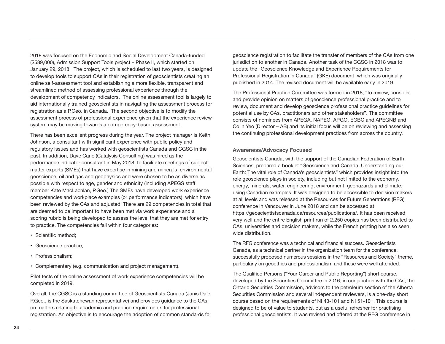2018 was focused on the Economic and Social Development Canada-funded (\$589,000), Admission Support Tools project – Phase II, which started on January 29, 2018. The project, which is scheduled to last two years, is designed to develop tools to support CAs in their registration of geoscientists creating an online self-assessment tool and establishing a more flexible, transparent and streamlined method of assessing professional experience through the development of competency indicators. The online assessment tool is largely to aid internationally trained geoscientists in navigating the assessment process for registration as a P.Geo. in Canada. The second objective is to modify the assessment process of professional experience given that the experience review system may be moving towards a competency-based assessment.

There has been excellent progress during the year. The project manager is Keith Johnson, a consultant with significant experience with public policy and regulatory issues and has worked with geoscientists Canada and CGSC in the past. In addition, Dave Cane (Catalysis Consulting) was hired as the performance indicator consultant in May 2018, to facilitate meetings of subject matter experts (SMEs) that have expertise in mining and minerals, environmental geoscience, oil and gas and geophysics and were chosen to be as diverse as possible with respect to age, gender and ethnicity (including APEGS staff member Kate MacLachlan, P.Geo.) The SMEs have developed work experience competencies and workplace examples (or performance indicators), which have been reviewed by the CAs and adjusted. There are 29 competencies in total that are deemed to be important to have been met via work experience and a scoring rubric is being developed to assess the level that they are met for entry to practice. The competencies fall within four categories:

- Scientific method;
- Geoscience practice;
- Professionalism;
- Complementary (e.g. communication and project management).

Pilot tests of the online assessment of work experience competencies will be completed in 2019.

Overall, the CGSC is a standing committee of Geoscientists Canada (Janis Dale, P.Geo., is the Saskatchewan representative) and provides guidance to the CAs on matters relating to academic and practice requirements for professional registration. An objective is to encourage the adoption of common standards for geoscience registration to facilitate the transfer of members of the CAs from one jurisdiction to another in Canada. Another task of the CGSC in 2018 was to update the "Geoscience Knowledge and Experience Requirements for Professional Registration in Canada" (GKE) document, which was originally published in 2014. The revised document will be available early in 2019.

The Professional Practice Committee was formed in 2018, "to review, consider and provide opinion on matters of geoscience professional practice and to review, document and develop geoscience professional practice guidelines for potential use by CAs, practitioners and other stakeholders". The committee consists of nominees from APEGA, NAPEG, APGO, EGBC and APEGNB and Colin Yeo (Director – AB) and its initial focus will be on reviewing and assessing the continuing professional development practices from across the country.

#### **Awareness/Advocacy Focused**

Geoscientists Canada, with the support of the Canadian Federation of Earth Sciences, prepared a booklet "Geoscience and Canada. Understanding our Earth: The vital role of Canada's geoscientists" which provides insight into the role geoscience plays in society, including but not limited to the economy, energy, minerals, water, engineering, environment, geohazards and climate, using Canadian examples. It was designed to be accessible to decision makers at all levels and was released at the Resources for Future Generations (RFG) conference in Vancouver in June 2018 and can be accessed at https://geoscientistscanada.ca/resources/publications/. It has been received very well and the entire English print run of 2,250 copies has been distributed to CAs, universities and decision makers, while the French printing has also seen wide distribution.

The RFG conference was a technical and financial success. Geoscientists Canada, as a technical partner in the organization team for the conference, successfully proposed numerous sessions in the "Resources and Society" theme, particularly on geoethics and professionalism and these were well attended.

The Qualified Persons ("Your Career and Public Reporting") short course, developed by the Securities Committee in 2016, in conjunction with the CAs, the Ontario Securities Commission, advisors to the petroleum section of the Alberta Securities Commission and several independent reviewers, is a one-day short course based on the requirements of NI 43-101 and NI 51-101. This course is designed to be of value to students, but as a useful refresher for practising professional geoscientists. It was revised and offered at the RFG conference in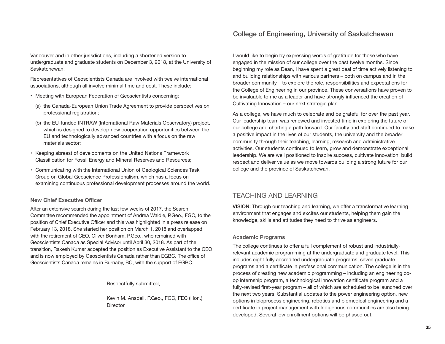Vancouver and in other jurisdictions, including a shortened version to undergraduate and graduate students on December 3, 2018, at the University of Saskatchewan.

Representatives of Geoscientists Canada are involved with twelve international associations, although all involve minimal time and cost. These include:

- Meeting with European Federation of Geoscientists concerning:
	- (a) the Canada-European Union Trade Agreement to provide perspectives on professional registration;
	- (b) the EU-funded INTRAW (International Raw Materials Observatory) project, which is designed to develop new cooperation opportunities between the EU and technologically advanced countries with a focus on the raw materials sector;
- Keeping abreast of developments on the United Nations Framework Classification for Fossil Energy and Mineral Reserves and Resources;
- Communicating with the International Union of Geological Sciences Task Group on Global Geoscience Professionalism, which has a focus on examining continuous professional development processes around the world.

#### **New Chief Executive Officer**

After an extensive search during the last few weeks of 2017, the Search Committee recommended the appointment of Andrea Waldie, P.Geo., FGC, to the position of Chief Executive Officer and this was highlighted in a press release on February 13, 2018. She started her position on March 1, 2018 and overlapped with the retirement of CEO, Oliver Bonham, P.Geo., who remained with Geoscientists Canada as Special Advisor until April 30, 2018. As part of the transition, Rakesh Kumar accepted the position as Executive Assistant to the CEO and is now employed by Geoscientists Canada rather than EGBC. The office of Geoscientists Canada remains in Burnaby, BC, with the support of EGBC.

Respectfully submitted,

Kevin M. Ansdell, P.Geo., FGC, FEC (Hon.) **Director** 

I would like to begin by expressing words of gratitude for those who have engaged in the mission of our college over the past twelve months. Since beginning my role as Dean, I have spent a great deal of time actively listening to and building relationships with various partners – both on campus and in the broader community – to explore the role, responsibilities and expectations for the College of Engineering in our province. These conversations have proven to be invaluable to me as a leader and have strongly influenced the creation of Cultivating Innovation – our next strategic plan.

As a college, we have much to celebrate and be grateful for over the past year. Our leadership team was renewed and invested time in exploring the future of our college and charting a path forward. Our faculty and staff continued to make a positive impact in the lives of our students, the university and the broader community through their teaching, learning, research and administrative activities. Our students continued to learn, grow and demonstrate exceptional leadership. We are well positioned to inspire success, cultivate innovation, build respect and deliver value as we move towards building a strong future for our college and the province of Saskatchewan.

## TEACHING AND LEARNING

**VISION:** Through our teaching and learning, we offer a transformative learning environment that engages and excites our students, helping them gain the knowledge, skills and attitudes they need to thrive as engineers.

#### **Academic Programs**

The college continues to offer a full complement of robust and industriallyrelevant academic programming at the undergraduate and graduate level. This includes eight fully accredited undergraduate programs, seven graduate programs and a certificate in professional communication. The college is in the process of creating new academic programming – including an engineering coop internship program, a technological innovation certificate program and a fully-revised first-year program – all of which are scheduled to be launched over the next two years. Substantial updates to the power engineering option, new options in bioprocess engineering, robotics and biomedical engineering and a certificate in project management with Indigenous communities are also being developed. Several low enrollment options will be phased out.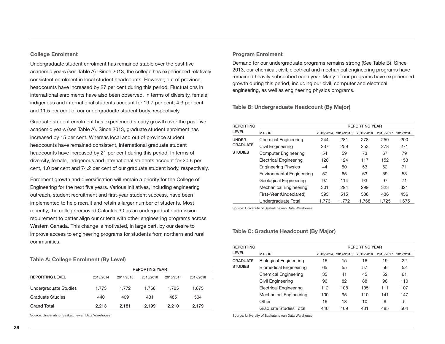#### **College Enrolment**

Undergraduate student enrolment has remained stable over the past five academic years (see Table A). Since 2013, the college has experienced relatively consistent enrolment in local student headcounts. However, out of province headcounts have increased by 27 per cent during this period. Fluctuations in international enrolments have also been observed. In terms of diversity, female, indigenous and international students account for 19.7 per cent, 4.3 per cent and 11.5 per cent of our undergraduate student body, respectively.

Graduate student enrolment has experienced steady growth over the past five academic years (see Table A). Since 2013, graduate student enrolment has increased by 15 per cent. Whereas local and out of province student headcounts have remained consistent, international graduate student headcounts have increased by 21 per cent during this period. In terms of diversity, female, indigenous and international students account for 20.6 per cent, 1.0 per cent and 74.2 per cent of our graduate student body, respectively.

Enrolment growth and diversification will remain a priority for the College of Engineering for the next five years. Various initiatives, including engineering outreach, student recruitment and first-year student success, have been implemented to help recruit and retain a larger number of students. Most recently, the college removed Calculus 30 as an undergraduate admission requirement to better align our criteria with other engineering programs across Western Canada. This change is motivated, in large part, by our desire to improve access to engineering programs for students from northern and rural communities.

**Table A: College Enrolment (By Level)**

|                        | <b>REPORTING YEAR</b> |           |           |           |           |  |  |
|------------------------|-----------------------|-----------|-----------|-----------|-----------|--|--|
| <b>REPORTING LEVEL</b> | 2013/2014             | 2014/2015 | 2015/2016 | 2016/2017 | 2017/2018 |  |  |
| Undergraduate Studies  | 1.773                 | 1.772     | 1.768     | 1.725     | 1.675     |  |  |
| Graduate Studies       | 440                   | 409       | 431       | 485       | 504       |  |  |
| <b>Grand Total</b>     | 2.213                 | 2.181     | 2.199     | 2.210     | 2.179     |  |  |

Source: University of Saskatchewan Data Warehouse

#### **Program Enrolment**

Demand for our undergraduate programs remains strong (See Table B). Since 2013, our chemical, civil, electrical and mechanical engineering programs have remained heavily subscribed each year. Many of our programs have experienced growth during this period, including our civil, computer and electrical engineering, as well as engineering physics programs.

**Table B: Undergraduate Headcount (By Major)**

| <b>REPORTING</b> | <b>REPORTING YEAR</b>            |           |           |           |           |           |
|------------------|----------------------------------|-----------|-----------|-----------|-----------|-----------|
| <b>LEVEL</b>     | <b>MAJOR</b>                     | 2013/2014 | 2014/2015 | 2015/2016 | 2016/2017 | 2017/2018 |
| UNDER-           | <b>Chemical Engineering</b>      | 244       | 281       | 278       | 250       | 200       |
| <b>GRADUATE</b>  | Civil Engineering                | 237       | 259       | 253       | 278       | 271       |
| <b>STUDIES</b>   | <b>Computer Engineering</b>      | 54        | 59        | 73        | 67        | 79        |
|                  | <b>Electrical Engineering</b>    | 128       | 124       | 117       | 152       | 153       |
|                  | <b>Engineering Physics</b>       | 44        | 50        | 53        | 62        | 71        |
|                  | <b>Environmental Engineering</b> | 57        | 65        | 63        | 59        | 53        |
|                  | Geological Engineering           | 97        | 114       | 93        | 97        | 71        |
|                  | Mechanical Engineering           | 301       | 294       | 299       | 323       | 321       |
|                  | First-Year (Undeclared)          | 593       | 515       | 538       | 436       | 456       |
|                  | Undergraduate Total              | 1.773     | 1.772     | 1.768     | 1.725     | 1.675     |

Source: University of Saskatchewan Data Warehouse

#### **Table C: Graduate Headcount (By Major)**

| <b>REPORTING</b> |                               | <b>REPORTING YEAR</b> |           |           |           |           |  |  |  |  |
|------------------|-------------------------------|-----------------------|-----------|-----------|-----------|-----------|--|--|--|--|
| <b>LEVEL</b>     | <b>MAJOR</b>                  | 2013/2014             | 2014/2015 | 2015/2016 | 2016/2017 | 2017/2018 |  |  |  |  |
| <b>GRADUATE</b>  | <b>Biological Engineering</b> | 16                    | 15        | 16        | 19        | 22        |  |  |  |  |
| <b>STUDIES</b>   | <b>Biomedical Engineering</b> | 65                    | 55        | 57        | 56        | 52        |  |  |  |  |
|                  | <b>Chemical Engineering</b>   | 35                    | 41        | 45        | 52        | 61        |  |  |  |  |
|                  | Civil Engineering             | 96                    | 82        | 88        | 98        | 110       |  |  |  |  |
|                  | <b>Electrical Engineering</b> | 112                   | 108       | 105       | 111       | 107       |  |  |  |  |
|                  | Mechanical Engineering        | 100                   | 95        | 110       | 141       | 147       |  |  |  |  |
|                  | Other                         | 16                    | 13        | 10        | 8         | 5         |  |  |  |  |
|                  | Graduate Studies Total        | 440                   | 409       | 431       | 485       | 504       |  |  |  |  |

Source: University of Saskatchewan Data Warehouse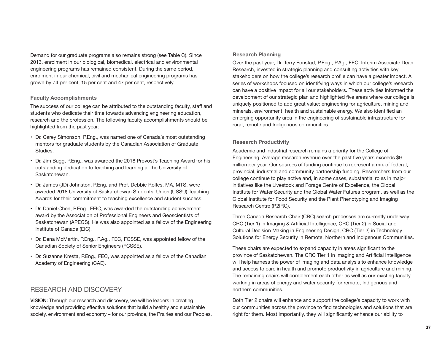Demand for our graduate programs also remains strong (see Table C). Since 2013, enrolment in our biological, biomedical, electrical and environmental engineering programs has remained consistent. During the same period, enrolment in our chemical, civil and mechanical engineering programs has grown by 74 per cent, 15 per cent and 47 per cent, respectively.

#### **Faculty Accomplishments**

The success of our college can be attributed to the outstanding faculty, staff and students who dedicate their time towards advancing engineering education, research and the profession. The following faculty accomplishments should be highlighted from the past year:

- Dr. Carey Simonson, P.Eng., was named one of Canada's most outstanding mentors for graduate students by the Canadian Association of Graduate Studies.
- Dr. Jim Bugg, P.Eng., was awarded the 2018 Provost's Teaching Award for his outstanding dedication to teaching and learning at the University of Saskatchewan.
- Dr. James (JD) Johnston, P.Eng. and Prof. Debbie Rolfes, MA, MTS, were awarded 2018 University of Saskatchewan Students' Union (USSU) Teaching Awards for their commitment to teaching excellence and student success.
- Dr. Daniel Chen, P.Eng., FEIC, was awarded the outstanding achievement award by the Association of Professional Engineers and Geoscientists of Saskatchewan (APEGS). He was also appointed as a fellow of the Engineering Institute of Canada (EIC).
- Dr. Dena McMartin, P.Eng., P.Ag., FEC, FCSSE, was appointed fellow of the Canadian Society of Senior Engineers (FCSSE).
- Dr. Suzanne Kresta, P.Eng., FEC, was appointed as a fellow of the Canadian Academy of Engineering (CAE).

## RESEARCH AND DISCOVERY

**VISION:** Through our research and discovery, we will be leaders in creating knowledge and providing effective solutions that build a healthy and sustainable society, environment and economy – for our province, the Prairies and our Peoples.

#### **Research Planning**

Over the past year, Dr. Terry Fonstad, P.Eng., P.Ag., FEC, Interim Associate Dean Research, invested in strategic planning and consulting activities with key stakeholders on how the college's research profile can have a greater impact. A series of workshops focused on identifying ways in which our college's research can have a positive impact for all our stakeholders. These activities informed the development of our strategic plan and highlighted five areas where our college is uniquely positioned to add great value: engineering for agriculture, mining and minerals, environment, health and sustainable energy. We also identified an emerging opportunity area in the engineering of sustainable infrastructure for rural, remote and Indigenous communities.

#### **Research Productivity**

Academic and industrial research remains a priority for the College of Engineering. Average research revenue over the past five years exceeds \$9 million per year. Our sources of funding continue to represent a mix of federal, provincial, industrial and community partnership funding. Researchers from our college continue to play active and, in some cases, substantial roles in major initiatives like the Livestock and Forage Centre of Excellence, the Global Institute for Water Security and the Global Water Futures program, as well as the Global Institute for Food Security and the Plant Phenotyping and Imaging Research Centre (P2IRC).

Three Canada Research Chair (CRC) search processes are currently underway: CRC (Tier 1) in Imaging & Artificial Intelligence, CRC (Tier 2) in Social and Cultural Decision Making in Engineering Design, CRC (Tier 2) in Technology Solutions for Energy Security in Remote, Northern and Indigenous Communities.

These chairs are expected to expand capacity in areas significant to the province of Saskatchewan. The CRC Tier 1 in Imaging and Artificial Intelligence will help harness the power of imaging and data analysis to enhance knowledge and access to care in health and promote productivity in agriculture and mining. The remaining chairs will complement each other as well as our existing faculty working in areas of energy and water security for remote, Indigenous and northern communities.

Both Tier 2 chairs will enhance and support the college's capacity to work with our communities across the province to find technologies and solutions that are right for them. Most importantly, they will significantly enhance our ability to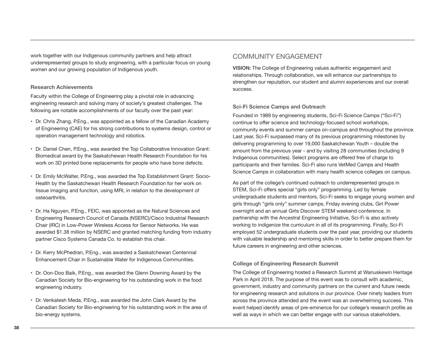work together with our Indigenous community partners and help attract underrepresented groups to study engineering, with a particular focus on young women and our growing population of Indigenous youth.

#### **Research Achievements**

Faculty within the College of Engineering play a pivotal role in advancing engineering research and solving many of society's greatest challenges. The following are notable accomplishments of our faculty over the past year:

- Dr. Chris Zhang, P.Eng., was appointed as a fellow of the Canadian Academy of Engineering (CAE) for his strong contributions to systems design, control or operation management technology and robotics.
- Dr. Daniel Chen, P.Eng., was awarded the Top Collaborative Innovation Grant: Biomedical award by the Saskatchewan Health Research Foundation for his work on 3D printed bone replacements for people who have bone defects.
- Dr. Emily McWalter, P.Eng., was awarded the Top Establishment Grant: Socio-Health by the Saskatchewan Health Research Foundation for her work on tissue imaging and function, using MRI, in relation to the development of osteoarthritis.
- Dr. Ha Nguyen, P.Eng., FEIC, was appointed as the Natural Sciences and Engineering Research Council of Canada (NSERC)/Cisco Industrial Research Chair (IRC) in Low-Power Wireless Access for Sensor Networks. He was awarded \$1.38 million by NSERC and granted matching funding from industry partner Cisco Systems Canada Co. to establish this chair.
- Dr. Kerry McPhedran, P.Eng., was awarded a Saskatchewan Centennial Enhancement Chair in Sustainable Water for Indigenous Communities.
- Dr. Oon-Doo Baik, P.Eng., was awarded the Glenn Downing Award by the Canadian Society for Bio-engineering for his outstanding work in the food engineering industry.
- Dr. Venkatesh Meda, P.Eng., was awarded the John Clark Award by the Canadian Society for Bio-engineering for his outstanding work in the area of bio-energy systems.

## COMMUNITY ENGAGEMENT

**VISION:** The College of Engineering values authentic engagement and relationships. Through collaboration, we will enhance our partnerships to strengthen our reputation, our student and alumni experiences and our overall success.

#### **Sci-Fi Science Camps and Outreach**

Founded in 1989 by engineering students, Sci-Fi Science Camps ("Sci-Fi") continue to offer science and technology-focused school workshops, community events and summer camps on-campus and throughout the province. Last year, Sci-Fi surpassed many of its previous programming milestones by delivering programming to over 19,000 Saskatchewan Youth – double the amount from the previous year - and by visiting 28 communities (including 9 Indigenous communities). Select programs are offered free of charge to participants and their families. Sci-Fi also runs VetMed Camps and Health Science Camps in collaboration with many health science colleges on campus.

As part of the college's continued outreach to underrepresented groups in STEM, Sci-Fi offers special "girls only" programming. Led by female undergraduate students and mentors, Sci-Fi seeks to engage young women and girls through "girls only" summer camps, Friday evening clubs, Girl Power overnight and an annual Girls Discover STEM weekend conference. In partnership with the Ancestral Engineering Initiative, Sci-Fi is also actively working to indigenize the curriculum in all of its programming. Finally, Sci-Fi employed 52 undergraduate students over the past year, providing our students with valuable leadership and mentoring skills in order to better prepare them for future careers in engineering and other sciences.

#### **College of Engineering Research Summit**

The College of Engineering hosted a Research Summit at Wanuskewin Heritage Park in April 2018. The purpose of this event was to consult with academic, government, industry and community partners on the current and future needs for engineering research and solutions in our province. Over ninety leaders from across the province attended and the event was an overwhelming success. This event helped identify areas of pre-eminence for our college's research profile as well as ways in which we can better engage with our various stakeholders.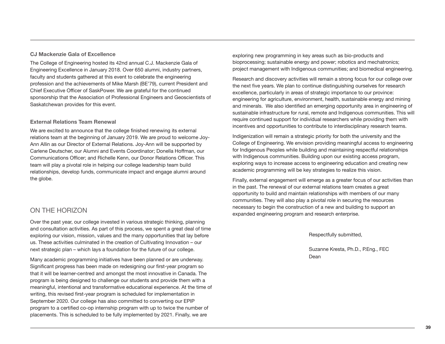#### **CJ Mackenzie Gala of Excellence**

The College of Engineering hosted its 42nd annual C.J. Mackenzie Gala of Engineering Excellence in January 2018. Over 650 alumni, industry partners, faculty and students gathered at this event to celebrate the engineering profession and the achievements of Mike Marsh (BE'79), current President and Chief Executive Officer of SaskPower. We are grateful for the continued sponsorship that the Association of Professional Engineers and Geoscientists of Saskatchewan provides for this event.

#### **External Relations Team Renewal**

We are excited to announce that the college finished renewing its external relations team at the beginning of January 2019. We are proud to welcome Joy-Ann Allin as our Director of External Relations. Joy-Ann will be supported by Carlene Deutscher, our Alumni and Events Coordinator; Donella Hoffman, our Communications Officer; and Richelle Kenn, our Donor Relations Officer. This team will play a pivotal role in helping our college leadership team build relationships, develop funds, communicate impact and engage alumni around the globe.

## ON THE HORIZON

Over the past year, our college invested in various strategic thinking, planning and consultation activities. As part of this process, we spent a great deal of time exploring our vision, mission, values and the many opportunities that lay before us. These activities culminated in the creation of Cultivating Innovation – our next strategic plan – which lays a foundation for the future of our college.

Many academic programming initiatives have been planned or are underway. Significant progress has been made on redesigning our first-year program so that it will be learner-centred and amongst the most innovative in Canada. The program is being designed to challenge our students and provide them with a meaningful, intentional and transformative educational experience. At the time of writing, this revised first-year program is scheduled for implementation in September 2020. Our college has also committed to converting our EPIP program to a certified co-op internship program with up to twice the number of placements. This is scheduled to be fully implemented by 2021. Finally, we are

exploring new programming in key areas such as bio-products and bioprocessing; sustainable energy and power; robotics and mechatronics; project management with Indigenous communities; and biomedical engineering.

Research and discovery activities will remain a strong focus for our college over the next five years. We plan to continue distinguishing ourselves for research excellence, particularly in areas of strategic importance to our province: engineering for agriculture, environment, health, sustainable energy and mining and minerals. We also identified an emerging opportunity area in engineering of sustainable infrastructure for rural, remote and Indigenous communities. This will require continued support for individual researchers while providing them with incentives and opportunities to contribute to interdisciplinary research teams.

Indigenization will remain a strategic priority for both the university and the College of Engineering. We envision providing meaningful access to engineering for Indigenous Peoples while building and maintaining respectful relationships with Indigenous communities. Building upon our existing access program, exploring ways to increase access to engineering education and creating new academic programming will be key strategies to realize this vision.

Finally, external engagement will emerge as a greater focus of our activities than in the past. The renewal of our external relations team creates a great opportunity to build and maintain relationships with members of our many communities. They will also play a pivotal role in securing the resources necessary to begin the construction of a new and building to support an expanded engineering program and research enterprise.

Respectfully submitted,

Suzanne Kresta, Ph.D., P.Eng., FEC Dean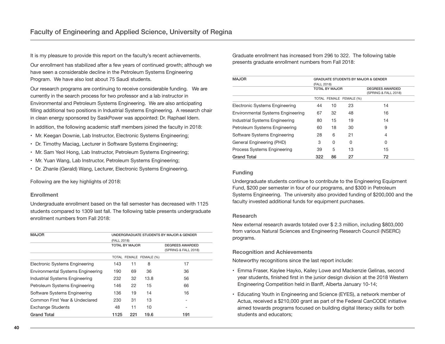It is my pleasure to provide this report on the faculty's recent achievements.

Our enrollment has stabilized after a few years of continued growth; although we have seen a considerable decline in the Petroleum Systems Engineering Program. We have also lost about 75 Saudi students.

Our research programs are continuing to receive considerable funding. We are currently in the search process for two professor and a lab instructor in Environmental and Petroleum Systems Engineering. We are also anticipating filling additional two positions in Industrial Systems Engineering. A research chair in clean energy sponsored by SaskPower was appointed: Dr. Raphael Idem.

In addition, the following academic staff members joined the faculty in 2018:

- Mr. Keegan Downie, Lab Instructor, Electronic Systems Engineering;
- Dr. Timothy Maciag, Lecturer in Software Systems Engineering;
- Mr. Sam Yeol Hong, Lab Instructor, Petroleum Systems Engineering;
- Mr. Yuan Wang, Lab Instructor, Petroleum Systems Engineering;
- Dr. Zhanle (Gerald) Wang, Lecturer, Electronic Systems Engineering.

Following are the key highlights of 2018:

#### **Enrollment**

Undergraduate enrollment based on the fall semester has decreased with 1125 students compared to 1309 last fall. The following table presents undergraduate enrollment numbers from Fall 2018:

| <b>MAJOR</b>                             | UNDERGRADUATE STUDENTS BY MAJOR & GENDER |     |                         |                        |  |  |
|------------------------------------------|------------------------------------------|-----|-------------------------|------------------------|--|--|
|                                          | (FALL 2018)                              |     |                         |                        |  |  |
|                                          | <b>TOTAL BY MAJOR</b>                    |     |                         | <b>DEGREES AWARDED</b> |  |  |
|                                          |                                          |     |                         | (SPRING & FALL 2018)   |  |  |
|                                          |                                          |     | TOTAL FEMALE FEMALE (%) |                        |  |  |
| Electronic Systems Engineering           | 143                                      | 11  | 8                       | 17                     |  |  |
| <b>Environmental Systems Engineering</b> | 190                                      | 69  | 36                      | 36                     |  |  |
| Industrial Systems Engineering           | 232                                      | 32  | 13.8                    | 56                     |  |  |
| Petroleum Systems Engineering            | 146                                      | 22  | 15                      | 66                     |  |  |
| Software Systems Engineering             | 136                                      | 19  | 14                      | 16                     |  |  |
| Common First Year & Undeclared           | 230                                      | 31  | 13                      |                        |  |  |
| <b>Exchange Students</b>                 | 48                                       | 11  | 10                      |                        |  |  |
| <b>Grand Total</b>                       | 1125                                     | 221 | 19.6                    | 191                    |  |  |

Graduate enrollment has increased from 296 to 322. The following table presents graduate enrollment numbers from Fall 2018:

| <b>MAJOR</b>                             | <b>GRADUATE STUDENTS BY MAJOR &amp; GENDER</b><br>(FALL 2018) |                |                         |                                                |  |  |
|------------------------------------------|---------------------------------------------------------------|----------------|-------------------------|------------------------------------------------|--|--|
|                                          |                                                               | TOTAL BY MAJOR |                         | <b>DEGREES AWARDED</b><br>(SPRING & FALL 2018) |  |  |
|                                          |                                                               |                | TOTAL FEMALE FEMALE (%) |                                                |  |  |
| Electronic Systems Engineering           | 44                                                            | 10             | 23                      | 14                                             |  |  |
| <b>Environmental Systems Engineering</b> | 67                                                            | 32             | 48                      | 16                                             |  |  |
| Industrial Systems Engineering           | 80                                                            | 15             | 19                      | 14                                             |  |  |
| Petroleum Systems Engineering            | 60                                                            | 18             | 30                      | 9                                              |  |  |
| Software Systems Engineering             | 28                                                            | 6              | 21                      | 4                                              |  |  |
| General Engineering (PHD)                | 3                                                             | 0              | 0                       | 0                                              |  |  |
| Process Systems Engineering              | 39                                                            | 5              | 13                      | 15                                             |  |  |
| <b>Grand Total</b>                       | 322                                                           | 86             | 27                      | 72                                             |  |  |

#### **Funding**

Undergraduate students continue to contribute to the Engineering Equipment Fund, \$200 per semester in four of our programs, and \$300 in Petroleum Systems Engineering. The university also provided funding of \$200,000 and the faculty invested additional funds for equipment purchases.

#### **Research**

New external research awards totaled over \$ 2.3 million, including \$803,000 from various Natural Sciences and Engineering Research Council (NSERC) programs.

#### **Recognition and Achievements**

Noteworthy recognitions since the last report include:

- Emma Fraser, Kaylee Hayko, Kailey Lowe and Mackenzie Gelinas, second year students, finished first in the junior design division at the 2018 Western Engineering Competition held in Banff, Alberta January 10-14;
- Educating Youth in Engineering and Science (EYES), a network member of Actua, received a \$210,000 grant as part of the Federal CanCODE initiative aimed towards programs focused on building digital literacy skills for both students and educators;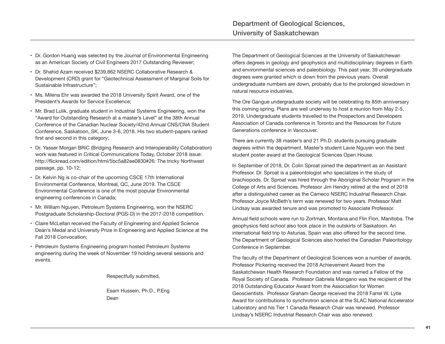- Dr. Gordon Huang was selected by the Journal of Environmental Engineering as an American Society of Civil Engineers 2017 Outstanding Reviewer;
- Dr. Shahid Azam received \$239,862 NSERC Collaborative Research & Development (CRD) grant for "Geotechnical Assessment of Marginal Soils for Sustainable Infrastructure";
- Ms. Milena Ehr was awarded the 2018 University Spirit Award, one of the President's Awards for Service Excellence;
- Mr. Brad Lulik, graduate student in Industrial Systems Engineering, won the "Award for Outstanding Research at a master's Level" at the 38th Annual Conference of the Canadian Nuclear Society/42nd Annual CNS/CNA Student Conference, Saskatoon, SK, June 3-6, 2018. His two student-papers ranked first and second in this category;
- Dr. Yasser Morgan BRiC (Bridging Research and Interoperability Collaboration) work was featured in Critical Communications Today, October 2018 issue: http://flickread.com/edition/html/5bc5a82ee0830#26: The tricky Northwest passage, pp. 10-12;
- Dr. Kelvin Ng is co-chair of the upcoming CSCE 17th International Environmental Conference, Montreal, QC, June 2019. The CSCE Environmental Conference is one of the most popular Environmental engineering conferences in Canada;
- Mr. William Nguyen, Petroleum Systems Engineering, won the NSERC Postgraduate Scholarship-Doctoral (PGS-D) in the 2017-2018 competition.
- Claire McLellan received the Faculty of Engineering and Applied Science Dean's Medal and University Prize in Engineering and Applied Science at the Fall 2018 Convocation;
- Petroleum Systems Engineering program hosted Petroleum Systems engineering during the week of November 19 holding several sessions and events.

Respectfully submitted,

Esam Hussein, Ph.D., P.Eng Dean

The Department of Geological Sciences at the University of Saskatchewan offers degrees in geology and geophysics and multidisciplinary degrees in Earth and environmental sciences and paleobiology. This past year, 39 undergraduate degrees were granted which is down from the previous years. Overall undergraduate numbers are down, probably due to the prolonged slowdown in natural resource industries.

The Ore Gangue undergraduate society will be celebrating its 85th anniversary this coming spring. Plans are well underway to host a reunion from May 2-5, 2019. Undergraduate students travelled to the Prospectors and Developers Association of Canada conference in Toronto and the Resources for Future Generations conference in Vancouver.

There are currently 38 master's and 21 Ph.D. students pursuing graduate degrees within the department. Master's student Lavie Nguyen won the best student poster award at the Geological Sciences Open House.

In September of 2018, Dr. Colin Sproat joined the department as an Assistant Professor. Dr. Sproat is a paleontologist who specializes in the study of brachiopods. Dr. Sproat was hired through the Aboriginal Scholar Program in the College of Arts and Sciences. Professor Jim Hendry retired at the end of 2018 after a distinguished career as the Cameco NSERC Industrial Research Chair. Professor Joyce McBeth's term was renewed for two years. Professor Matt Lindsay was awarded tenure and was promoted to Associate Professor.

Annual field schools were run to Zortman, Montana and Flin Flon, Manitoba. The geophysics field school also took place in the outskirts of Saskatoon. An international field trip to Asturias, Spain was also offered for the second time. The Department of Geological Sciences also hosted the Canadian Paleontology Conference in September.

The faculty of the Department of Geological Sciences won a number of awards. Professor Pickering received the 2018 Achievement Award from the Saskatchewan Health Research Foundation and was named a Fellow of the Royal Society of Canada. Professor Gabriela Mangano was the recipient of the 2018 Outstanding Educator Award from the Association for Women Geoscientists. Professor Graham George received the 2018 Farrel W. Lytle Award for contributions to synchrotron science at the SLAC National Accelerator Laboratory and his Tier 1 Canada Research Chair was renewed. Professor Lindsay's NSERC Industrial Research Chair was also renewed.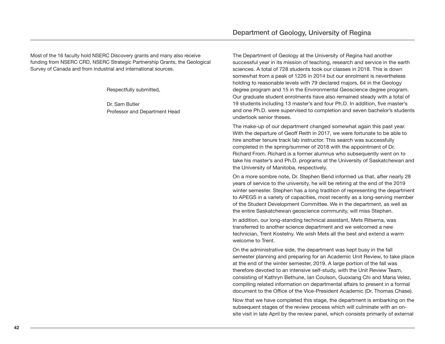Most of the 16 faculty hold NSERC Discovery grants and many also receive funding from NSERC CRD, NSERC Strategic Partnership Grants, the Geological Survey of Canada and from industrial and international sources.

Respectfully submitted,

Dr. Sam Butler Professor and Department Head The Department of Geology at the University of Regina had another successful year in its mission of teaching, research and service in the earth sciences. A total of 728 students took our classes in 2018. This is down somewhat from a peak of 1226 in 2014 but our enrolment is nevertheless holding to reasonable levels with 79 declared majors, 64 in the Geology degree program and 15 in the Environmental Geoscience degree program. Our graduate student enrolments have also remained steady with a total of 19 students including 13 master's and four Ph.D. In addition, five master's and one Ph.D. were supervised to completion and seven bachelor's students undertook senior theses.

The make-up of our department changed somewhat again this past year. With the departure of Geoff Reith in 2017, we were fortunate to be able to hire another tenure track lab instructor. This search was successfully completed in the spring/summer of 2018 with the appointment of Dr. Richard From. Richard is a former alumnus who subsequently went on to take his master's and Ph.D. programs at the University of Saskatchewan and the University of Manitoba, respectively.

On a more sombre note, Dr. Stephen Bend informed us that, after nearly 28 years of service to the university, he will be retiring at the end of the 2019 winter semester. Stephen has a long tradition of representing the department to APEGS in a variety of capacities, most recently as a long-serving member of the Student Development Committee. We in the department, as well as the entire Saskatchewan geoscience community, will miss Stephen.

In addition, our long-standing technical assistant, Mets Ritsema, was transferred to another science department and we welcomed a new technician, Trent Kostelny. We wish Mets all the best and extend a warm welcome to Trent.

On the administrative side, the department was kept busy in the fall semester planning and preparing for an Academic Unit Review, to take place at the end of the winter semester, 2019. A large portion of the fall was therefore devoted to an intensive self-study, with the Unit Review Team, consisting of Kathryn Bethune, Ian Coulson, Guoxiang Chi and Maria Velez, compiling related information on departmental affairs to present in a formal document to the Office of the Vice-President Academic (Dr. Thomas Chase).

Now that we have completed this stage, the department is embarking on the subsequent stages of the review process which will culminate with an onsite visit in late April by the review panel, which consists primarily of external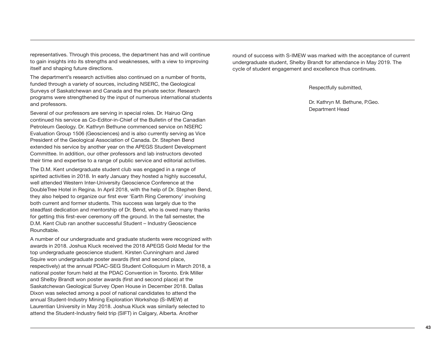representatives. Through this process, the department has and will continue to gain insights into its strengths and weaknesses, with a view to improving itself and shaping future directions.

The department's research activities also continued on a number of fronts, funded through a variety of sources, including NSERC, the Geological Surveys of Saskatchewan and Canada and the private sector. Research programs were strengthened by the input of numerous international students and professors.

Several of our professors are serving in special roles. Dr. Hairuo Qing continued his service as Co-Editor-in-Chief of the Bulletin of the Canadian Petroleum Geology. Dr. Kathryn Bethune commenced service on NSERC Evaluation Group 1506 (Geosciences) and is also currently serving as Vice President of the Geological Association of Canada. Dr. Stephen Bend extended his service by another year on the APEGS Student Development Committee. In addition, our other professors and lab instructors devoted their time and expertise to a range of public service and editorial activities.

The D.M. Kent undergraduate student club was engaged in a range of spirited activities in 2018. In early January they hosted a highly successful, well attended Western Inter-University Geoscience Conference at the DoubleTree Hotel in Regina. In April 2018, with the help of Dr. Stephen Bend, they also helped to organize our first ever 'Earth Ring Ceremony' involving both current and former students. This success was largely due to the steadfast dedication and mentorship of Dr. Bend, who is owed many thanks for getting this first-ever ceremony off the ground. In the fall semester, the D.M. Kent Club ran another successful Student – Industry Geoscience Roundtable.

A number of our undergraduate and graduate students were recognized with awards in 2018. Joshua Kluck received the 2018 APEGS Gold Medal for the top undergraduate geoscience student. Kirsten Cunningham and Jared Squire won undergraduate poster awards (first and second place, respectively) at the annual PDAC-SEG Student Colloquium in March 2018, a national poster forum held at the PDAC Convention in Toronto. Erik Miller and Shelby Brandt won poster awards (first and second place) at the Saskatchewan Geological Survey Open House in December 2018. Dallas Dixon was selected among a pool of national candidates to attend the annual Student-Industry Mining Exploration Workshop (S-IMEW) at Laurentian University in May 2018. Joshua Kluck was similarly selected to attend the Student-Industry field trip (SIFT) in Calgary, Alberta. Another

round of success with S-IMEW was marked with the acceptance of current undergraduate student, Shelby Brandt for attendance in May 2019. The cycle of student engagement and excellence thus continues.

Respectfully submitted,

Dr. Kathryn M. Bethune, P.Geo. Department Head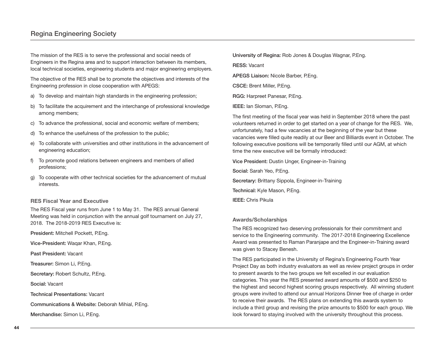The mission of the RES is to serve the professional and social needs of Engineers in the Regina area and to support interaction between its members, local technical societies, engineering students and major engineering employers.

The objective of the RES shall be to promote the objectives and interests of the Engineering profession in close cooperation with APEGS:

- a) To develop and maintain high standards in the engineering profession;
- b) To facilitate the acquirement and the interchange of professional knowledge among members;
- c) To advance the professional, social and economic welfare of members;
- d) To enhance the usefulness of the profession to the public;
- e) To collaborate with universities and other institutions in the advancement of engineering education;
- f) To promote good relations between engineers and members of allied professions;
- g) To cooperate with other technical societies for the advancement of mutual interests.

#### **RES Fiscal Year and Executive**

The RES Fiscal year runs from June 1 to May 31. The RES annual General Meeting was held in conjunction with the annual golf tournament on July 27, 2018. The 2018-2019 RES Executive is:

**President:** Mitchell Pockett, P.Eng.

**Vice-President:** Waqar Khan, P.Eng.

**Past President:** Vacant

**Treasurer:** Simon Li, P.Eng.

**Secretary:** Robert Schultz, P.Eng.

**Social:** Vacant

**Technical Presentations:** Vacant

**Communications & Website:** Deborah Mihial, P.Eng.

**Merchandise:** Simon Li, P.Eng.

**University of Regina:** Rob Jones & Douglas Wagnar, P.Eng.

**RESS:** Vacant

**APEGS Liaison:** Nicole Barber, P.Eng.

**CSCE:** Brent Miller, P.Eng.

**RGG:** Harpreet Panesar, P.Eng.

**IEEE:** Ian Sloman, P.Eng.

The first meeting of the fiscal year was held in September 2018 where the past volunteers returned in order to get started on a year of change for the RES. We, unfortunately, had a few vacancies at the beginning of the year but these vacancies were filled quite readily at our Beer and Billiards event in October. The following executive positions will be temporarily filled until our AGM, at which time the new executive will be formally introduced:

**Vice President:** Dustin Unger, Engineer-in-Training

**Social:** Sarah Yeo, P.Eng. Secretary: Brittany Sippola, Engineer-in-Training

**Technical:** Kyle Mason, P.Eng.

**IEEE:** Chris Pikula

#### **Awards/Scholarships**

The RES recognized two deserving professionals for their commitment and service to the Engineering community. The 2017-2018 Engineering Excellence Award was presented to Raman Paranjape and the Engineer-in-Training award was given to Stacey Benesh.

The RES participated in the University of Regina's Engineering Fourth Year Project Day as both industry evaluators as well as review project groups in order to present awards to the two groups we felt excelled in our evaluation categories. This year the RES presented award amounts of \$500 and \$250 to the highest and second highest scoring groups respectively. All winning student groups were invited to attend our annual Horizons Dinner free of charge in order to receive their awards. The RES plans on extending this awards system to include a third group and revising the prize amounts to \$500 for each group. We look forward to staying involved with the university throughout this process.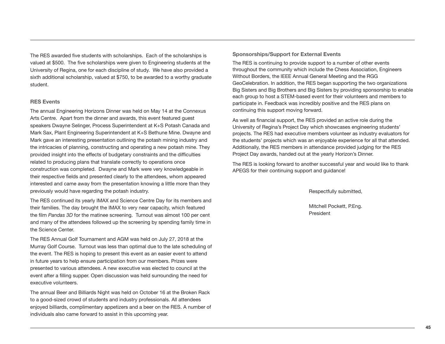The RES awarded five students with scholarships. Each of the scholarships is valued at \$500. The five scholarships were given to Engineering students at the University of Regina, one for each discipline of study. We have also provided a sixth additional scholarship, valued at \$750, to be awarded to a worthy graduate student.

#### **RES Events**

The annual Engineering Horizons Dinner was held on May 14 at the Connexus Arts Centre. Apart from the dinner and awards, this event featured guest speakers Dwayne Selinger, Process Superintendent at K+S Potash Canada and Mark Sax, Plant Engineering Superintendent at K+S Bethune Mine. Dwayne and Mark gave an interesting presentation outlining the potash mining industry and the intricacies of planning, constructing and operating a new potash mine. They provided insight into the effects of budgetary constraints and the difficulties related to producing plans that translate correctly to operations once construction was completed. Dwayne and Mark were very knowledgeable in their respective fields and presented clearly to the attendees, whom appeared interested and came away from the presentation knowing a little more than they previously would have regarding the potash industry.

The RES continued its yearly IMAX and Science Centre Day for its members and their families. The day brought the IMAX to very near capacity, which featured the film *Pandas 3D* for the matinee screening. Turnout was almost 100 per cent and many of the attendees followed up the screening by spending family time in the Science Center.

The RES Annual Golf Tournament and AGM was held on July 27, 2018 at the Murray Golf Course. Turnout was less than optimal due to the late scheduling of the event. The RES is hoping to present this event as an easier event to attend in future years to help ensure participation from our members. Prizes were presented to various attendees. A new executive was elected to council at the event after a filling supper. Open discussion was held surrounding the need for executive volunteers.

The annual Beer and Billiards Night was held on October 16 at the Broken Rack to a good-sized crowd of students and industry professionals. All attendees enjoyed billiards, complimentary appetizers and a beer on the RES. A number of individuals also came forward to assist in this upcoming year.

#### **Sponsorships/Support for External Events**

The RES is continuing to provide support to a number of other events throughout the community which include the Chess Association, Engineers Without Borders, the IEEE Annual General Meeting and the RGG GeoCelebration. In addition, the RES began supporting the two organizations Big Sisters and Big Brothers and Big Sisters by providing sponsorship to enable each group to host a STEM-based event for their volunteers and members to participate in. Feedback was incredibly positive and the RES plans on continuing this support moving forward.

As well as financial support, the RES provided an active role during the University of Regina's Project Day which showcases engineering students' projects. The RES had executive members volunteer as industry evaluators for the students' projects which was an enjoyable experience for all that attended. Additionally, the RES members in attendance provided judging for the RES Project Day awards, handed out at the yearly Horizon's Dinner.

The RES is looking forward to another successful year and would like to thank APEGS for their continuing support and guidance!

Respectfully submitted,

Mitchell Pockett, P.Eng. President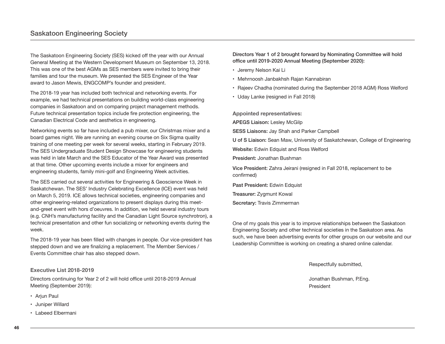The Saskatoon Engineering Society (SES) kicked off the year with our Annual General Meeting at the Western Development Museum on September 13, 2018. This was one of the best AGMs as SES members were invited to bring their families and tour the museum. We presented the SES Engineer of the Year award to Jason Mewis, ENGCOMP's founder and president.

The 2018-19 year has included both technical and networking events. For example, we had technical presentations on building world-class engineering companies in Saskatoon and on comparing project management methods. Future technical presentation topics include fire protection engineering, the Canadian Electrical Code and aesthetics in engineering.

Networking events so far have included a pub mixer, our Christmas mixer and a board games night. We are running an evening course on Six Sigma quality training of one meeting per week for several weeks, starting in February 2019. The SES Undergraduate Student Design Showcase for engineering students was held in late March and the SES Educator of the Year Award was presented at that time. Other upcoming events include a mixer for engineers and engineering students, family mini-golf and Engineering Week activities.

The SES carried out several activities for Engineering & Geoscience Week in Saskatchewan. The SES' Industry Celebrating Excellence (ICE) event was held on March 5, 2019. ICE allows technical societies, engineering companies and other engineering-related organizations to present displays during this meetand-greet event with hors d'oeuvres. In addition, we held several industry tours (e.g. CNH's manufacturing facility and the Canadian Light Source synchrotron), a technical presentation and other fun socializing or networking events during the week.

The 2018-19 year has been filled with changes in people. Our vice-president has stepped down and we are finalizing a replacement. The Member Services / Events Committee chair has also stepped down.

#### **Executive List 2018-2019**

Directors continuing for Year 2 of 2 will hold office until 2018-2019 Annual Meeting (September 2019):

- Ariun Paul
- Juniper Willard
- Labeed Elbermani

**Directors Year 1 of 2 brought forward by Nominating Committee will hold office until 2019-2020 Annual Meeting (September 2020):**

- Jeremy Nelson Kai Li
- Mehrnoosh Janbakhsh Rajan Kannabiran
- Rajeev Chadha (nominated during the September 2018 AGM) Ross Welford
- Uday Lanke (resigned in Fall 2018)

**Appointed representatives: APEGS Liaison:** Lesley McGilp **SESS Liaisons:** Jay Shah and Parker Campbell **U of S Liaison:** Sean Maw, University of Saskatchewan, College of Engineering **Website:** Edwin Edquist and Ross Welford **President:** Jonathan Bushman **Vice President:** Zahra Jeirani (resigned in Fall 2018, replacement to be confirmed) **Past President:** Edwin Edquist **Treasurer:** Zygmunt Kowal

**Secretary:** Travis Zimmerman

One of my goals this year is to improve relationships between the Saskatoon Engineering Society and other technical societies in the Saskatoon area. As such, we have been advertising events for other groups on our website and our Leadership Committee is working on creating a shared online calendar.

Respectfully submitted,

Jonathan Bushman, P.Eng. President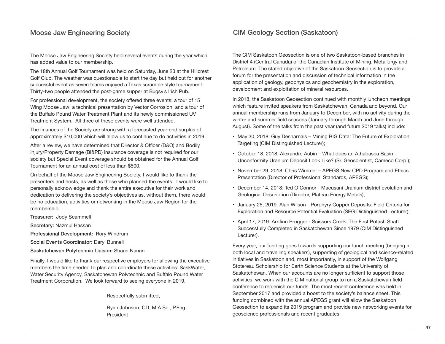The Moose Jaw Engineering Society held several events during the year which has added value to our membership.

The 18th Annual Golf Tournament was held on Saturday, June 23 at the Hillcrest Golf Club. The weather was questionable to start the day but held out for another successful event as seven teams enjoyed a Texas scramble style tournament. Thirty-two people attended the post-game supper at Bugsy's Irish Pub.

For professional development, the society offered three events: a tour of 15 Wing Moose Jaw; a technical presentation by Vector Corrosion; and a tour of the Buffalo Pound Water Treatment Plant and its newly commissioned UV Treatment System. All three of these events were well attended.

The finances of the Society are strong with a forecasted year-end surplus of approximately \$10,000 which will allow us to continue to do activities in 2019.

After a review, we have determined that Director & Officer (D&O) and Bodily Injury/Property Damage (BI&PD) insurance coverage is not required for our society but Special Event coverage should be obtained for the Annual Golf Tournament for an annual cost of less than \$500.

On behalf of the Moose Jaw Engineering Society, I would like to thank the presenters and hosts, as well as those who planned the events. I would like to personally acknowledge and thank the entire executive for their work and dedication to delivering the society's objectives as, without them, there would be no education, activities or networking in the Moose Jaw Region for the membership.

**Treasurer:** Jody Scammell

**Secretary:** Nazmul Hassan

**Professional Development:** Rory Windrum

**Social Events Coordinator:** Daryl Bunnell

**Saskatchewan Polytechnic Liaison:** Shaun Nanan

Finally, I would like to thank our respective employers for allowing the executive members the time needed to plan and coordinate these activities: SaskWater, Water Security Agency, Saskatchewan Polytechnic and Buffalo Pound Water Treatment Corporation. We look forward to seeing everyone in 2019.

Respectfully submitted,

Ryan Johnson, CD, M.A.Sc., P.Eng. President

The CIM Saskatoon Geosection is one of two Saskatoon-based branches in District 4 (Central Canada) of the Canadian Institute of Mining, Metallurgy and Petroleum. The stated objective of the Saskatoon Geosection is to provide a forum for the presentation and discussion of technical information in the application of geology, geophysics and geochemistry in the exploration, development and exploitation of mineral resources.

In 2018, the Saskatoon Geosection continued with monthly luncheon meetings which feature invited speakers from Saskatchewan, Canada and beyond. Our annual membership runs from January to December, with no activity during the winter and summer field seasons (January through March and June through August). Some of the talks from the past year (and future 2019 talks) include:

- May 30, 2018: Guy Desharnais Mining BIG Data: The Future of Exploration Targeting (CIM Distinguished Lecturer);
- October 18, 2018: Alexandre Aubin What does an Athabasca Basin Unconformity Uranium Deposit Look Like? (Sr. Geoscientist, Cameco Corp.);
- November 29, 2018: Chris Wimmer APEGS New CPD Program and Ethics Presentation (Director of Professional Standards, APEGS);
- December 14, 2018: Ted O'Connor Macusani Uranium district evolution and Geological Description (Director, Plateau Energy Metals);
- January 25, 2019: Alan Wilson Porphyry Copper Deposits: Field Criteria for Exploration and Resource Potential Evaluation (SEG Distinguished Lecturer);
- April 17, 2019: Arnfinn Prugger Scissors Creek: The First Potash Shaft Successfully Completed in Saskatchewan Since 1979 (CIM Distinguished Lecturer).

Every year, our funding goes towards supporting our lunch meeting (bringing in both local and travelling speakers), supporting of geological and science-related initiatives in Saskatoon and, most importantly, in support of the Wolfgang Stotereau Scholarship for Earth Science Students at the University of Saskatchewan. When our accounts are no longer sufficient to support those activities, we work with the CIM national group to run a Saskatchewan field conference to replenish our funds. The most recent conference was held in September 2017 and provided a boost to the society's balance sheet. This funding combined with the annual APEGS grant will allow the Saskatoon Geosection to expand its 2019 program and provide new networking events for geoscience professionals and recent graduates.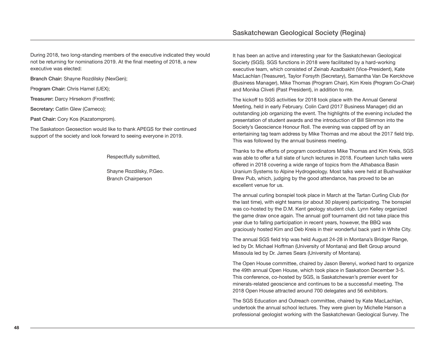During 2018, two long-standing members of the executive indicated they would not be returning for nominations 2019. At the final meeting of 2018, a new executive was elected:

**Branch Chair:** Shayne Rozdilsky (NexGen);

P**rogram Chair:** Chris Hamel (UEX);

**Treasurer:** Darcy Hirsekorn (Frostfire);

**Secretary:** Catlin Glew (Cameco);

Past Chair: Cory Kos (Kazatomprom).

The Saskatoon Geosection would like to thank APEGS for their continued support of the society and look forward to seeing everyone in 2019.

Respectfully submitted,

Shayne Rozdilsky, P.Geo. Branch Chairperson

It has been an active and interesting year for the Saskatchewan Geological Society (SGS). SGS functions in 2018 were facilitated by a hard-working executive team, which consisted of Zeinab Azadbakht (Vice-President), Kate MacLachlan (Treasurer), Taylor Forsyth (Secretary), Samantha Van De Kerckhove (Business Manager), Mike Thomas (Program Chair), Kim Kreis (Program Co-Chair) and Monika Cliveti (Past President), in addition to me.

The kickoff to SGS activities for 2018 took place with the Annual General Meeting, held in early February. Colin Card (2017 Business Manager) did an outstanding job organizing the event. The highlights of the evening included the presentation of student awards and the introduction of Bill Slimmon into the Society's Geoscience Honour Roll. The evening was capped off by an entertaining tag team address by Mike Thomas and me about the 2017 field trip. This was followed by the annual business meeting.

Thanks to the efforts of program coordinators Mike Thomas and Kim Kreis, SGS was able to offer a full slate of lunch lectures in 2018. Fourteen lunch talks were offered in 2018 covering a wide range of topics from the Athabasca Basin Uranium Systems to Alpine Hydrogeology. Most talks were held at Bushwakker Brew Pub, which, judging by the good attendance, has proved to be an excellent venue for us.

The annual curling bonspiel took place in March at the Tartan Curling Club (for the last time), with eight teams (or about 30 players) participating. The bonspiel was co-hosted by the D.M. Kent geology student club. Lynn Kelley organized the game draw once again. The annual golf tournament did not take place this year due to falling participation in recent years, however, the BBQ was graciously hosted Kim and Deb Kreis in their wonderful back yard in White City.

The annual SGS field trip was held August 24-28 in Montana's Bridger Range, led by Dr. Michael Hoffman (University of Montana) and Belt Group around Missoula led by Dr. James Sears (University of Montana).

The Open House committee, chaired by Jason Berenyi, worked hard to organize the 49th annual Open House, which took place in Saskatoon December 3-5. This conference, co-hosted by SGS, is Saskatchewan's premier event for minerals-related geoscience and continues to be a successful meeting. The 2018 Open House attracted around 700 delegates and 56 exhibitors.

The SGS Education and Outreach committee, chaired by Kate MacLachlan, undertook the annual school lectures. They were given by Michelle Hanson a professional geologist working with the Saskatchewan Geological Survey. The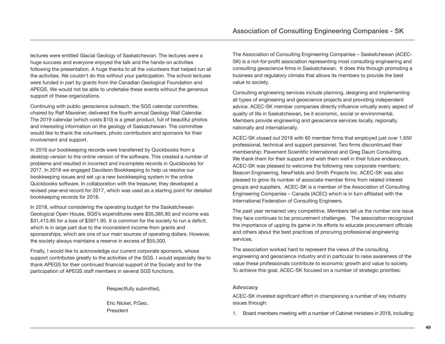lectures were entitled Glacial Geology of Saskatchewan. The lectures were a huge success and everyone enjoyed the talk and the hands-on activities following the presentation. A huge thanks to all the volunteers that helped run all the activities. We couldn't do this without your participation. The school lectures were funded in part by grants from the Canadian Geological Foundation and APEGS. We would not be able to undertake these events without the generous support of these organizations.

Continuing with public geoscience outreach, the SGS calendar committee, chaired by Ralf Maxeiner, delivered the fourth annual Geology Wall Calendar. The 2019 calendar (which costs \$10) is a great product, full of beautiful photos and interesting information on the geology of Saskatchewan. The committee would like to thank the volunteers, photo contributors and sponsors for their involvement and support.

In 2016 our bookkeeping records were transferred by Quickbooks from a desktop version to the online version of the software. This created a number of problems and resulted in incorrect and incomplete records in Quickbooks for 2017. In 2018 we engaged Davidson Bookkeeping to help us resolve our bookkeeping issues and set up a new bookkeeping system in the online Quickbooks software. In collaboration with the treasurer, they developed a revised year-end record for 2017, which was used as a starting point for detailed bookkeeping records for 2018.

In 2018, without considering the operating budget for the Saskatchewan Geological Open House, SGS's expenditures were \$35,385.80 and income was \$31,413.85 for a loss of \$3971.95. It is common for the society to run a deficit, which is in large part due to the inconsistent income from grants and sponsorships, which are one of our main sources of operating dollars. However, the society always maintains a reserve in excess of \$55,000.

Finally, I would like to acknowledge our current corporate sponsors, whose support contributes greatly to the activities of the SGS. I would especially like to thank APEGS for their continued financial support of the Society and for the participation of APEGS staff members in several SGS functions.

Respectfully submitted,

Eric Nickel, P.Geo. President

The Association of Consulting Engineering Companies – Saskatchewan (ACEC-SK) is a not-for-profit association representing most consulting engineering and consulting geoscience firms in Saskatchewan. It does this through promoting a business and regulatory climate that allows its members to provide the best value to society.

Consulting engineering services include planning, designing and implementing all types of engineering and geoscience projects and providing independent advice. ACEC-SK member companies directly influence virtually every aspect of quality of life in Saskatchewan, be it economic, social or environmental. Members provide engineering and geoscience services locally, regionally, nationally and internationally.

ACEC-SK closed out 2018 with 60 member firms that employed just over 1,650 professional, technical and support personnel. Two firms discontinued their membership: Pavement Scientific International and Greg Daum Consulting. We thank them for their support and wish them well in their future endeavours. ACEC-SK was pleased to welcome the following new corporate members: Beacon Engineering, NewFields and Smith Projects Inc. ACEC-SK was also pleased to grow its number of associate member firms from related interest groups and suppliers. ACEC-SK is a member of the Association of Consulting Engineering Companies – Canada (ACEC) which is in turn affiliated with the International Federation of Consulting Engineers.

The past year remained very competitive. Members tell us the number one issue they face continues to be procurement challenges. The association recognized the importance of upping its game in its efforts to educate procurement officials and others about the best practices of procuring professional engineering services.

The association worked hard to represent the views of the consulting engineering and geoscience industry and in particular to raise awareness of the value these professionals contribute to economic growth and value to society. To achieve this goal, ACEC-SK focused on a number of strategic priorities:

#### **Advocacy**

ACEC-SK invested significant effort in championing a number of key industry issues through:

1. Board members meeting with a number of Cabinet ministers in 2018, including: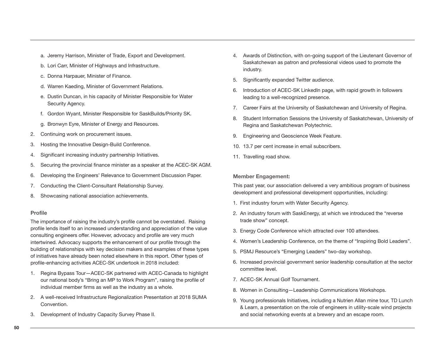- a. Jeremy Harrison, Minister of Trade, Export and Development.
- b. Lori Carr, Minister of Highways and Infrastructure.
- c. Donna Harpauer, Minister of Finance.
- d. Warren Kaeding, Minister of Government Relations.
- e. Dustin Duncan, in his capacity of Minister Responsible for Water Security Agency.
- f. Gordon Wyant, Minister Responsible for SaskBuilds/Priority SK.
- g. Bronwyn Eyre, Minister of Energy and Resources.
- 2. Continuing work on procurement issues.
- 3. Hosting the Innovative Design‐Build Conference.
- 4. Significant increasing industry partnership Initiatives.
- 5. Securing the provincial finance minister as a speaker at the ACEC‐SK AGM.
- 6. Developing the Engineers' Relevance to Government Discussion Paper.
- 7. Conducting the Client‐Consultant Relationship Survey.
- 8. Showcasing national association achievements.

#### **Profile**

The importance of raising the industry's profile cannot be overstated. Raising profile lends itself to an increased understanding and appreciation of the value consulting engineers offer. However, advocacy and profile are very much intertwined. Advocacy supports the enhancement of our profile through the building of relationships with key decision makers and examples of these types of initiatives have already been noted elsewhere in this report. Other types of profile-enhancing activities ACEC-SK undertook in 2018 included:

- 1. Regina Bypass Tour—ACEC‐SK partnered with ACEC‐Canada to highlight our national body's "Bring an MP to Work Program", raising the profile of individual member firms as well as the industry as a whole.
- 2. A well-received Infrastructure Regionalization Presentation at 2018 SUMA Convention.
- 3. Development of Industry Capacity Survey Phase II.
- 4. Awards of Distinction, with on-going support of the Lieutenant Governor of Saskatchewan as patron and professional videos used to promote the industry.
- 5. Significantly expanded Twitter audience.
- 6. Introduction of ACEC‐SK LinkedIn page, with rapid growth in followers leading to a well-recognized presence.
- 7. Career Fairs at the University of Saskatchewan and University of Regina.
- 8. Student Information Sessions the University of Saskatchewan, University of Regina and Saskatchewan Polytechnic.
- 9. Engineering and Geoscience Week Feature.
- 10. 13.7 per cent increase in email subscribers.
- 11. Travelling road show.

#### **Member Engagement:**

This past year, our association delivered a very ambitious program of business development and professional development opportunities, including:

- 1. First industry forum with Water Security Agency.
- 2. An industry forum with SaskEnergy, at which we introduced the "reverse trade show" concept.
- 3. Energy Code Conference which attracted over 100 attendees.
- 4. Women's Leadership Conference, on the theme of "Inspiring Bold Leaders".
- 5. PSMJ Resource's "Emerging Leaders" two-day workshop.
- 6. Increased provincial government senior leadership consultation at the sector committee level.
- 7. ACEC‐SK Annual Golf Tournament.
- 8. Women in Consulting—Leadership Communications Workshops.
- 9. Young professionals Initiatives, including a Nutrien Allan mine tour, TD Lunch & Learn, a presentation on the role of engineers in utility‐scale wind projects and social networking events at a brewery and an escape room.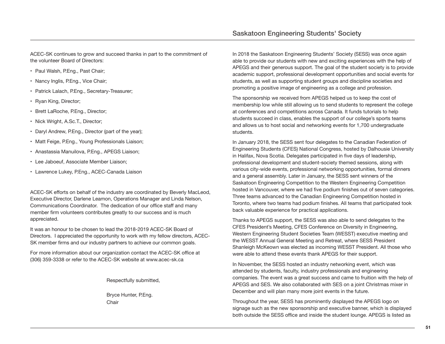ACEC-SK continues to grow and succeed thanks in part to the commitment of the volunteer Board of Directors:

- Paul Walsh, P.Eng., Past Chair;
- Nancy Inglis, P.Eng., Vice Chair;
- Patrick Lalach, P.Eng., Secretary-Treasurer;
- Ryan King, Director;
- Brett LaRoche, P.Eng., Director;
- Nick Wright, A.Sc.T., Director;
- Daryl Andrew, P.Eng., Director (part of the year);
- Matt Feige, P.Eng., Young Professionals Liaison;
- Anastassia Manuilova, P.Eng., APEGS Liaison;
- Lee Jaboeuf, Associate Member Liaison;
- Lawrence Lukey, P.Eng., ACEC-Canada Liaison

ACEC-SK efforts on behalf of the industry are coordinated by Beverly MacLeod, Executive Director, Darlene Leamon, Operations Manager and Linda Nelson, Communications Coordinator. The dedication of our office staff and many member firm volunteers contributes greatly to our success and is much appreciated.

It was an honour to be chosen to lead the 2018-2019 ACEC-SK Board of Directors. I appreciated the opportunity to work with my fellow directors, ACEC-SK member firms and our industry partners to achieve our common goals.

For more information about our organization contact the ACEC-SK office at (306) 359-3338 or refer to the ACEC-SK website at www.acec-sk.ca

Respectfully submitted,

Bryce Hunter, P.Eng. **Chair** 

In 2018 the Saskatoon Engineering Students' Society (SESS) was once again able to provide our students with new and exciting experiences with the help of APEGS and their generous support. The goal of the student society is to provide academic support, professional development opportunities and social events for students, as well as supporting student groups and discipline societies and promoting a positive image of engineering as a college and profession.

The sponsorship we received from APEGS helped us to keep the cost of membership low while still allowing us to send students to represent the college at conferences and competitions across Canada. It funds tutorials to help students succeed in class, enables the support of our college's sports teams and allows us to host social and networking events for 1,700 undergraduate students.

In January 2018, the SESS sent four delegates to the Canadian Federation of Engineering Students (CFES) National Congress, hosted by Dalhousie University in Halifax, Nova Scotia. Delegates participated in five days of leadership, professional development and student-society themed sessions, along with various city-wide events, professional networking opportunities, formal dinners and a general assembly. Later in January, the SESS sent winners of the Saskatoon Engineering Competition to the Western Engineering Competition hosted in Vancouver, where we had five podium finishes out of seven categories. Three teams advanced to the Canadian Engineering Competition hosted in Toronto, where two teams had podium finishes. All teams that participated took back valuable experience for practical applications.

Thanks to APEGS support, the SESS was also able to send delegates to the CFES President's Meeting, CFES Conference on Diversity in Engineering, Western Engineering Student Societies Team (WESST) executive meeting and the WESST Annual General Meeting and Retreat, where SESS President Shanleigh McKeown was elected as incoming WESST President. All those who were able to attend these events thank APEGS for their support.

In November, the SESS hosted an industry networking event, which was attended by students, faculty, industry professionals and engineering companies. The event was a great success and came to fruition with the help of APEGS and SES. We also collaborated with SES on a joint Christmas mixer in December and will plan many more joint events in the future.

Throughout the year, SESS has prominently displayed the APEGS logo on signage such as the new sponsorship and executive banner, which is displayed both outside the SESS office and inside the student lounge. APEGS is listed as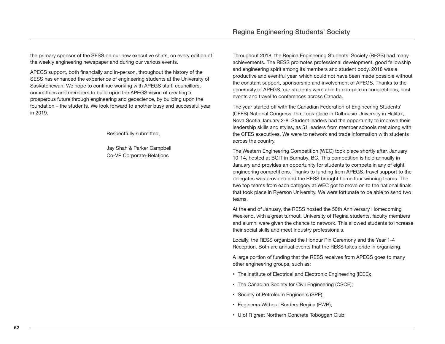the primary sponsor of the SESS on our new executive shirts, on every edition of the weekly engineering newspaper and during our various events.

APEGS support, both financially and in-person, throughout the history of the SESS has enhanced the experience of engineering students at the University of Saskatchewan. We hope to continue working with APEGS staff, councillors, committees and members to build upon the APEGS vision of creating a prosperous future through engineering and geoscience, by building upon the foundation – the students. We look forward to another busy and successful year in 2019.

Respectfully submitted,

Jay Shah & Parker Campbell Co-VP Corporate-Relations

Throughout 2018, the Regina Engineering Students' Society (RESS) had many achievements. The RESS promotes professional development, good fellowship and engineering spirit among its members and student body. 2018 was a productive and eventful year, which could not have been made possible without the constant support, sponsorship and involvement of APEGS. Thanks to the generosity of APEGS, our students were able to compete in competitions, host events and travel to conferences across Canada.

The year started off with the Canadian Federation of Engineering Students' (CFES) National Congress, that took place in Dalhousie University in Halifax, Nova Scotia January 2-8. Student leaders had the opportunity to improve their leadership skills and styles, as 51 leaders from member schools met along with the CFES executives. We were to network and trade information with students across the country.

The Western Engineering Competition (WEC) took place shortly after, January 10-14, hosted at BCIT in Burnaby, BC. This competition is held annually in January and provides an opportunity for students to compete in any of eight engineering competitions. Thanks to funding from APEGS, travel support to the delegates was provided and the RESS brought home four winning teams. The two top teams from each category at WEC got to move on to the national finals that took place in Ryerson University. We were fortunate to be able to send two teams.

At the end of January, the RESS hosted the 50th Anniversary Homecoming Weekend, with a great turnout. University of Regina students, faculty members and alumni were given the chance to network. This allowed students to increase their social skills and meet industry professionals.

Locally, the RESS organized the Honour Pin Ceremony and the Year 1-4 Reception. Both are annual events that the RESS takes pride in organizing.

A large portion of funding that the RESS receives from APEGS goes to many other engineering groups, such as:

- The Institute of Electrical and Electronic Engineering (IEEE);
- The Canadian Society for Civil Engineering (CSCE);
- Society of Petroleum Engineers (SPE);
- Engineers Without Borders Regina (EWB);
- U of R great Northern Concrete Toboggan Club;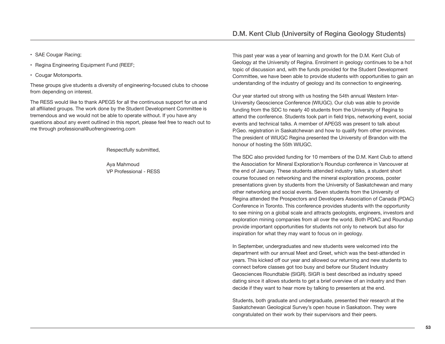- SAE Cougar Racing;
- Regina Engineering Equipment Fund (REEF;
- Cougar Motorsports.

These groups give students a diversity of engineering-focused clubs to choose from depending on interest.

The RESS would like to thank APEGS for all the continuous support for us and all affiliated groups. The work done by the Student Development Committee is tremendous and we would not be able to operate without. If you have any questions about any event outlined in this report, please feel free to reach out to me through professional@uofrengineering.com

Respectfully submitted,

Aya Mahmoud VP Professional - RESS This past year was a year of learning and growth for the D.M. Kent Club of Geology at the University of Regina. Enrolment in geology continues to be a hot topic of discussion and, with the funds provided for the Student Development Committee, we have been able to provide students with opportunities to gain an understanding of the industry of geology and its connection to engineering.

Our year started out strong with us hosting the 54th annual Western Inter-University Geoscience Conference (WIUGC). Our club was able to provide funding from the SDC to nearly 40 students from the University of Regina to attend the conference. Students took part in field trips, networking event, social events and technical talks. A member of APEGS was present to talk about P.Geo. registration in Saskatchewan and how to qualify from other provinces. The president of WIUGC Regina presented the University of Brandon with the honour of hosting the 55th WIUGC.

The SDC also provided funding for 10 members of the D.M. Kent Club to attend the Association for Mineral Exploration's Roundup conference in Vancouver at the end of January. These students attended industry talks, a student short course focused on networking and the mineral exploration process, poster presentations given by students from the University of Saskatchewan and many other networking and social events. Seven students from the University of Regina attended the Prospectors and Developers Association of Canada (PDAC) Conference in Toronto. This conference provides students with the opportunity to see mining on a global scale and attracts geologists, engineers, investors and exploration mining companies from all over the world. Both PDAC and Roundup provide important opportunities for students not only to network but also for inspiration for what they may want to focus on in geology.

In September, undergraduates and new students were welcomed into the department with our annual Meet and Greet, which was the best-attended in years. This kicked off our year and allowed our returning and new students to connect before classes got too busy and before our Student Industry Geosciences Roundtable (SIGR). SIGR is best described as industry speed dating since it allows students to get a brief overview of an industry and then decide if they want to hear more by talking to presenters at the end.

Students, both graduate and undergraduate, presented their research at the Saskatchewan Geological Survey's open house in Saskatoon. They were congratulated on their work by their supervisors and their peers.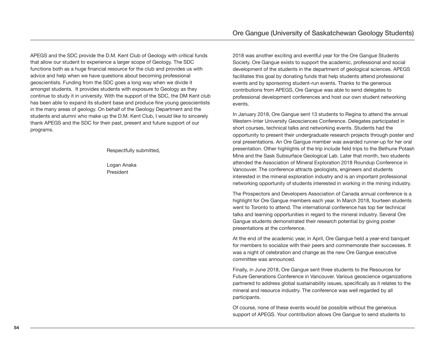APEGS and the SDC provide the D.M. Kent Club of Geology with critical funds that allow our student to experience a larger scope of Geology. The SDC functions both as a huge financial resource for the club and provides us with advice and help when we have questions about becoming professional geoscientists. Funding from the SDC goes a long way when we divide it amongst students. It provides students with exposure to Geology as they continue to study it in university. With the support of the SDC, the DM Kent club has been able to expand its student base and produce fine young geoscientists in the many areas of geology. On behalf of the Geology Department and the students and alumni who make up the D.M. Kent Club, I would like to sincerely thank APEGS and the SDC for their past, present and future support of our programs.

Respectfully submitted,

Logan Anaka President

2018 was another exciting and eventful year for the Ore Gangue Students Society. Ore Gangue exists to support the academic, professional and social development of the students in the department of geological sciences. APEGS facilitates this goal by donating funds that help students attend professional events and by sponsoring student-run events. Thanks to the generous contributions from APEGS, Ore Gangue was able to send delegates to professional development conferences and host our own student networking events.

In January 2018, Ore Gangue sent 13 students to Regina to attend the annual Western-Inter University Geosciences Conference. Delegates participated in short courses, technical talks and networking events. Students had the opportunity to present their undergraduate research projects through poster and oral presentations. An Ore Gangue member was awarded runner-up for her oral presentation. Other highlights of the trip include field trips to the Bethune Potash Mine and the Sask Subsurface Geological Lab. Later that month, two students attended the Association of Mineral Exploration 2018 Roundup Conference in Vancouver. The conference attracts geologists, engineers and students interested in the mineral exploration industry and is an important professional networking opportunity of students interested in working in the mining industry.

The Prospectors and Developers Association of Canada annual conference is a highlight for Ore Gangue members each year. In March 2018, fourteen students went to Toronto to attend. The international conference has top tier technical talks and learning opportunities in regard to the mineral industry. Several Ore Gangue students demonstrated their research potential by giving poster presentations at the conference.

At the end of the academic year, in April, Ore Gangue held a year-end banquet for members to socialize with their peers and commemorate their successes. It was a night of celebration and change as the new Ore Gangue executive committee was announced.

Finally, in June 2018, Ore Gangue sent three students to the Resources for Future Generations Conference in Vancouver. Various geoscience organizations partnered to address global sustainability issues, specifically as it relates to the mineral and resource industry. The conference was well regarded by all participants.

Of course, none of these events would be possible without the generous support of APEGS. Your contribution allows Ore Gangue to send students to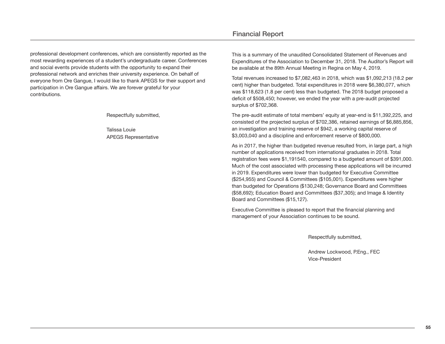professional development conferences, which are consistently reported as the most rewarding experiences of a student's undergraduate career. Conferences and social events provide students with the opportunity to expand their professional network and enriches their university experience. On behalf of everyone from Ore Gangue, I would like to thank APEGS for their support and participation in Ore Gangue affairs. We are forever grateful for your contributions.

Respectfully submitted,

Talissa Louie APEGS Representative

### Financial Report

This is a summary of the unaudited Consolidated Statement of Revenues and Expenditures of the Association to December 31, 2018. The Auditor's Report will be available at the 89th Annual Meeting in Regina on May 4, 2019.

Total revenues increased to \$7,082,463 in 2018, which was \$1,092,213 (18.2 per cent) higher than budgeted. Total expenditures in 2018 were \$6,380,077, which was \$118,623 (1.8 per cent) less than budgeted. The 2018 budget proposed a deficit of \$508,450; however, we ended the year with a pre-audit projected surplus of \$702,368.

The pre-audit estimate of total members' equity at year-end is \$11,392,225, and consisted of the projected surplus of \$702,386, retained earnings of \$6,885,856, an investigation and training reserve of \$942, a working capital reserve of \$3,003,040 and a discipline and enforcement reserve of \$800,000.

As in 2017, the higher than budgeted revenue resulted from, in large part, a high number of applications received from international graduates in 2018. Total registration fees were \$1,191540, compared to a budgeted amount of \$391,000. Much of the cost associated with processing these applications will be incurred in 2019. Expenditures were lower than budgeted for Executive Committee (\$254,955) and Council & Committees (\$105,001). Expenditures were higher than budgeted for Operations (\$130,248; Governance Board and Committees (\$58,692); Education Board and Committees (\$37,305); and Image & Identity Board and Committees (\$15,127).

Executive Committee is pleased to report that the financial planning and management of your Association continues to be sound.

Respectfully submitted,

Andrew Lockwood, P.Eng., FEC Vice-President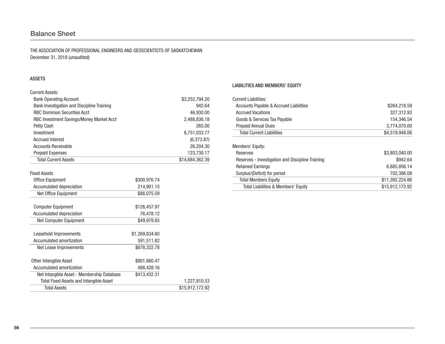## **Balance Sheet**

THE ASSOCIATION OF PROFESSIONAL ENGINEERS AND GEOSCIENTISTS OF SASKATCHEWAN December 31, 2018 (unaudited)

#### ASSETS

| Current Assets:                            |                 |
|--------------------------------------------|-----------------|
| <b>Bank Operating Account</b>              | \$3,252,794.20  |
| Bank Investigation and Discipline Training | 942.64          |
| <b>RBC Dominion Securities Acct</b>        | 46,930.00       |
| RBC Investment Savings/Money Market Acct   | 2,488,836.18    |
| Petty Cash                                 | 265.00          |
| Investment                                 | 8,751,033.77    |
| Accrued Interest                           | (6,373.87)      |
| Accounts Receivable                        | 26,204.30       |
| <b>Prepaid Expenses</b>                    | 123,730.17      |
| <b>Total Current Assets</b>                | \$14,684,362,39 |

Fixed Assets

| <b>Office Equipment</b>                        | \$300,976.74   |                 |
|------------------------------------------------|----------------|-----------------|
| Accumulated depreciation                       | 214,901.15     |                 |
| Net Office Equipment                           | \$86,075.59    |                 |
| <b>Computer Equipment</b>                      | \$126,457.97   |                 |
| Accumulated depreciation                       | 76,478.12      |                 |
| Net Computer Equipment                         | \$49,979.85    |                 |
| Leasehold Improvements                         | \$1,269,834.60 |                 |
| Accumulated amortization                       | 591,511.82     |                 |
| Net Lease Improvements                         | \$678,322.78   |                 |
| Other Intangible Asset                         | \$901,860.47   |                 |
| Accumulated amortization                       | 488,428.16     |                 |
| Net Intangible Asset - Membership Database     | \$413,432.31   |                 |
| <b>Total Fixed Assets and Intangible Asset</b> |                | 1,227,810.53    |
| <b>Total Assets</b>                            |                | \$15,912,172.92 |

#### LIABILITIES AND MEMBERS' EQUITY

| <b>Current Liabilities:</b>                      |                 |
|--------------------------------------------------|-----------------|
| Accounts Payable & Accrued Liabilities           | \$264,218.59    |
| <b>Accrued Vacations</b>                         | 327,312.93      |
| Goods & Services Tax Payable                     | 154,346.54      |
| <b>Prepaid Annual Dues</b>                       | 3.774.070.00    |
| <b>Total Current Liabilities</b>                 | \$4,519,948.06  |
| Members' Equity:                                 |                 |
| Reserves                                         | \$3,803,040.00  |
| Reserves - Investigation and Discipline Training | \$942.64        |
| <b>Retained Earnings</b>                         | 6,885,856.14    |
| Surplus/(Deficit) for period                     | 702,386.08      |
| <b>Total Members Equity</b>                      | \$11,392,224.86 |
| Total Liabilities & Members' Equity              | \$15,912,172.92 |
|                                                  |                 |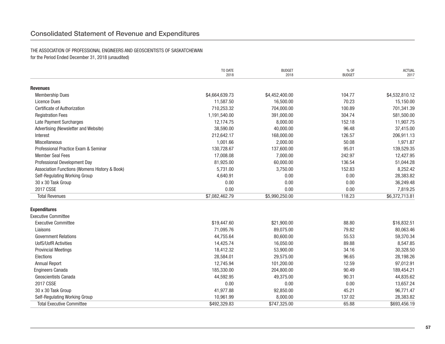## Consolidated statement of Revenue and Expenditures

#### THE ASSOCIATION OF PROFESSIONAL ENGINEERS AND GEOSCIENTISTS OF SASKATCHEWAN for the Period Ended December 31, 2018 (unaudited)

|                                               | TO DATE<br>2018 | <b>BUDGET</b><br>2018 | % OF<br><b>BUDGET</b> | <b>ACTUAL</b><br>2017 |
|-----------------------------------------------|-----------------|-----------------------|-----------------------|-----------------------|
| <b>Revenues</b>                               |                 |                       |                       |                       |
| <b>Membership Dues</b>                        | \$4,664,639.73  | \$4,452,400.00        | 104.77                | \$4,532,810.12        |
| Licence Dues                                  | 11,587.50       | 16,500.00             | 70.23                 | 15,150.00             |
| <b>Certificate of Authorization</b>           | 710,253.32      | 704,000.00            | 100.89                | 701,341.39            |
| <b>Registration Fees</b>                      | 1,191,540.00    | 391,000.00            | 304.74                | 581,500.00            |
| Late Payment Surcharges                       | 12,174.75       | 8,000.00              | 152.18                | 11,907.75             |
| Advertising (Newsletter and Website)          | 38,590.00       | 40,000.00             | 96.48                 | 37,415.00             |
| Interest                                      | 212,642.17      | 168,000.00            | 126.57                | 206,911.13            |
| Miscellaneous                                 | 1,001.66        | 2,000.00              | 50.08                 | 1,971.87              |
| Professional Practice Exam & Seminar          | 130,728.67      | 137,600.00            | 95.01                 | 139,529.35            |
| <b>Member Seal Fees</b>                       | 17,008.08       | 7,000.00              | 242.97                | 12,427.95             |
| Professional Development Day                  | 81,925.00       | 60,000.00             | 136.54                | 51,044.28             |
| Association Functions (Womens History & Book) | 5,731.00        | 3,750.00              | 152.83                | 8,252.42              |
| Self-Regulating Working Group                 | 4,640.91        | 0.00                  | 0.00                  | 28,383.82             |
| 30 x 30 Task Group                            | 0.00            | 0.00                  | 0.00                  | 36,249.48             |
| 2017 CSSE                                     | 0.00            | 0.00                  | 0.00                  | 7,819.25              |
| <b>Total Revenues</b>                         | \$7,082,462.79  | \$5,990,250.00        | 118.23                | \$6,372,713.81        |
| <b>Expenditures</b>                           |                 |                       |                       |                       |
| <b>Executive Committee</b>                    |                 |                       |                       |                       |
| <b>Executive Committee</b>                    | \$19,447.60     | \$21,900.00           | 88.80                 | \$16,832.51           |
| Liaisons                                      | 71,095.76       | 89,075.00             | 79.82                 | 80,063.46             |
| <b>Government Relations</b>                   | 44,755.64       | 80,600.00             | 55.53                 | 59,370.34             |
| <b>UofS/UofR Activities</b>                   | 14,425.74       | 16,050.00             | 89.88                 | 8,547.85              |
| <b>Provincial Meetings</b>                    | 18,412.32       | 53,900.00             | 34.16                 | 30,328.50             |
| Elections                                     | 28,584.01       | 29,575.00             | 96.65                 | 28,198.26             |
| <b>Annual Report</b>                          | 12,745.94       | 101,200.00            | 12.59                 | 97,012.91             |
| <b>Engineers Canada</b>                       | 185,330.00      | 204,800.00            | 90.49                 | 189,454.21            |
| Geoscientists Canada                          | 44,592.95       | 49,375.00             | 90.31                 | 44,835.62             |
| 2017 CSSE                                     | 0.00            | 0.00                  | 0.00                  | 13,657.24             |
| 30 x 30 Task Group                            | 41,977.88       | 92,850.00             | 45.21                 | 96,771.47             |
| Self-Regulating Working Group                 | 10,961.99       | 8,000.00              | 137.02                | 28,383.82             |
| <b>Total Executive Committee</b>              | \$492,329.83    | \$747,325.00          | 65.88                 | \$693,456.19          |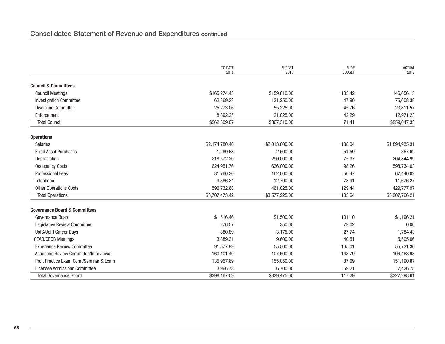|                                             | TO DATE<br>2018 | <b>BUDGET</b><br>2018 | % OF<br><b>BUDGET</b> | <b>ACTUAL</b><br>2017 |
|---------------------------------------------|-----------------|-----------------------|-----------------------|-----------------------|
| <b>Council &amp; Committees</b>             |                 |                       |                       |                       |
| <b>Council Meetings</b>                     | \$165,274.43    | \$159,810.00          | 103.42                | 146,656.15            |
| <b>Investigation Committee</b>              | 62,869.33       | 131,250.00            | 47.90                 | 75,608.38             |
| <b>Discipline Committee</b>                 | 25,273.06       | 55,225.00             | 45.76                 | 23,811.57             |
| Enforcement                                 | 8,892.25        | 21,025.00             | 42.29                 | 12,971.23             |
| <b>Total Council</b>                        | \$262,309.07    | \$367,310.00          | 71.41                 | \$259,047.33          |
| <b>Operations</b>                           |                 |                       |                       |                       |
| <b>Salaries</b>                             | \$2,174,780.46  | \$2,013,000.00        | 108.04                | \$1,894,935.31        |
| <b>Fixed Asset Purchases</b>                | 1.289.68        | 2,500.00              | 51.59                 | 357.62                |
| Depreciation                                | 218,572.20      | 290,000.00            | 75.37                 | 204,844.99            |
| <b>Occupancy Costs</b>                      | 624,951.76      | 636,000.00            | 98.26                 | 598,734.03            |
| <b>Professional Fees</b>                    | 81,760.30       | 162,000.00            | 50.47                 | 67,440.02             |
| Telephone                                   | 9,386.34        | 12,700.00             | 73.91                 | 11,676.27             |
| <b>Other Operations Costs</b>               | 596,732.68      | 461,025.00            | 129.44                | 429,777.97            |
| <b>Total Operations</b>                     | \$3,707,473.42  | \$3,577,225.00        | 103.64                | \$3,207,766.21        |
| <b>Governance Board &amp; Committees</b>    |                 |                       |                       |                       |
| Governance Board                            | \$1,516.46      | \$1,500.00            | 101.10                | \$1,196.21            |
| Legislative Review Committee                | 276.57          | 350.00                | 79.02                 | 0.00                  |
| <b>UofS/UofR Career Days</b>                | 880.89          | 3,175.00              | 27.74                 | 1,784.43              |
| <b>CEAB/CEQB Meetings</b>                   | 3,889.31        | 9,600.00              | 40.51                 | 5,505.06              |
| <b>Experience Review Committee</b>          | 91,577.99       | 55,500.00             | 165.01                | 55,731.36             |
| <b>Academic Review Committee/Interviews</b> | 160,101.40      | 107,600.00            | 148.79                | 104,463.93            |
| Prof. Practice Exam Com./Seminar & Exam     | 135,957.69      | 155,050.00            | 87.69                 | 151,190.87            |
| Licensee Admissions Committee               | 3,966.78        | 6,700.00              | 59.21                 | 7,426.75              |
| <b>Total Governance Board</b>               | \$398,167.09    | \$339,475.00          | 117.29                | \$327,298.61          |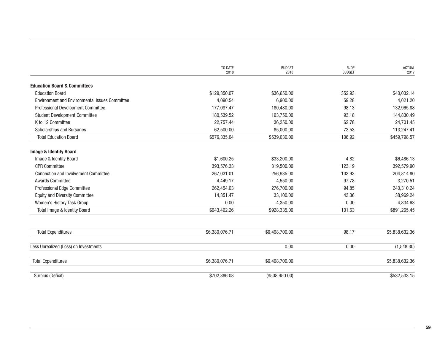|                                                | TO DATE<br>2018 | <b>BUDGET</b><br>2018 | % OF<br><b>BUDGET</b> | <b>ACTUAL</b><br>2017 |
|------------------------------------------------|-----------------|-----------------------|-----------------------|-----------------------|
| <b>Education Board &amp; Committees</b>        |                 |                       |                       |                       |
| <b>Education Board</b>                         | \$129,350.07    | \$36,650.00           | 352.93                | \$40,032.14           |
| Environment and Environmental Issues Committee | 4,090.54        | 6,900.00              | 59.28                 | 4,021.20              |
| Professional Development Committee             | 177,097.47      | 180,480.00            | 98.13                 | 132,965.88            |
| <b>Student Development Committee</b>           | 180,539.52      | 193,750.00            | 93.18                 | 144,830.49            |
| K to 12 Committee                              | 22,757.44       | 36,250.00             | 62.78                 | 24,701.45             |
| <b>Scholarships and Bursaries</b>              | 62,500.00       | 85,000.00             | 73.53                 | 113,247.41            |
| <b>Total Education Board</b>                   | \$576,335.04    | \$539,030.00          | 106.92                | \$459,798.57          |
| <b>Image &amp; Identity Board</b>              |                 |                       |                       |                       |
| Image & Identity Board                         | \$1,600.25      | \$33,200.00           | 4.82                  | \$6,486.13            |
| <b>CPR Committee</b>                           | 393,576.33      | 319,500.00            | 123.19                | 392,579.90            |
| <b>Connection and Involvement Committee</b>    | 267,031.01      | 256,935.00            | 103.93                | 204,814.80            |
| <b>Awards Committee</b>                        | 4,449.17        | 4,550.00              | 97.78                 | 3,270.51              |
| Professional Edge Committee                    | 262,454.03      | 276,700.00            | 94.85                 | 240,310.24            |
| <b>Equity and Diversity Committee</b>          | 14,351.47       | 33,100.00             | 43.36                 | 38,969.24             |
| Women's History Task Group                     | 0.00            | 4,350.00              | 0.00                  | 4,834.63              |
| Total Image & Identity Board                   | \$943,462.26    | \$928,335.00          | 101.63                | \$891,265.45          |
| <b>Total Expenditures</b>                      | \$6,380,076.71  | \$6,498,700.00        | 98.17                 | \$5,838,632.36        |
|                                                |                 |                       |                       |                       |
| Less Unrealized (Loss) on Investments          |                 | 0.00                  | 0.00                  | (1,548.30)            |
| <b>Total Expenditures</b>                      | \$6,380,076.71  | \$6,498,700.00        |                       | \$5,838,632.36        |
| Surplus (Deficit)                              | \$702,386.08    | (\$508,450.00)        |                       | \$532,533.15          |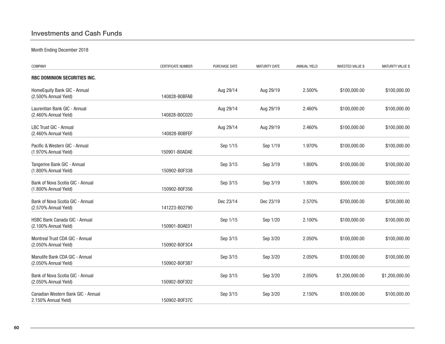## investments and Cash Funds

Month Ending December 2018

| COMPANY                                                    | <b>CERTIFICATE NUMBER</b> | PURCHASE DATE | <b>MATURITY DATE</b> | <b>ANNUAL YIELD</b> | <b>INVESTED VALUE \$</b> | <b>MATURITY VALUE \$</b> |
|------------------------------------------------------------|---------------------------|---------------|----------------------|---------------------|--------------------------|--------------------------|
| RBC DOMINION SECURITIES INC.                               |                           |               |                      |                     |                          |                          |
| HomeEquity Bank GIC - Annual<br>(2.500% Annual Yield)      | 140828-B0BFAB             | Aug 29/14     | Aug 29/19            | 2.500%              | \$100,000.00             | \$100,000.00             |
| Laurentian Bank GIC - Annual<br>(2.460% Annual Yield)      | 140828-B0C020             | Aug 29/14     | Aug 29/19            | 2.460%              | \$100,000.00             | \$100,000.00             |
| LBC Trust GIC - Annual<br>(2.460% Annual Yield)            | 140828-B0BFEF             | Aug 29/14     | Aug 29/19            | 2.460%              | \$100,000.00             | \$100,000.00             |
| Pacific & Western GIC - Annual<br>(1.970% Annual Yield)    | 150901-B0ADAE             | Sep 1/15      | Sep 1/19             | 1.970%              | \$100,000.00             | \$100,000.00             |
| Tangerine Bank GIC - Annual<br>(1.800% Annual Yield)       | 150902-B0F338             | Sep 3/15      | Sep 3/19             | 1.800%              | \$100,000.00             | \$100,000.00             |
| Bank of Nova Scotia GIC - Annual<br>(1.800% Annual Yield)  | 150902-B0F356             | Sep 3/15      | Sep 3/19             | 1.800%              | \$500,000.00             | \$500,000.00             |
| Bank of Nova Scotia GIC - Annual<br>(2.570% Annual Yield)  | 141223-B02790             | Dec 23/14     | Dec 23/19            | 2.570%              | \$700,000.00             | \$700,000.00             |
| HSBC Bank Canada GIC - Annual<br>(2.100% Annual Yield)     | 150901-B0AE01             | Sep 1/15      | Sep 1/20             | 2.100%              | \$100,000.00             | \$100,000.00             |
| Montreal Trust CDA GIC - Annual<br>(2.050% Annual Yield)   | 150902-B0F3C4             | Sep 3/15      | Sep 3/20             | 2.050%              | \$100,000.00             | \$100,000.00             |
| Manulife Bank CDA GIC - Annual<br>(2.050% Annual Yield)    | 150902-B0F3B7             | Sep 3/15      | Sep 3/20             | 2.050%              | \$100,000.00             | \$100,000.00             |
| Bank of Nova Scotia GIC - Annual<br>(2.050% Annual Yield)  | 150902-B0F3D2             | Sep 3/15      | Sep 3/20             | 2.050%              | \$1,200,000.00           | \$1,200,000.00           |
| Canadian Western Bank GIC - Annual<br>2.150% Annual Yield) | 150902-B0F37C             | Sep 3/15      | Sep 3/20             | 2.150%              | \$100,000.00             | \$100,000.00             |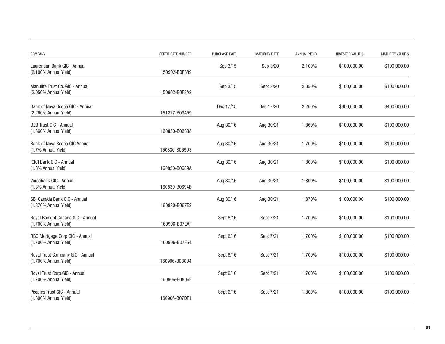| COMPANY                                                    | CERTIFICATE NUMBER | PURCHASE DATE | <b>MATURITY DATE</b> | <b>ANNUAL YIELD</b> | <b>INVESTED VALUE \$</b> | <b>MATURITY VALUE \$</b> |
|------------------------------------------------------------|--------------------|---------------|----------------------|---------------------|--------------------------|--------------------------|
| Laurentian Bank GIC - Annual<br>(2.100% Annual Yield)      | 150902-B0F389      | Sep 3/15      | Sep 3/20             | 2.100%              | \$100,000.00             | \$100,000.00             |
| Manulife Trust Co. GIC - Annual<br>(2.050% Annual Yield)   | 150902-B0F3A2      | Sep 3/15      | Sept 3/20            | 2.050%              | \$100,000.00             | \$100,000.00             |
| Bank of Nova Scotia GIC - Annual<br>(2.260% Annaul Yield)  | 151217-B09A59      | Dec 17/15     | Dec 17/20            | 2.260%              | \$400,000.00             | \$400,000.00             |
| <b>B2B Trust GIC - Annual</b><br>(1.860% Annual Yield)     | 160830-B06838      | Aug 30/16     | Aug 30/21            | 1.860%              | \$100,000.00             | \$100,000.00             |
| Bank of Nova Scotia GIC Annual<br>(1.7% Annual Yield)      | 160830-B069D3      | Aug 30/16     | Aug 30/21            | 1.700%              | \$100,000.00             | \$100,000.00             |
| <b>ICICI Bank GIC - Annual</b><br>(1.8% Annual Yield)      | 160830-B0689A      | Aug 30/16     | Aug 30/21            | 1.800%              | \$100,000.00             | \$100,000.00             |
| Versabank GIC - Annual<br>(1.8% Annual Yield)              | 160830-B0694B      | Aug 30/16     | Aug 30/21            | 1.800%              | \$100,000.00             | \$100,000.00             |
| SBI Canada Bank GIC - Annual<br>(1.870% Annual Yield)      | 160830-B067E2      | Aug 30/16     | Aug 30/21            | 1.870%              | \$100,000.00             | \$100,000.00             |
| Royal Bank of Canada GIC - Annual<br>(1.700% Annual Yield) | 160906-B07EAF      | Sept 6/16     | Sept 7/21            | 1.700%              | \$100,000.00             | \$100,000.00             |
| RBC Mortgage Corp GIC - Annual<br>(1.700% Annual Yield)    | 160906-B07F54      | Sept 6/16     | Sept 7/21            | 1.700%              | \$100,000.00             | \$100,000.00             |
| Royal Trust Company GIC - Annual<br>(1.700% Annual Yield)  | 160906-B080D4      | Sept 6/16     | Sept 7/21            | 1.700%              | \$100,000.00             | \$100,000.00             |
| Royal Trust Corp GIC - Annual<br>(1.700% Annual Yield)     | 160906-B0806E      | Sept 6/16     | Sept 7/21            | 1.700%              | \$100,000.00             | \$100,000.00             |
| Peoples Trust GIC - Annual<br>(1.800% Annual Yield)        | 160906-B07DF1      | Sept 6/16     | Sept 7/21            | 1.800%              | \$100,000.00             | \$100,000.00             |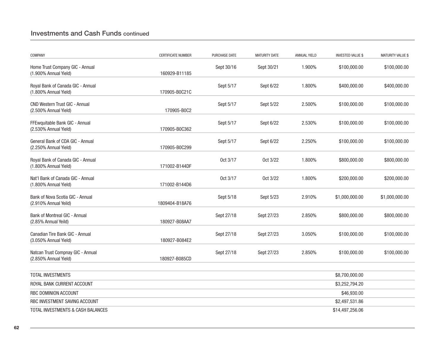## investments and Cash Funds continued

| COMPANY                                                        | <b>CERTIFICATE NUMBER</b> | PURCHASE DATE | <b>MATURITY DATE</b> | <b>ANNUAL YIELD</b> | <b>INVESTED VALUE \$</b> | <b>MATURITY VALUE \$</b> |
|----------------------------------------------------------------|---------------------------|---------------|----------------------|---------------------|--------------------------|--------------------------|
| Home Trust Company GIC - Annual<br>(1.900% Annual Yield)       | 160929-B11185             | Sept 30/16    | Sept 30/21           | 1.900%              | \$100,000.00             | \$100,000.00             |
| Royal Bank of Canada GIC - Annual<br>(1.800% Annual Yield)     | 170905-B0C21C             | Sept 5/17     | Sept 6/22            | 1.800%              | \$400,000.00             | \$400,000.00             |
| <b>CND Western Trust GIC - Annual</b><br>(2.500% Annual Yield) | 170905-B0C2               | Sept 5/17     | Sept 5/22            | 2.500%              | \$100,000.00             | \$100,000.00             |
| FFEwquitable Bank GIC - Annual<br>(2.530% Annual Yield)        | 170905-B0C362             | Sept 5/17     | Sept 6/22            | 2.530%              | \$100,000.00             | \$100,000.00             |
| General Bank of CDA GIC - Annual<br>(2.250% Annual Yield)      | 170905-B0C299             | Sept 5/17     | Sept 6/22            | 2.250%              | \$100,000.00             | \$100,000.00             |
| Royal Bank of Canada GIC - Annual<br>(1.800% Annual Yield)     | 171002-B144DF             | Oct 3/17      | Oct 3/22             | 1.800%              | \$800,000.00             | \$800,000.00             |
| Nat'l Bank of Canada GIC - Annual<br>(1.800% Annual Yield)     | 171002-B144D6             | Oct 3/17      | Oct 3/22             | 1.800%              | \$200,000.00             | \$200,000.00             |
| Bank of Nova Scotia GIC - Annual<br>(2.910% Annual Yeild)      | 1809404-B18A76            | Sept 5/18     | Sept 5/23            | 2.910%              | \$1,000,000.00           | \$1,000,000.00           |
| Bank of Montreal GIC - Annual<br>(2.85% Annual Yeild)          | 180927-B08AA7             | Sept 27/18    | Sept 27/23           | 2.850%              | \$800,000.00             | \$800,000.00             |
| Canadian Tire Bank GIC - Annual<br>(3.050% Annual Yield)       | 180927-B084E2             | Sept 27/18    | Sept 27/23           | 3.050%              | \$100,000.00             | \$100,000.00             |
| Natcan Trust Compnay GIC - Annual<br>(2.850% Annual Yield)     | 180927-B085CD             | Sept 27/18    | Sept 27/23           | 2.850%              | \$100,000.00             | \$100,000.00             |
| TOTAL INVESTMENTS                                              |                           |               |                      |                     | \$8,700,000.00           |                          |
| ROYAL BANK CURRENT ACCOUNT                                     |                           |               |                      |                     | \$3,252,794.20           |                          |
| RBC DOMINION ACCOUNT                                           |                           |               |                      |                     | \$46,930.00              |                          |
| RBC INVESTMENT SAVING ACCOUNT                                  |                           |               |                      |                     | \$2,497,531.86           |                          |
| TOTAL INVESTMENTS & CASH BALANCES                              |                           |               |                      |                     | \$14,497,256.06          |                          |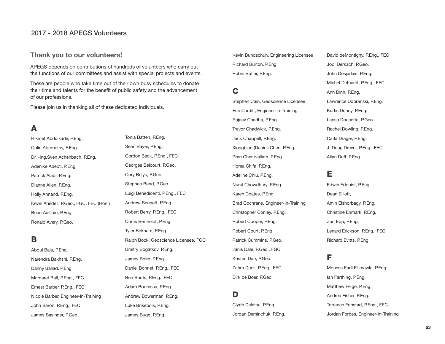#### 2017 - 2018 aPEgs volunteers

#### **Thank you to our volunteers!**

APEGS depends on contributions of hundreds of volunteers who carry out the functions of our committees and assist with special projects and events.

These are people who take time out of their own busy schedules to donate their time and talents for the benefit of public safety and the advancement of our professions.

Please join us in thanking all of these dedicated individuals.

## **A**

Hikmet Abdulkadir, P.Eng. Colin Abernethy, P.Eng. Dr. -Ing.Sven Achenbach, P.Eng. Adenike Adeoti, P.Eng. Patrick Alabi, P.Eng. Dianne Allen, P.Eng. Holly Annand, P.Eng. Kevin Ansdell, P.Geo., FGC, FEC (Hon.) Brian AuCoin, P.Eng. Ronald Avery, P.Geo.

## **B**

Abdul Bais, P.Eng. Narendra Bakhshi, P.Eng. Danny Baliad, P.Eng. Margaret Ball, P.Eng., FEC Ernest Barber, P.Eng., FEC Nicole Barber, Engineer-In-Training John Baron, P.Eng., FEC James Basinger, P.Geo.

Tonia Batten, P.Eng. Sean Baver, P.Eng. Gordon Beck, P.Eng., FEC Georges Belcourt, P.Geo. Cory Belyk, P.Geo. Stephen Bend, P.Geo. Luigi Benedicenti, P.Eng., FEC Andrew Bennett, P.Eng. Robert Berry, P.Eng., FEC Curtis Berthelot, P.Eng. Tyler Birkham, P.Eng. Ralph Bock, Geoscience Licensee, FGC Dmitry Bogatkov, P.Eng. James Boire, P.Eng. Daniel Bonnet, P.Eng., FEC Ben Boots, P.Eng., FEC Adam Bourassa, P.Eng. Andrew Bowerman, P.Eng. Luke Brisebois, P.Eng.

James Bugg, P.Eng.

Kevin Bundschuh, Engineering Licensee Richard Burton, P.Eng. Robin Butler, P.Eng.

## **C**

Stephen Cain, Geoscience Licensee Erin Cardiff, Engineer-In-Training Rajeev Chadha, P.Eng. Trevor Chadwick, P.Eng. Jack Chappell, P.Eng. Xiongbiao (Daniel) Chen, P.Eng. Pran Cheruvallath, P.Eng. Horea Chifa, P.Eng. Adeline Chiu, P.Eng. Nurul Chowdhury, P.Eng. Karen Coates, P.Eng. Brad Cochrane, Engineer-In-Training Christopher Conley, P.Eng. Robert Cooper, P.Eng. Robert Court, P.Eng. Patrick Cummins, P.Geo. Janis Dale, P.Geo., FGC Kristen Darr, P.Geo. Zahra Darzi, P.Eng., FEC Dirk de Boer, P.Geo.

## **D**

Clyde Deletsu, P.Eng. Jordan Deminchuk, P.Eng. David deMontigny, P.Eng., FEC Jodi Derkach, P.Geo. John Desjarlais, P.Eng. Michel Detharet, P.Eng., FEC Anh Dinh, P.Eng. Lawrence Dobranski, P.Eng. Kurtis Doney, P.Eng. Larisa Doucette, P.Geo. Rachel Dowling, P.Eng. Carla Drager, P.Eng. J. Doug Drever, P.Eng., FEC Allan Duff, P.Eng.

#### **E**

Edwin Edquist, P.Eng. Dean Elliott, Amin Elshorbagy, P.Eng. Christine Enmark, P.Eng. Zuri Epp, P.Eng. Lenard Erickson, P.Eng., FEC Richard Evitts, P.Eng.

#### **F**

Moussa Fadl El-mawla, P.Eng. Ian Farthing, P.Eng. Matthew Feige, P.Eng. Andrea Fisher, P.Eng. Terrance Fonstad, P.Eng., FEC Jordan Forbes, Engineer-In-Training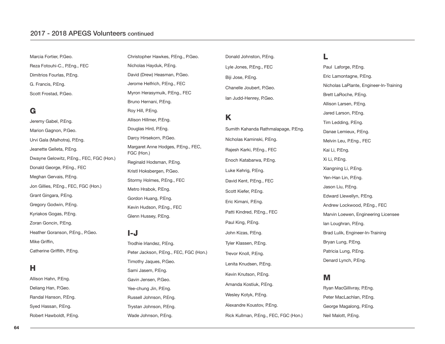#### 2017 - 2018 aPEgs volunteers continued

Marcia Fortier, P.Geo. Reza Fotouhi-C., P.Eng., FEC Dimitrios Fourlas, P.Eng. G. Francis, P.Eng. Scott Frostad, P.Geo.

## **G**

Jeremy Gabel, P.Eng. Marion Gagnon, P.Geo. Urvi Gala (Malhotra), P.Eng. Jeanette Gelleta, P.Eng. Dwayne Gelowitz, P.Eng., FEC, FGC (Hon.) Donald George, P.Eng., FEC Meghan Gervais, P.Eng. Jon Gillies, P.Eng., FEC, FGC (Hon.) Grant Gingara, P.Eng. Gregory Godwin, P.Eng. Kyriakos Gogas, P.Eng. Zoran Goncin, P.Eng. Heather Goranson, P.Eng., P.Geo. Mike Griffin, Catherine Griffith, P.Eng.

## **H**

Allison Hahn, P.Eng. Deliang Han, P.Geo. Randal Hanson, P.Eng. Syed Hassan, P.Eng. Robert Hawboldt, P.Eng. Christopher Hawkes, P.Eng., P.Geo. Nicholas Hayduk, P.Eng. David (Drew) Heasman, P.Geo. Jerome Helfrich, P.Eng., FEC Myron Herasymuik, P.Eng., FEC Bruno Hernani, P.Eng. Roy Hill, P.Eng. Allison Hillmer, P.Eng. Douglas Hird, P.Eng. Darcy Hirsekorn, P.Geo. Margaret Anne Hodges, P.Eng., FEC, FGC (Hon.) Reginald Hodsman, P.Eng. Kristl Hoksbergen, P.Geo. Stormy Holmes, P.Eng., FEC Metro Hrabok, P.Eng. Gordon Huang, P.Eng. Kevin Hudson, P.Eng., FEC Glenn Hussey, P.Eng.

#### **I-J**

Trodhie Irlandez, P.Eng. Peter Jackson, P.Eng., FEC, FGC (Hon.) Timothy Jaques, P.Geo. Sami Jasem, P.Eng. Gavin Jensen, P.Geo. Yee-chung Jin, P.Eng. Russell Johnson, P.Eng. Trystan Johnson, P.Eng. Wade Johnson, P.Eng.

Donald Johnston, P.Eng. Lyle Jones, P.Eng., FEC Biji Jose, P.Eng. Chanelle Joubert, P.Geo. Ian Judd-Henrey, P.Geo.

## **K**

Sumith Kahanda Rathmalapage, P.Eng. Nicholas Kaminski, P.Eng. Rajesh Karki, P.Eng., FEC Enoch Katabarwa, P.Eng. Luke Kehrig, P.Eng. David Kent, P.Eng., FEC Scott Kiefer, P.Eng. Eric Kimani, P.Eng. Patti Kindred, P.Eng., FEC Paul King, P.Eng. John Kizas, P.Eng. Tyler Klassen, P.Eng. Trevor Knoll, P.Eng. Lenita Knudsen, P.Eng. Kevin Knutson, P.Eng. Amanda Kostiuk, P.Eng. Wesley Kotyk, P.Eng. Alexandre Koustov, P.Eng. Rick Kullman, P.Eng., FEC, FGC (Hon.)

## **L**

Paul Laforge, P.Eng. Eric Lamontagne, P.Eng. Nicholas LaPlante, Engineer-In-Training Brett LaRoche, P.Eng. Allison Larsen, P.Eng. Jared Larson, P.Eng. Tim Ledding, P.Eng. Danae Lemieux, P.Eng. Melvin Leu, P.Eng., FEC Kai Li, P.Eng. Xi Li, P.Eng. Xiangning Li, P.Eng. Yen-Han Lin, P.Eng. Jason Liu, P.Eng. Edward Llewellyn, P.Eng. Andrew Lockwood, P.Eng., FEC Marvin Loewen, Engineering Licensee Ian Loughran, P.Eng. Brad Lulik, Engineer-In-Training Bryan Lung, P.Eng. Patricia Lung, P.Eng. Denard Lynch, P.Eng.

## **M**

Ryan MacGillivray, P.Eng. Peter MacLachlan, P.Eng. George Magalong, P.Eng. Neil Malott, P.Eng.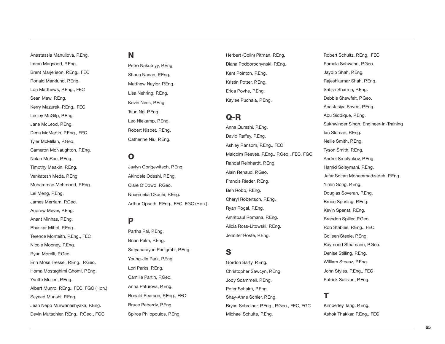## Anastassia Manuilova, P.Eng. Imran Maqsood, P.Eng. Brent Marjerison, P.Eng., FEC Ronald Marklund, P.Eng. Lori Matthews, P.Eng., FEC Sean Maw, P.Eng. Kerry Mazurek, P.Eng., FEC Lesley McGilp, P.Eng. Jane McLeod, P.Eng. Dena McMartin, P.Eng., FEC Tyler McMillan, P.Geo. Cameron McNaughton, P.Eng. Nolan McRae, P.Eng. Timothy Meakin, P.Eng. Venkatesh Meda, P.Eng. Muhammad Mehmood, P.Eng. Lei Meng, P.Eng. James Merriam, P.Geo. Andrew Meyer, P.Eng. Anant Minhas, P.Eng. Bhaskar Mittal, P.Eng. Terence Monteith, P.Eng., FEC Nicole Mooney, P.Eng. Ryan Morelli, P.Geo. Erin Moss Tressel, P.Eng., P.Geo. Homa Mostaghimi Ghomi, P.Eng. Yvette Mullen, P.Eng. Albert Munro, P.Eng., FEC, FGC (Hon.) Sayeed Munshi, P.Eng.

Jean Nepo Murwanashyaka, P.Eng. Devin Mutschler, P.Eng., P.Geo., FGC

## **N**

Petro Nakutnyy, P.Eng. Shaun Nanan, P.Eng. Matthew Naylor, P.Eng. Lisa Nehring, P.Eng. Kevin Ness, P.Eng. Tsun Ng, P.Eng. Leo Niekamp, P.Eng. Robert Nisbet, P.Eng. Catherine Niu, P.Eng.

## **O**

Jaylyn Obrigewitsch, P.Eng. Akindele Odeshi, P.Eng. Clare O'Dowd, P.Geo. Nnaemeka Okochi, P.Eng. Arthur Opseth, P.Eng., FEC, FGC (Hon.)

## **P**

Partha Pal, P.Eng. Brian Palm, P.Eng. Satyanarayan Panigrahi, P.Eng. Young-Jin Park, P.Eng. Lori Parks, P.Eng. Camille Partin, P.Geo. Anna Paturova, P.Eng. Ronald Pearson, P.Eng., FEC Bruce Peberdy, P.Eng. Spiros Philopoulos, P.Eng.

Herbert (Colin) Pitman, P.Eng. Diana Podborochynski, P.Eng. Kent Pointon, P.Eng. Kristin Potter, P.Eng. Erica Povhe, P.Eng. Kaylee Puchala, P.Eng.

## **Q-R**

Anna Qureshi, P.Eng. David Raffey, P.Eng. Ashley Ransom, P.Eng., FEC Malcolm Reeves, P.Eng., P.Geo., FEC, FGC Randal Reinhardt, P.Eng. Alain Renaud, P.Geo. Francis Rieder, P.Eng. Ben Robb, P.Eng. Cheryl Robertson, P.Eng. Ryan Rogal, P.Eng. Amritpaul Romana, P.Eng. Alicia Ross-Litowski, P.Eng. Jennifer Roste, P.Eng.

## **S**

Gordon Sarty, P.Eng. Christopher Sawcyn, P.Eng. Jody Scammell, P.Eng. Peter Schalm, P.Eng. Shay-Anne Schier, P.Eng. Bryan Schreiner, P.Eng., P.Geo., FEC, FGC Michael Schulte, P.Eng.

Robert Schultz, P.Eng., FEC Pamela Schwann, P.Geo. Jaydip Shah, P.Eng. Rajeshkumar Shah, P.Eng. Satish Sharma, P.Eng. Debbie Shewfelt, P.Geo. Anastasiya Shved, P.Eng. Abu Siddique, P.Eng. Sukhwinder Singh, Engineer-In-Training Ian Sloman, P.Eng. Neilie Smith, P.Eng. Tyson Smith, P.Eng. Andrei Smolyakov, P.Eng. Hamid Soleymani, P.Eng. Jafar Soltan Mohammadzadeh, P.Eng. Yimin Song, P.Eng. Douglas Soveran, P.Eng. Bruce Sparling, P.Eng. Kevin Spenst, P.Eng. Brandon Spiller, P.Geo. Rob Stables, P.Eng., FEC Colleen Steele, P.Eng. Raymond Sthamann, P.Geo. Denise Stilling, P.Eng. William Stoesz, P.Eng. John Styles, P.Eng., FEC Patrick Sullivan, P.Eng.

## **T**

Kimberley Tang, P.Eng. Ashok Thakkar, P.Eng., FEC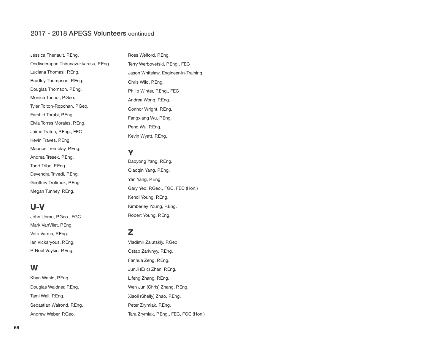## 2017 - 2018 aPEgs volunteers continued

| Jessica Theriault, P.Eng.             | Ross We          |
|---------------------------------------|------------------|
| Ondiveerapan Thirunavukkarasu, P.Eng. | <b>Terry Wei</b> |
| Luciana Thomasi, P.Eng.               | Jason W          |
| Bradley Thompson, P.Eng.              | Chris Wil        |
| Douglas Thomson, P.Eng.               | Philip Wi        |
| Monica Tochor, P.Geo.                 | Andrea V         |
| Tyler Tolton-Ropchan, P.Geo.          | Connor V         |
| Farshid Torabi, P.Eng.                | Fangxian         |
| Elvia Torres Morales, P.Eng.          | Peng Wu          |
| Jaime Tratch, P.Eng., FEC             | Kevin Wy         |
| Kevin Traves, P.Eng.                  |                  |
| Maurice Tremblay, P.Eng.              | Y                |
| Andrea Tresek, P.Eng.                 | Daoyong          |
| Todd Tribe, P.Eng.                    |                  |
| Devendra Trivedi, P.Eng.              | Qiaoqin '        |
| Geoffrey Trofimuk, P.Eng.             | Yan Yang         |

Megan Tunney, P.Eng.

## **U-V**

John Unrau, P.Geo., FGC Mark VanVliet, P.Eng. Veto Varma, P.Eng. Ian Vickaryous, P.Eng. P. Noel Voykin, P.Eng.

## **W**

Khan Wahid, P.Eng. Douglas Waldner, P.Eng. Tami Wall, P.Eng. Sebastian Walrond, P.Eng. Andrew Weber, P.Geo.

#### **Iford, P.Eng.**

rbovetski, P.Eng., FEC hitelaw, Engineer-In-Training ld, P.Eng. inter, P.Eng., FEC Vong, P.Eng. Wright, P.Eng. ng Wu, P.Eng. u, P.Eng. yatt, P.Eng.

Yang, P.Eng. Yang, P.Eng. g, P.Eng. Gary Yeo, P.Geo., FGC, FEC (Hon.) Kendi Young, P.Eng. Kimberley Young, P.Eng. Robert Young, P.Eng.

## **Z**

Vladimir Zalutskiy, P.Geo. Ostap Zarivnyy, P.Eng. Fanhua Zeng, P.Eng. JunJi (Eric) Zhan, P.Eng. Lifeng Zhang, P.Eng. Wen Jun (Chris) Zhang, P.Eng. Xiaoli (Shelly) Zhao, P.Eng. Peter Zrymiak, P.Eng. Tara Zrymiak, P.Eng., FEC, FGC (Hon.)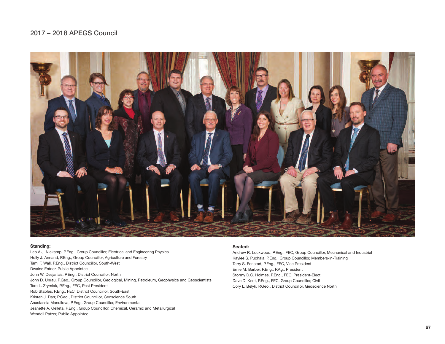## 2017 – 2018 aPEgs Council



#### **Standing:**

Leo A.J. Niekamp, P.Eng., Group Councillor, Electrical and Engineering Physics Holly J. Annand, P.Eng., Group Councillor, Agriculture and Forestry Tami F. Wall, P.Eng., District Councillor, South-West Dwaine Entner, Public Appointee John W. Desjarlais, P.Eng., District Councillor, North John D. Unrau, P.Geo., Group Councillor, Geological, Mining, Petroleum, Geophysics and Geoscientists Tara L. Zrymiak, P.Eng., FEC, Past President Rob Stables, P.Eng., FEC, District Councillor, South-East Kristen J. Darr, P.Geo., District Councillor, Geoscience South Anastassia Manuilova, P.Eng., Group Councillor, Environmental Jeanette A. Gelleta, P.Eng., Group Councillor, Chemical, Ceramic and Metallurgical Wendell Patzer, Public Appointee

#### **Seated:**

Andrew R. Lockwood, P.Eng., FEC, Group Councillor, Mechanical and Industrial Kaylee S. Puchala, P.Eng., Group Councillor, Members-in-Training Terry S. Fonstad, P.Eng., FEC, Vice President Ernie M. Barber, P.Eng., P.Ag., President Stormy D.C. Holmes, P.Eng., FEC, President-Elect Dave D. Kent, P.Eng., FEC, Group Councillor, Civil Cory L. Belyk, P.Geo., District Councillor, Geoscience North